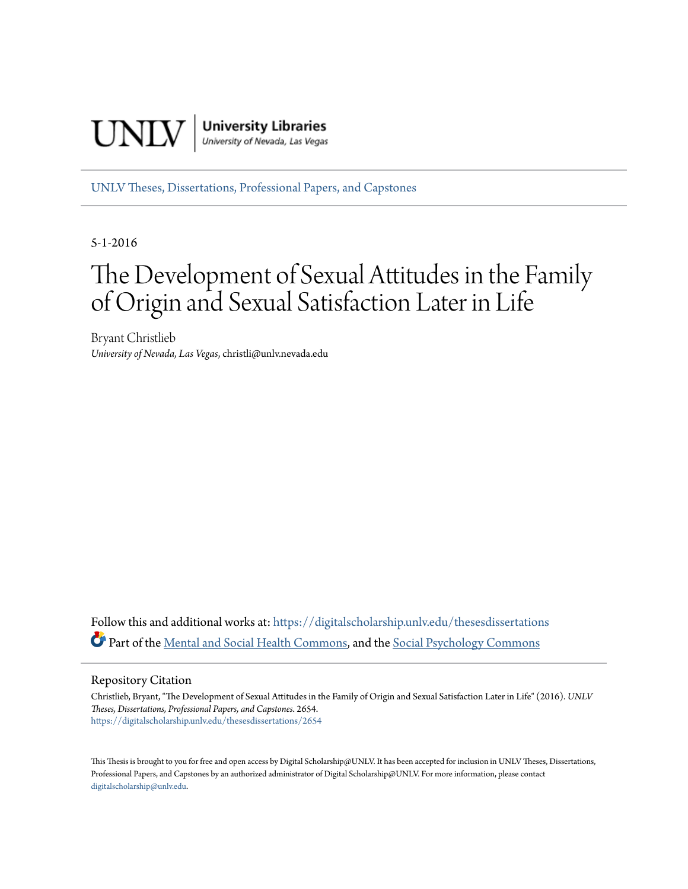

[UNLV Theses, Dissertations, Professional Papers, and Capstones](https://digitalscholarship.unlv.edu/thesesdissertations?utm_source=digitalscholarship.unlv.edu%2Fthesesdissertations%2F2654&utm_medium=PDF&utm_campaign=PDFCoverPages)

5-1-2016

# The Development of Sexual Attitudes in the Family of Origin and Sexual Satisfaction Later in Life

Bryant Christlieb *University of Nevada, Las Vegas*, christli@unlv.nevada.edu

Follow this and additional works at: [https://digitalscholarship.unlv.edu/thesesdissertations](https://digitalscholarship.unlv.edu/thesesdissertations?utm_source=digitalscholarship.unlv.edu%2Fthesesdissertations%2F2654&utm_medium=PDF&utm_campaign=PDFCoverPages) Part of the [Mental and Social Health Commons](http://network.bepress.com/hgg/discipline/709?utm_source=digitalscholarship.unlv.edu%2Fthesesdissertations%2F2654&utm_medium=PDF&utm_campaign=PDFCoverPages), and the [Social Psychology Commons](http://network.bepress.com/hgg/discipline/414?utm_source=digitalscholarship.unlv.edu%2Fthesesdissertations%2F2654&utm_medium=PDF&utm_campaign=PDFCoverPages)

#### Repository Citation

Christlieb, Bryant, "The Development of Sexual Attitudes in the Family of Origin and Sexual Satisfaction Later in Life" (2016). *UNLV Theses, Dissertations, Professional Papers, and Capstones*. 2654. [https://digitalscholarship.unlv.edu/thesesdissertations/2654](https://digitalscholarship.unlv.edu/thesesdissertations/2654?utm_source=digitalscholarship.unlv.edu%2Fthesesdissertations%2F2654&utm_medium=PDF&utm_campaign=PDFCoverPages)

This Thesis is brought to you for free and open access by Digital Scholarship@UNLV. It has been accepted for inclusion in UNLV Theses, Dissertations, Professional Papers, and Capstones by an authorized administrator of Digital Scholarship@UNLV. For more information, please contact [digitalscholarship@unlv.edu.](mailto:digitalscholarship@unlv.edu)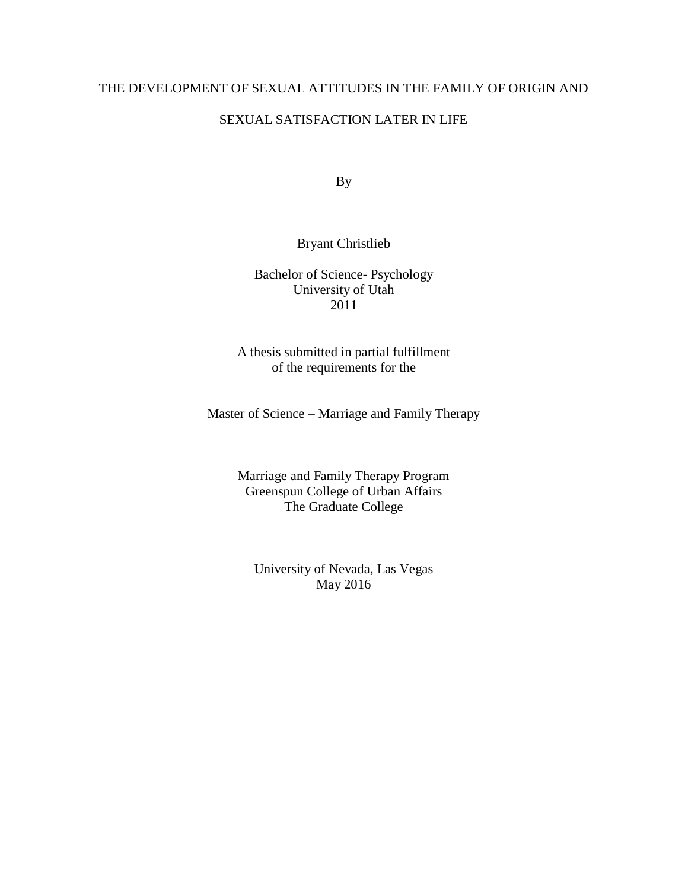# THE DEVELOPMENT OF SEXUAL ATTITUDES IN THE FAMILY OF ORIGIN AND

# SEXUAL SATISFACTION LATER IN LIFE

By

# Bryant Christlieb

# Bachelor of Science- Psychology University of Utah 2011

A thesis submitted in partial fulfillment of the requirements for the

Master of Science – Marriage and Family Therapy

Marriage and Family Therapy Program Greenspun College of Urban Affairs The Graduate College

University of Nevada, Las Vegas May 2016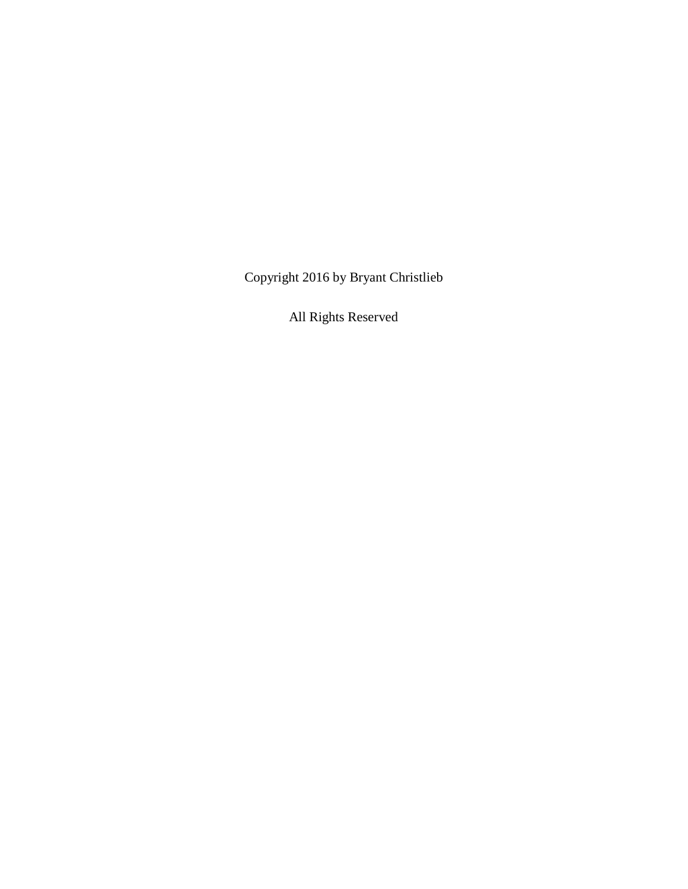Copyright 2016 by Bryant Christlieb

All Rights Reserved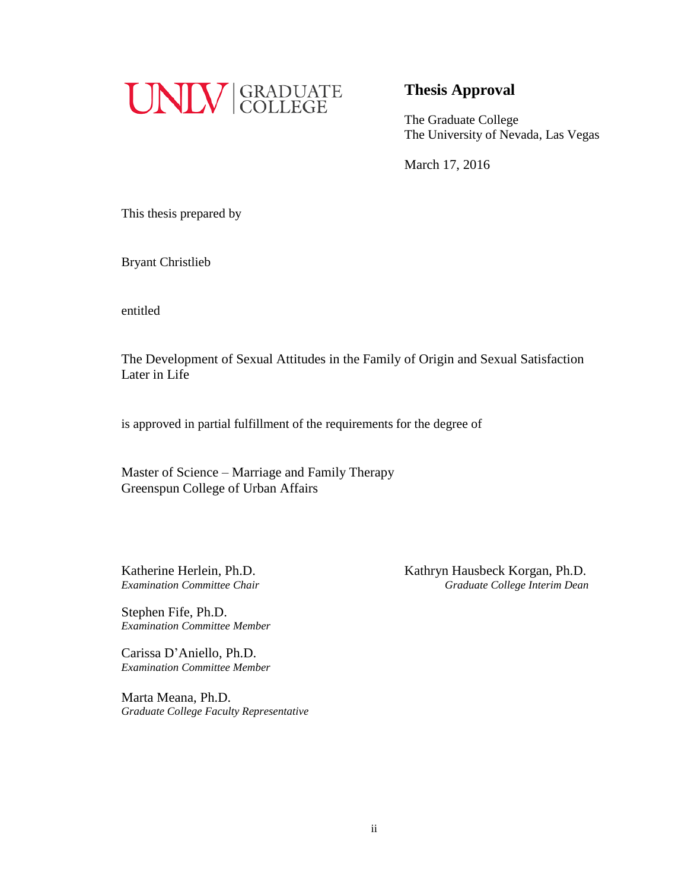

# **Thesis Approval**

The Graduate College The University of Nevada, Las Vegas

March 17, 2016

This thesis prepared by

Bryant Christlieb

entitled

The Development of Sexual Attitudes in the Family of Origin and Sexual Satisfaction Later in Life

is approved in partial fulfillment of the requirements for the degree of

Master of Science – Marriage and Family Therapy Greenspun College of Urban Affairs

Stephen Fife, Ph.D. *Examination Committee Member*

Carissa D'Aniello, Ph.D. *Examination Committee Member*

Marta Meana, Ph.D. *Graduate College Faculty Representative*

Katherine Herlein, Ph.D. Kathryn Hausbeck Korgan, Ph.D. *Examination Committee Chair Graduate College Interim Dean*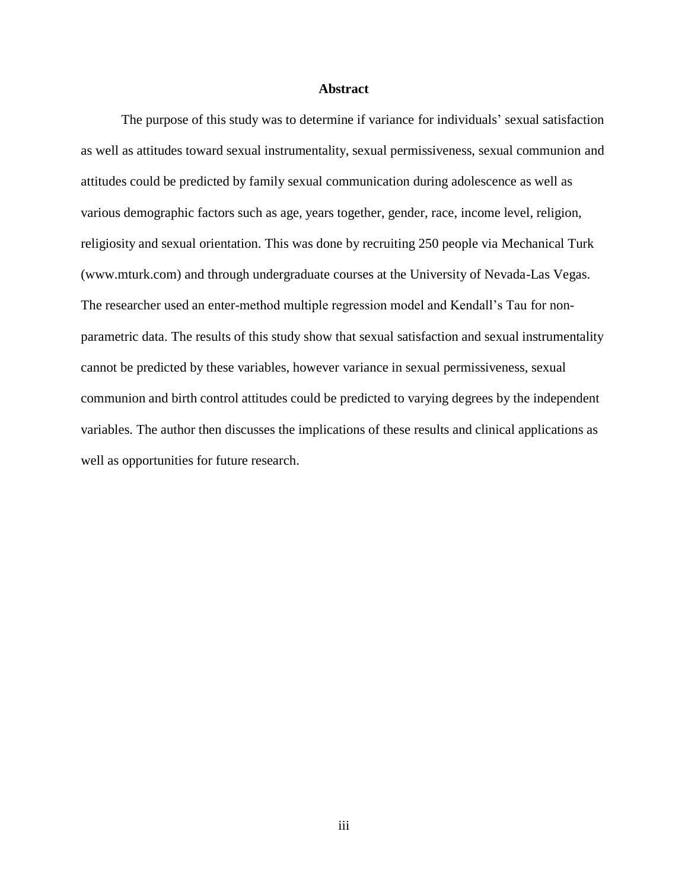#### **Abstract**

<span id="page-4-0"></span>The purpose of this study was to determine if variance for individuals' sexual satisfaction as well as attitudes toward sexual instrumentality, sexual permissiveness, sexual communion and attitudes could be predicted by family sexual communication during adolescence as well as various demographic factors such as age, years together, gender, race, income level, religion, religiosity and sexual orientation. This was done by recruiting 250 people via Mechanical Turk (www.mturk.com) and through undergraduate courses at the University of Nevada-Las Vegas. The researcher used an enter-method multiple regression model and Kendall's Tau for nonparametric data. The results of this study show that sexual satisfaction and sexual instrumentality cannot be predicted by these variables, however variance in sexual permissiveness, sexual communion and birth control attitudes could be predicted to varying degrees by the independent variables. The author then discusses the implications of these results and clinical applications as well as opportunities for future research.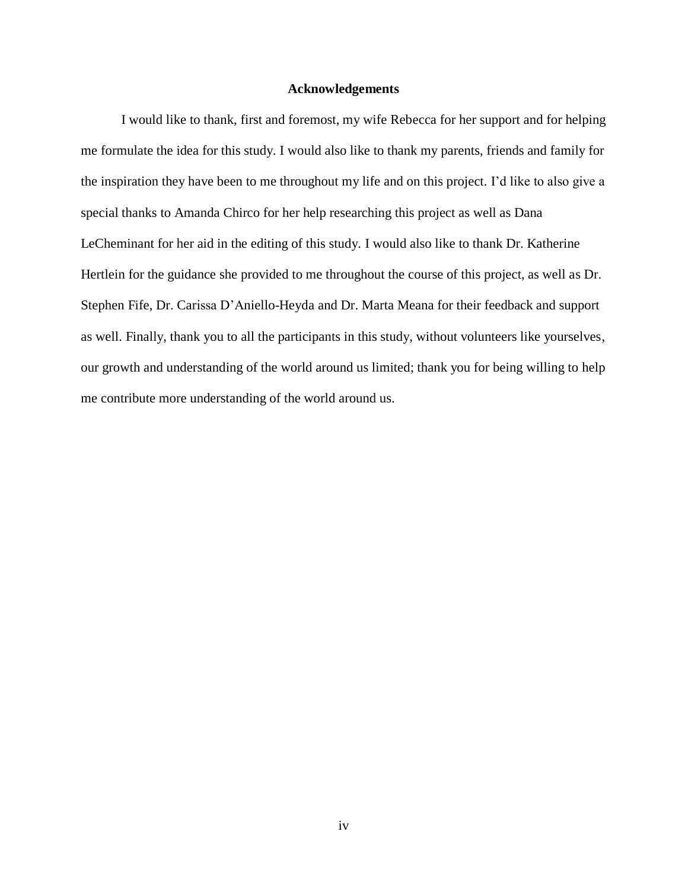#### **Acknowledgements**

<span id="page-5-0"></span>I would like to thank, first and foremost, my wife Rebecca for her support and for helping me formulate the idea for this study. I would also like to thank my parents, friends and family for the inspiration they have been to me throughout my life and on this project. I'd like to also give a special thanks to Amanda Chirco for her help researching this project as well as Dana LeCheminant for her aid in the editing of this study. I would also like to thank Dr. Katherine Hertlein for the guidance she provided to me throughout the course of this project, as well as Dr. Stephen Fife, Dr. Carissa D'Aniello-Heyda and Dr. Marta Meana for their feedback and support as well. Finally, thank you to all the participants in this study, without volunteers like yourselves, our growth and understanding of the world around us limited; thank you for being willing to help me contribute more understanding of the world around us.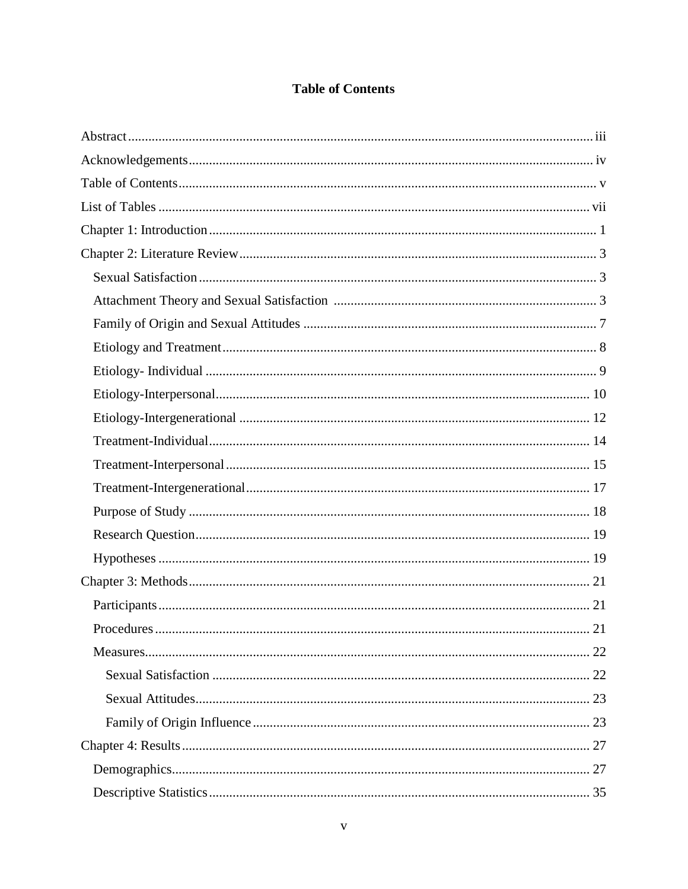# **Table of Contents**

<span id="page-6-0"></span>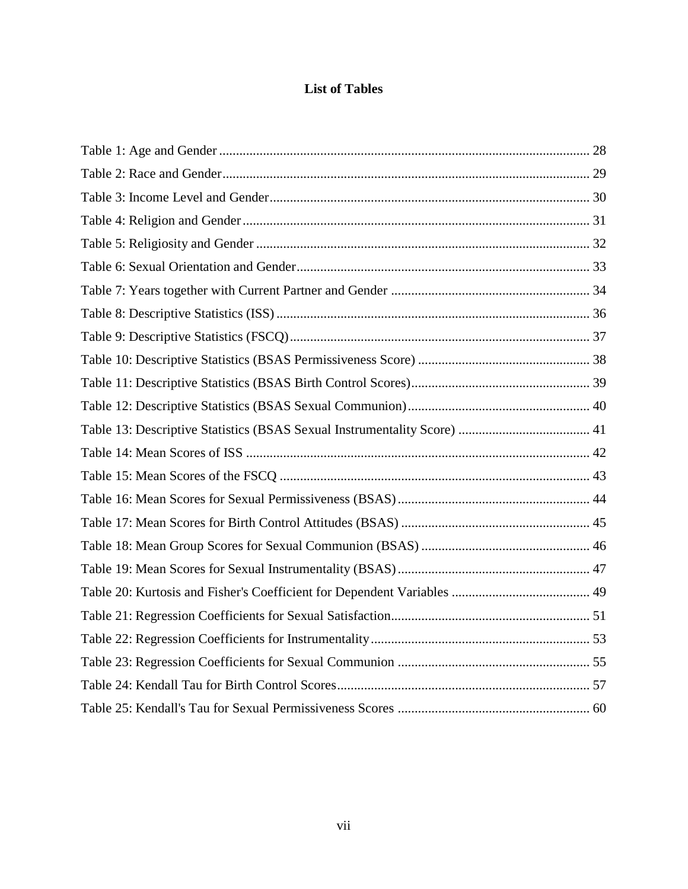# **List of Tables**

<span id="page-8-0"></span>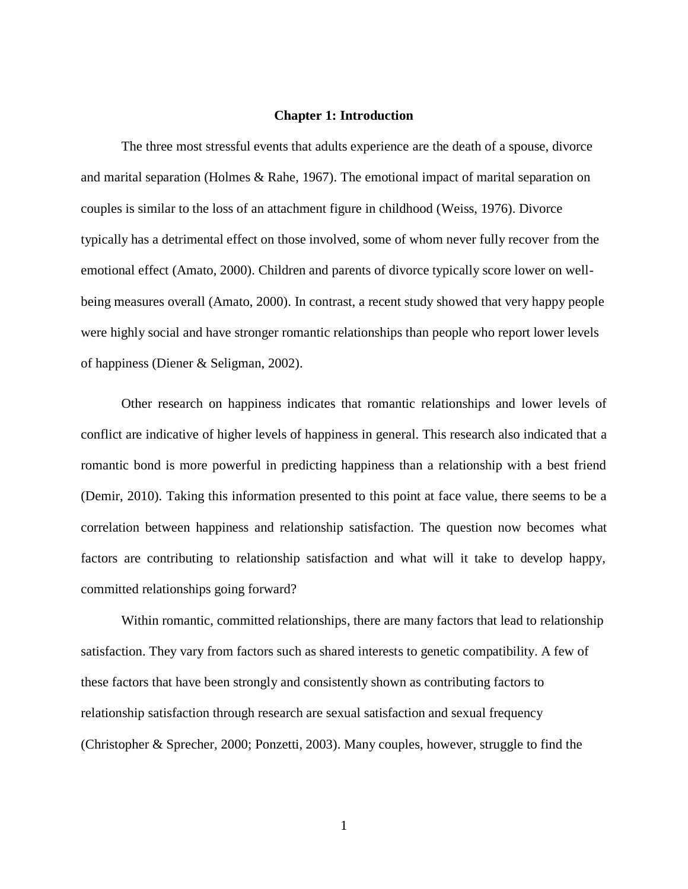#### **Chapter 1: Introduction**

<span id="page-9-0"></span>The three most stressful events that adults experience are the death of a spouse, divorce and marital separation (Holmes & Rahe, 1967). The emotional impact of marital separation on couples is similar to the loss of an attachment figure in childhood (Weiss, 1976). Divorce typically has a detrimental effect on those involved, some of whom never fully recover from the emotional effect (Amato, 2000). Children and parents of divorce typically score lower on wellbeing measures overall (Amato, 2000). In contrast, a recent study showed that very happy people were highly social and have stronger romantic relationships than people who report lower levels of happiness (Diener & Seligman, 2002).

Other research on happiness indicates that romantic relationships and lower levels of conflict are indicative of higher levels of happiness in general. This research also indicated that a romantic bond is more powerful in predicting happiness than a relationship with a best friend (Demir, 2010). Taking this information presented to this point at face value, there seems to be a correlation between happiness and relationship satisfaction. The question now becomes what factors are contributing to relationship satisfaction and what will it take to develop happy, committed relationships going forward?

Within romantic, committed relationships, there are many factors that lead to relationship satisfaction. They vary from factors such as shared interests to genetic compatibility. A few of these factors that have been strongly and consistently shown as contributing factors to relationship satisfaction through research are sexual satisfaction and sexual frequency (Christopher & Sprecher, 2000; Ponzetti, 2003). Many couples, however, struggle to find the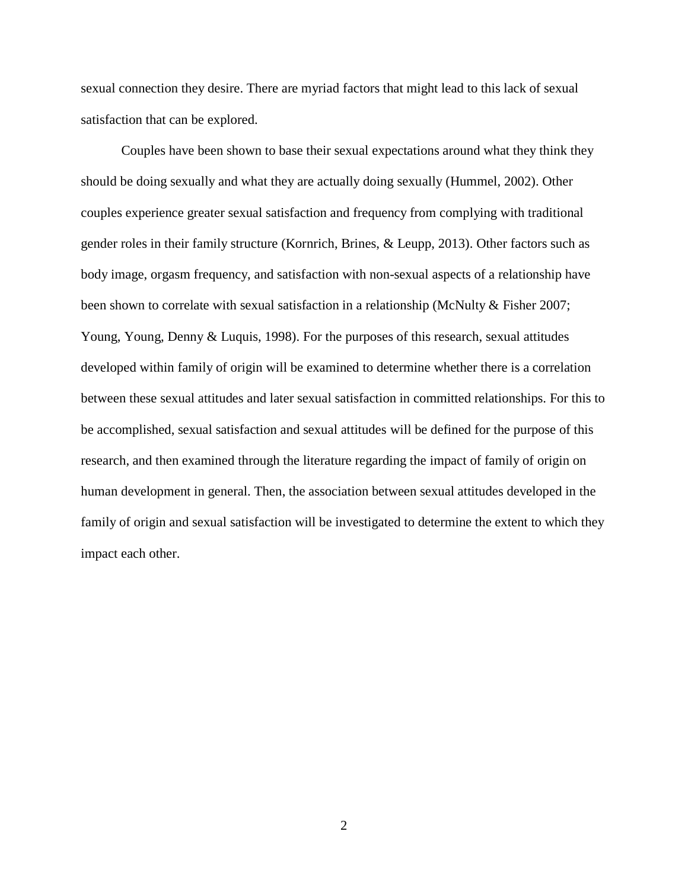sexual connection they desire. There are myriad factors that might lead to this lack of sexual satisfaction that can be explored.

Couples have been shown to base their sexual expectations around what they think they should be doing sexually and what they are actually doing sexually (Hummel, 2002). Other couples experience greater sexual satisfaction and frequency from complying with traditional gender roles in their family structure (Kornrich, Brines, & Leupp, 2013). Other factors such as body image, orgasm frequency, and satisfaction with non-sexual aspects of a relationship have been shown to correlate with sexual satisfaction in a relationship (McNulty & Fisher 2007; Young, Young, Denny & Luquis, 1998). For the purposes of this research, sexual attitudes developed within family of origin will be examined to determine whether there is a correlation between these sexual attitudes and later sexual satisfaction in committed relationships. For this to be accomplished, sexual satisfaction and sexual attitudes will be defined for the purpose of this research, and then examined through the literature regarding the impact of family of origin on human development in general. Then, the association between sexual attitudes developed in the family of origin and sexual satisfaction will be investigated to determine the extent to which they impact each other.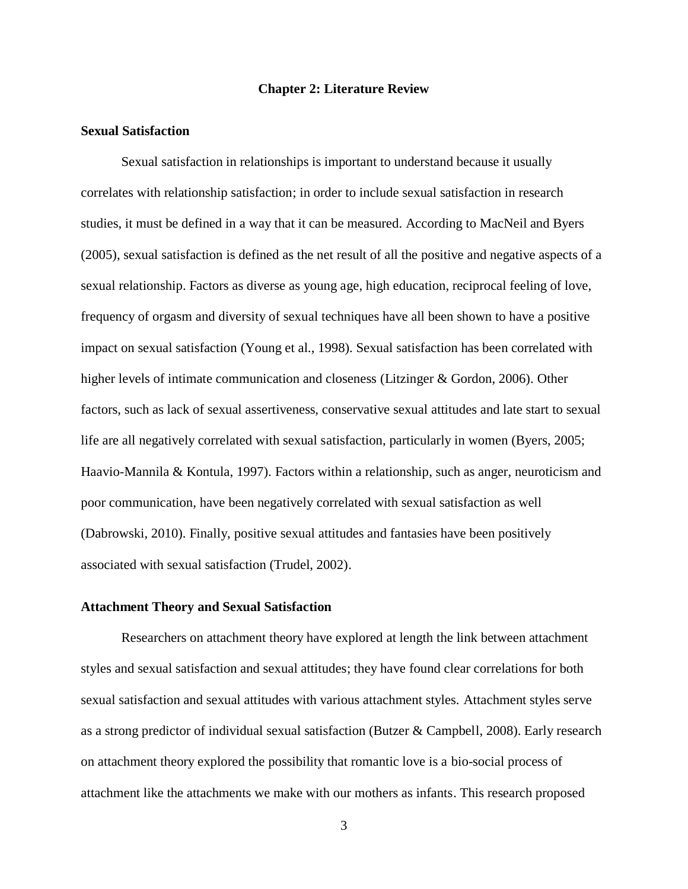#### **Chapter 2: Literature Review**

# <span id="page-11-1"></span><span id="page-11-0"></span>**Sexual Satisfaction**

Sexual satisfaction in relationships is important to understand because it usually correlates with relationship satisfaction; in order to include sexual satisfaction in research studies, it must be defined in a way that it can be measured. According to MacNeil and Byers (2005), sexual satisfaction is defined as the net result of all the positive and negative aspects of a sexual relationship. Factors as diverse as young age, high education, reciprocal feeling of love, frequency of orgasm and diversity of sexual techniques have all been shown to have a positive impact on sexual satisfaction (Young et al., 1998). Sexual satisfaction has been correlated with higher levels of intimate communication and closeness (Litzinger & Gordon, 2006). Other factors, such as lack of sexual assertiveness, conservative sexual attitudes and late start to sexual life are all negatively correlated with sexual satisfaction, particularly in women (Byers, 2005; Haavio-Mannila & Kontula, 1997). Factors within a relationship, such as anger, neuroticism and poor communication, have been negatively correlated with sexual satisfaction as well (Dabrowski, 2010). Finally, positive sexual attitudes and fantasies have been positively associated with sexual satisfaction (Trudel, 2002).

#### <span id="page-11-2"></span>**Attachment Theory and Sexual Satisfaction**

Researchers on attachment theory have explored at length the link between attachment styles and sexual satisfaction and sexual attitudes; they have found clear correlations for both sexual satisfaction and sexual attitudes with various attachment styles. Attachment styles serve as a strong predictor of individual sexual satisfaction (Butzer & Campbell, 2008). Early research on attachment theory explored the possibility that romantic love is a bio-social process of attachment like the attachments we make with our mothers as infants. This research proposed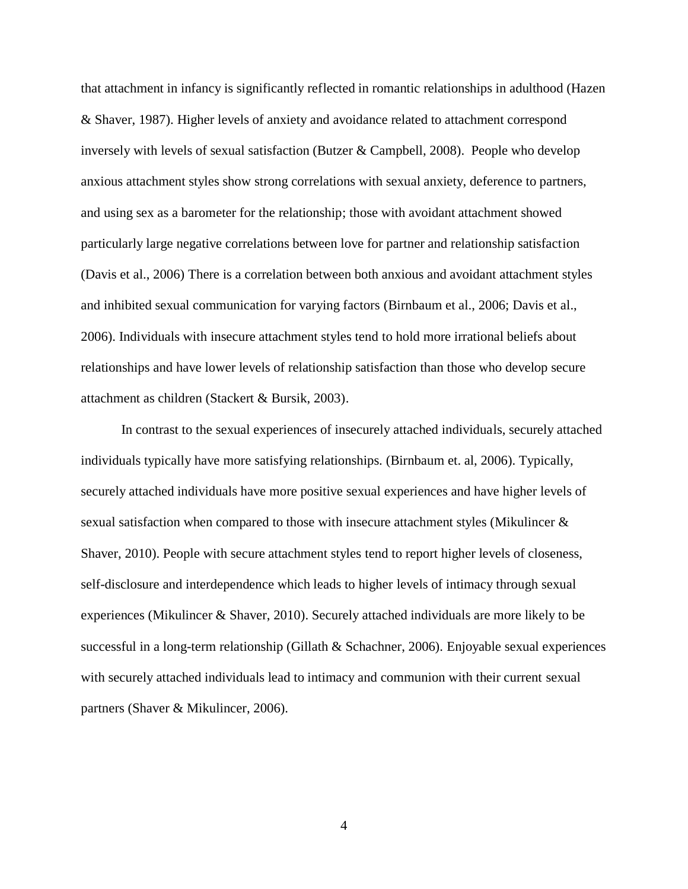that attachment in infancy is significantly reflected in romantic relationships in adulthood (Hazen & Shaver, 1987). Higher levels of anxiety and avoidance related to attachment correspond inversely with levels of sexual satisfaction (Butzer & Campbell, 2008). People who develop anxious attachment styles show strong correlations with sexual anxiety, deference to partners, and using sex as a barometer for the relationship; those with avoidant attachment showed particularly large negative correlations between love for partner and relationship satisfaction (Davis et al., 2006) There is a correlation between both anxious and avoidant attachment styles and inhibited sexual communication for varying factors (Birnbaum et al., 2006; Davis et al., 2006). Individuals with insecure attachment styles tend to hold more irrational beliefs about relationships and have lower levels of relationship satisfaction than those who develop secure attachment as children (Stackert & Bursik, 2003).

In contrast to the sexual experiences of insecurely attached individuals, securely attached individuals typically have more satisfying relationships. (Birnbaum et. al, 2006). Typically, securely attached individuals have more positive sexual experiences and have higher levels of sexual satisfaction when compared to those with insecure attachment styles (Mikulincer & Shaver, 2010). People with secure attachment styles tend to report higher levels of closeness, self-disclosure and interdependence which leads to higher levels of intimacy through sexual experiences (Mikulincer & Shaver, 2010). Securely attached individuals are more likely to be successful in a long-term relationship (Gillath & Schachner, 2006). Enjoyable sexual experiences with securely attached individuals lead to intimacy and communion with their current sexual partners (Shaver & Mikulincer, 2006).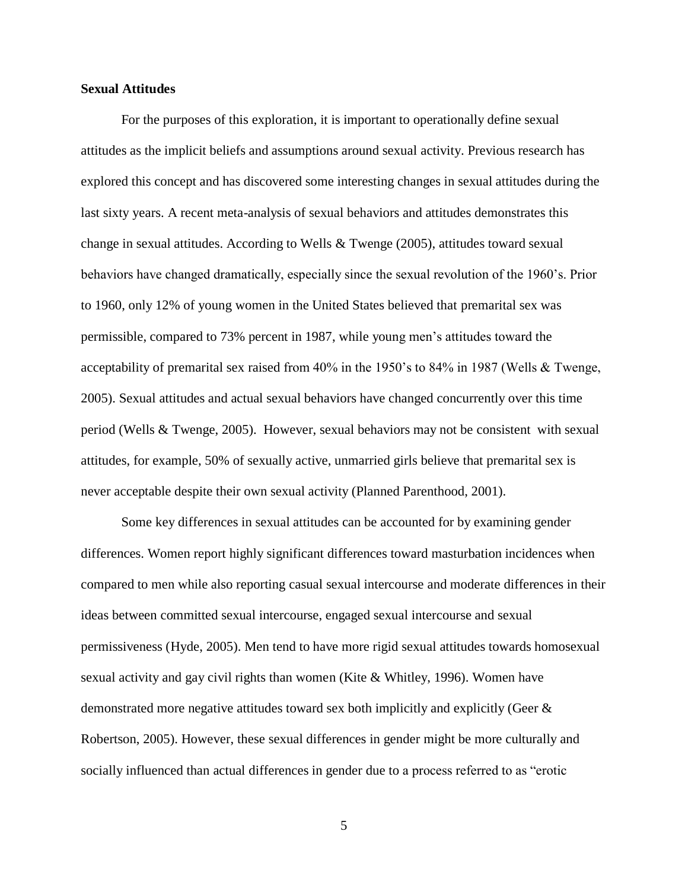#### **Sexual Attitudes**

For the purposes of this exploration, it is important to operationally define sexual attitudes as the implicit beliefs and assumptions around sexual activity. Previous research has explored this concept and has discovered some interesting changes in sexual attitudes during the last sixty years. A recent meta-analysis of sexual behaviors and attitudes demonstrates this change in sexual attitudes. According to Wells & Twenge (2005), attitudes toward sexual behaviors have changed dramatically, especially since the sexual revolution of the 1960's. Prior to 1960, only 12% of young women in the United States believed that premarital sex was permissible, compared to 73% percent in 1987, while young men's attitudes toward the acceptability of premarital sex raised from 40% in the 1950's to 84% in 1987 (Wells & Twenge, 2005). Sexual attitudes and actual sexual behaviors have changed concurrently over this time period (Wells & Twenge, 2005). However, sexual behaviors may not be consistent with sexual attitudes, for example, 50% of sexually active, unmarried girls believe that premarital sex is never acceptable despite their own sexual activity (Planned Parenthood, 2001).

Some key differences in sexual attitudes can be accounted for by examining gender differences. Women report highly significant differences toward masturbation incidences when compared to men while also reporting casual sexual intercourse and moderate differences in their ideas between committed sexual intercourse, engaged sexual intercourse and sexual permissiveness (Hyde, 2005). Men tend to have more rigid sexual attitudes towards homosexual sexual activity and gay civil rights than women (Kite & Whitley, 1996). Women have demonstrated more negative attitudes toward sex both implicitly and explicitly (Geer & Robertson, 2005). However, these sexual differences in gender might be more culturally and socially influenced than actual differences in gender due to a process referred to as "erotic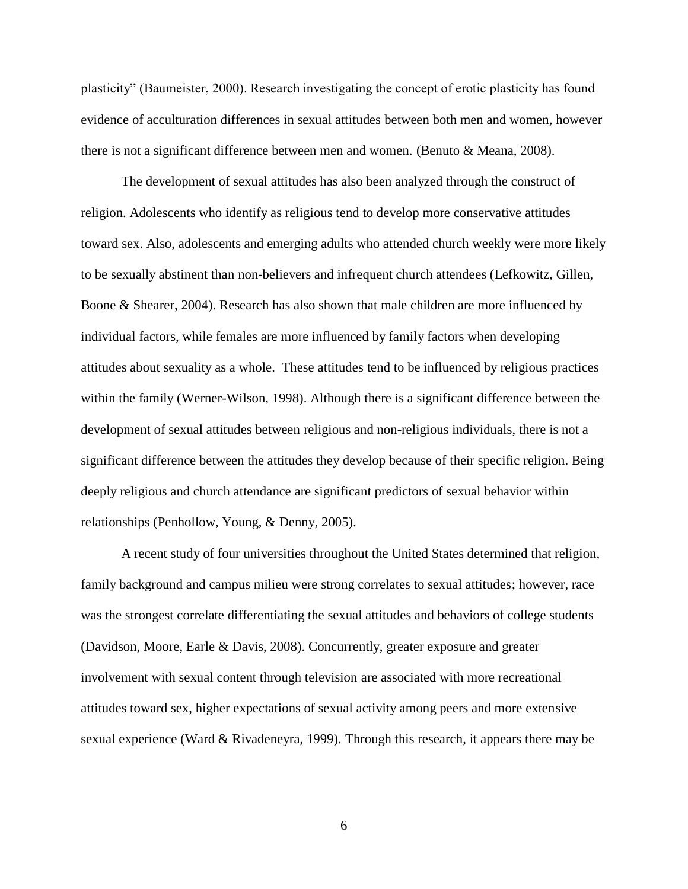plasticity" (Baumeister, 2000). Research investigating the concept of erotic plasticity has found evidence of acculturation differences in sexual attitudes between both men and women, however there is not a significant difference between men and women. (Benuto & Meana, 2008).

The development of sexual attitudes has also been analyzed through the construct of religion. Adolescents who identify as religious tend to develop more conservative attitudes toward sex. Also, adolescents and emerging adults who attended church weekly were more likely to be sexually abstinent than non-believers and infrequent church attendees (Lefkowitz, Gillen, Boone & Shearer, 2004). Research has also shown that male children are more influenced by individual factors, while females are more influenced by family factors when developing attitudes about sexuality as a whole. These attitudes tend to be influenced by religious practices within the family (Werner-Wilson, 1998). Although there is a significant difference between the development of sexual attitudes between religious and non-religious individuals, there is not a significant difference between the attitudes they develop because of their specific religion. Being deeply religious and church attendance are significant predictors of sexual behavior within relationships (Penhollow, Young, & Denny, 2005).

A recent study of four universities throughout the United States determined that religion, family background and campus milieu were strong correlates to sexual attitudes; however, race was the strongest correlate differentiating the sexual attitudes and behaviors of college students (Davidson, Moore, Earle & Davis, 2008). Concurrently, greater exposure and greater involvement with sexual content through television are associated with more recreational attitudes toward sex, higher expectations of sexual activity among peers and more extensive sexual experience (Ward & Rivadeneyra, 1999). Through this research, it appears there may be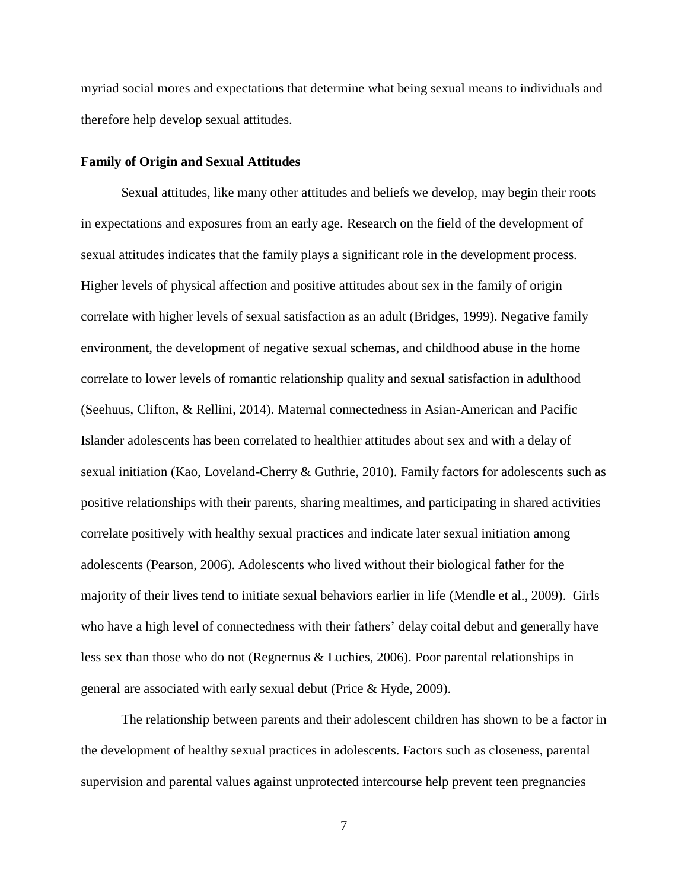myriad social mores and expectations that determine what being sexual means to individuals and therefore help develop sexual attitudes.

#### <span id="page-15-0"></span>**Family of Origin and Sexual Attitudes**

Sexual attitudes, like many other attitudes and beliefs we develop, may begin their roots in expectations and exposures from an early age. Research on the field of the development of sexual attitudes indicates that the family plays a significant role in the development process. Higher levels of physical affection and positive attitudes about sex in the family of origin correlate with higher levels of sexual satisfaction as an adult (Bridges, 1999). Negative family environment, the development of negative sexual schemas, and childhood abuse in the home correlate to lower levels of romantic relationship quality and sexual satisfaction in adulthood (Seehuus, Clifton, & Rellini, 2014). Maternal connectedness in Asian-American and Pacific Islander adolescents has been correlated to healthier attitudes about sex and with a delay of sexual initiation (Kao, Loveland-Cherry & Guthrie, 2010). Family factors for adolescents such as positive relationships with their parents, sharing mealtimes, and participating in shared activities correlate positively with healthy sexual practices and indicate later sexual initiation among adolescents (Pearson, 2006). Adolescents who lived without their biological father for the majority of their lives tend to initiate sexual behaviors earlier in life (Mendle et al., 2009). Girls who have a high level of connectedness with their fathers' delay coital debut and generally have less sex than those who do not (Regnernus & Luchies, 2006). Poor parental relationships in general are associated with early sexual debut (Price & Hyde, 2009).

The relationship between parents and their adolescent children has shown to be a factor in the development of healthy sexual practices in adolescents. Factors such as closeness, parental supervision and parental values against unprotected intercourse help prevent teen pregnancies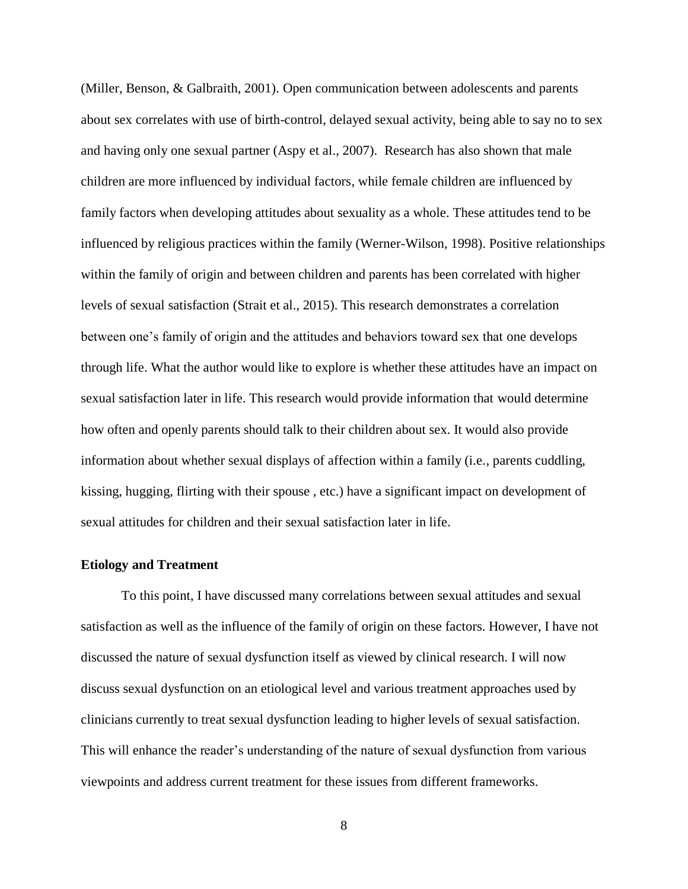(Miller, Benson, & Galbraith, 2001). Open communication between adolescents and parents about sex correlates with use of birth-control, delayed sexual activity, being able to say no to sex and having only one sexual partner (Aspy et al., 2007). Research has also shown that male children are more influenced by individual factors, while female children are influenced by family factors when developing attitudes about sexuality as a whole. These attitudes tend to be influenced by religious practices within the family (Werner-Wilson, 1998). Positive relationships within the family of origin and between children and parents has been correlated with higher levels of sexual satisfaction (Strait et al., 2015). This research demonstrates a correlation between one's family of origin and the attitudes and behaviors toward sex that one develops through life. What the author would like to explore is whether these attitudes have an impact on sexual satisfaction later in life. This research would provide information that would determine how often and openly parents should talk to their children about sex. It would also provide information about whether sexual displays of affection within a family (i.e., parents cuddling, kissing, hugging, flirting with their spouse , etc.) have a significant impact on development of sexual attitudes for children and their sexual satisfaction later in life.

### <span id="page-16-0"></span>**Etiology and Treatment**

To this point, I have discussed many correlations between sexual attitudes and sexual satisfaction as well as the influence of the family of origin on these factors. However, I have not discussed the nature of sexual dysfunction itself as viewed by clinical research. I will now discuss sexual dysfunction on an etiological level and various treatment approaches used by clinicians currently to treat sexual dysfunction leading to higher levels of sexual satisfaction. This will enhance the reader's understanding of the nature of sexual dysfunction from various viewpoints and address current treatment for these issues from different frameworks.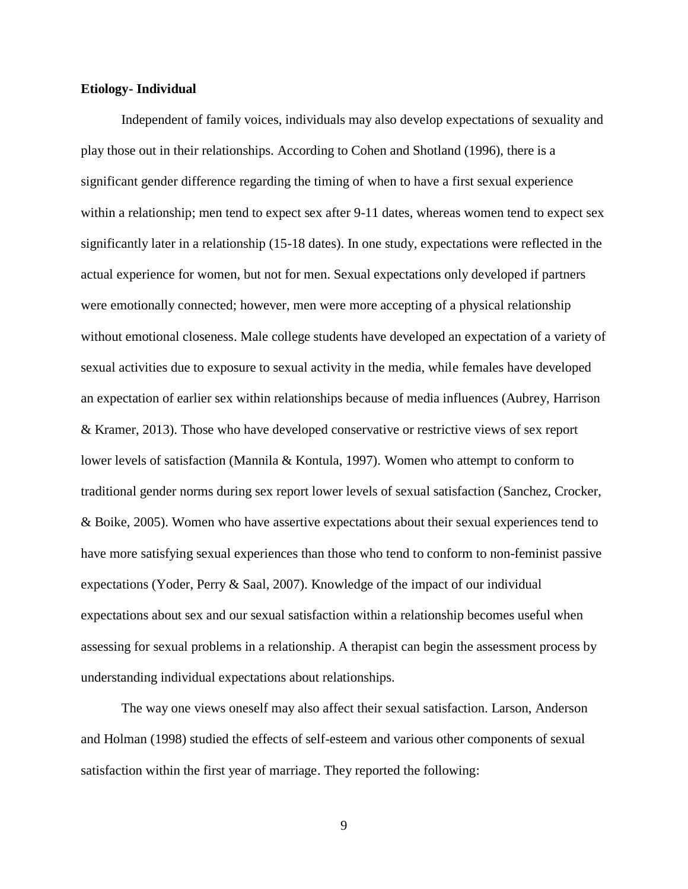## <span id="page-17-0"></span>**Etiology- Individual**

Independent of family voices, individuals may also develop expectations of sexuality and play those out in their relationships. According to Cohen and Shotland (1996), there is a significant gender difference regarding the timing of when to have a first sexual experience within a relationship; men tend to expect sex after 9-11 dates, whereas women tend to expect sex significantly later in a relationship (15-18 dates). In one study, expectations were reflected in the actual experience for women, but not for men. Sexual expectations only developed if partners were emotionally connected; however, men were more accepting of a physical relationship without emotional closeness. Male college students have developed an expectation of a variety of sexual activities due to exposure to sexual activity in the media, while females have developed an expectation of earlier sex within relationships because of media influences (Aubrey, Harrison & Kramer, 2013). Those who have developed conservative or restrictive views of sex report lower levels of satisfaction (Mannila & Kontula, 1997). Women who attempt to conform to traditional gender norms during sex report lower levels of sexual satisfaction (Sanchez, Crocker, & Boike, 2005). Women who have assertive expectations about their sexual experiences tend to have more satisfying sexual experiences than those who tend to conform to non-feminist passive expectations (Yoder, Perry & Saal, 2007). Knowledge of the impact of our individual expectations about sex and our sexual satisfaction within a relationship becomes useful when assessing for sexual problems in a relationship. A therapist can begin the assessment process by understanding individual expectations about relationships.

The way one views oneself may also affect their sexual satisfaction. Larson, Anderson and Holman (1998) studied the effects of self-esteem and various other components of sexual satisfaction within the first year of marriage. They reported the following: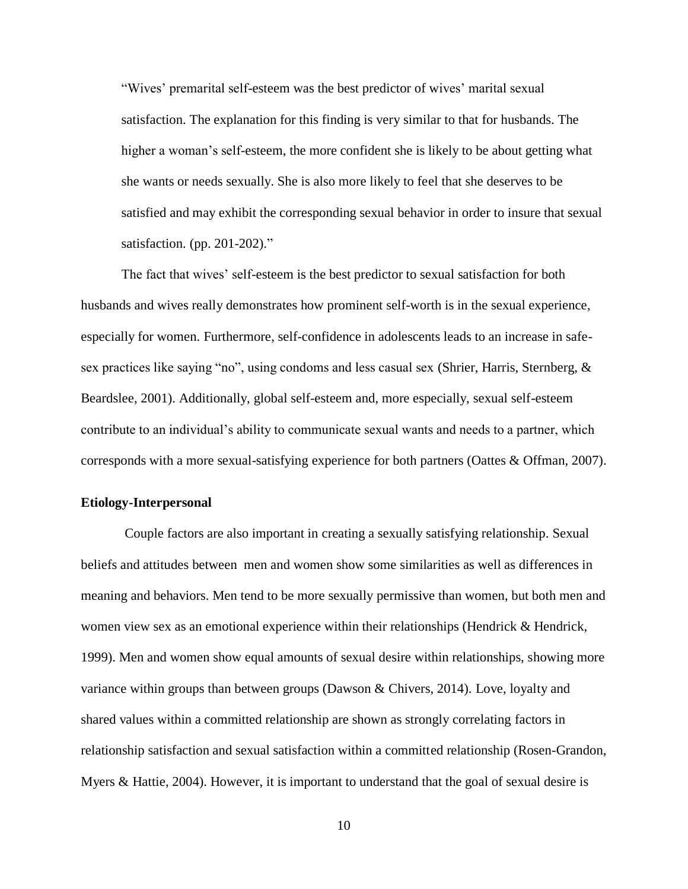"Wives' premarital self-esteem was the best predictor of wives' marital sexual satisfaction. The explanation for this finding is very similar to that for husbands. The higher a woman's self-esteem, the more confident she is likely to be about getting what she wants or needs sexually. She is also more likely to feel that she deserves to be satisfied and may exhibit the corresponding sexual behavior in order to insure that sexual satisfaction. (pp. 201-202)."

The fact that wives' self-esteem is the best predictor to sexual satisfaction for both husbands and wives really demonstrates how prominent self-worth is in the sexual experience, especially for women. Furthermore, self-confidence in adolescents leads to an increase in safesex practices like saying "no", using condoms and less casual sex (Shrier, Harris, Sternberg, & Beardslee, 2001). Additionally, global self-esteem and, more especially, sexual self-esteem contribute to an individual's ability to communicate sexual wants and needs to a partner, which corresponds with a more sexual-satisfying experience for both partners (Oattes & Offman, 2007).

# <span id="page-18-0"></span>**Etiology-Interpersonal**

Couple factors are also important in creating a sexually satisfying relationship. Sexual beliefs and attitudes between men and women show some similarities as well as differences in meaning and behaviors. Men tend to be more sexually permissive than women, but both men and women view sex as an emotional experience within their relationships (Hendrick & Hendrick, 1999). Men and women show equal amounts of sexual desire within relationships, showing more variance within groups than between groups (Dawson & Chivers, 2014). Love, loyalty and shared values within a committed relationship are shown as strongly correlating factors in relationship satisfaction and sexual satisfaction within a committed relationship (Rosen-Grandon, Myers & Hattie, 2004). However, it is important to understand that the goal of sexual desire is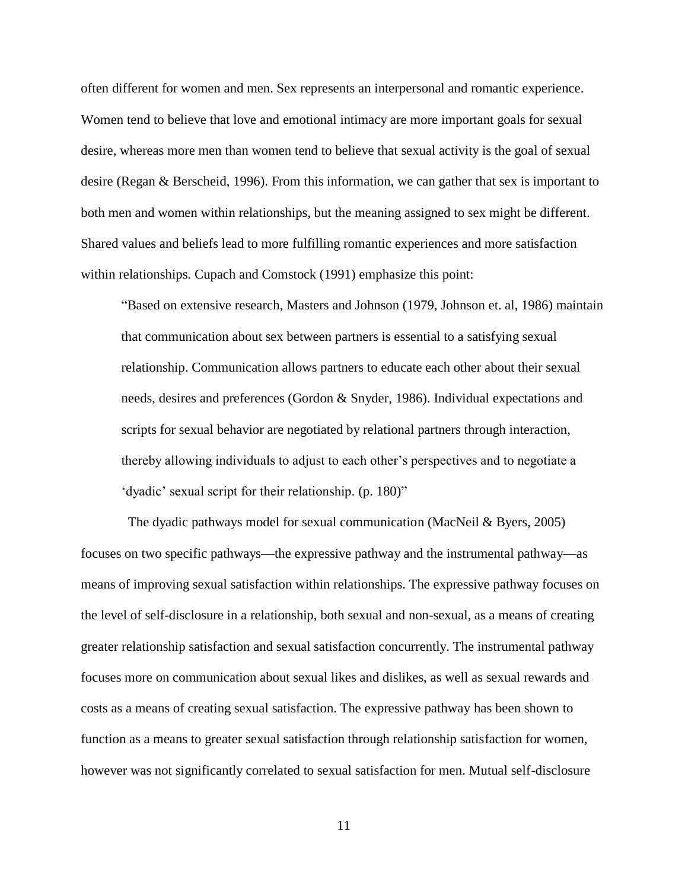often different for women and men. Sex represents an interpersonal and romantic experience. Women tend to believe that love and emotional intimacy are more important goals for sexual desire, whereas more men than women tend to believe that sexual activity is the goal of sexual desire (Regan & Berscheid, 1996). From this information, we can gather that sex is important to both men and women within relationships, but the meaning assigned to sex might be different. Shared values and beliefs lead to more fulfilling romantic experiences and more satisfaction within relationships. Cupach and Comstock (1991) emphasize this point:

"Based on extensive research, Masters and Johnson (1979, Johnson et. al, 1986) maintain that communication about sex between partners is essential to a satisfying sexual relationship. Communication allows partners to educate each other about their sexual needs, desires and preferences (Gordon & Snyder, 1986). Individual expectations and scripts for sexual behavior are negotiated by relational partners through interaction, thereby allowing individuals to adjust to each other's perspectives and to negotiate a 'dyadic' sexual script for their relationship. (p. 180)"

The dyadic pathways model for sexual communication (MacNeil & Byers, 2005) focuses on two specific pathways—the expressive pathway and the instrumental pathway—as means of improving sexual satisfaction within relationships. The expressive pathway focuses on the level of self-disclosure in a relationship, both sexual and non-sexual, as a means of creating greater relationship satisfaction and sexual satisfaction concurrently. The instrumental pathway focuses more on communication about sexual likes and dislikes, as well as sexual rewards and costs as a means of creating sexual satisfaction. The expressive pathway has been shown to function as a means to greater sexual satisfaction through relationship satisfaction for women, however was not significantly correlated to sexual satisfaction for men. Mutual self-disclosure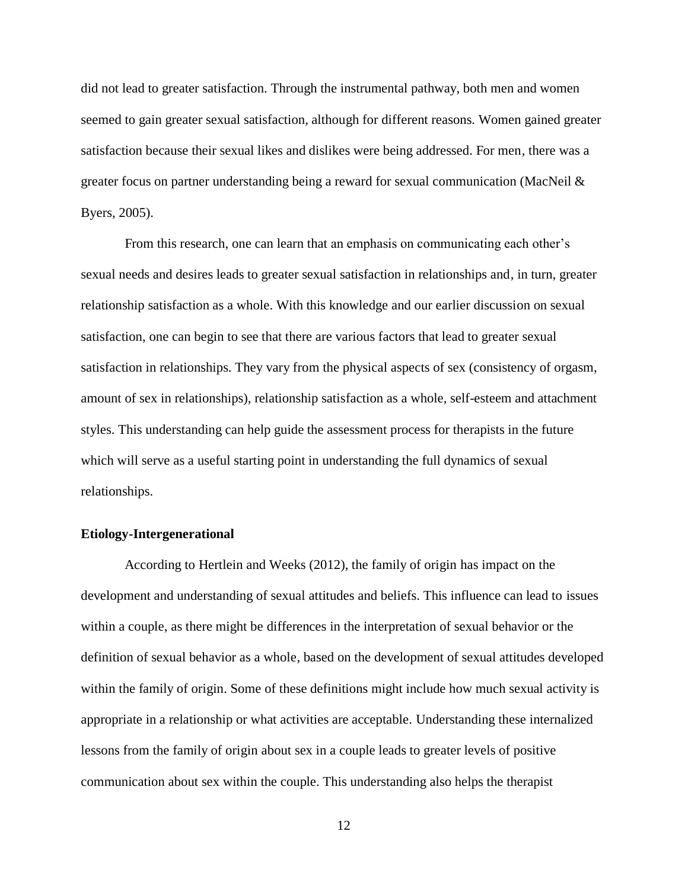did not lead to greater satisfaction. Through the instrumental pathway, both men and women seemed to gain greater sexual satisfaction, although for different reasons. Women gained greater satisfaction because their sexual likes and dislikes were being addressed. For men, there was a greater focus on partner understanding being a reward for sexual communication (MacNeil & Byers, 2005).

From this research, one can learn that an emphasis on communicating each other's sexual needs and desires leads to greater sexual satisfaction in relationships and, in turn, greater relationship satisfaction as a whole. With this knowledge and our earlier discussion on sexual satisfaction, one can begin to see that there are various factors that lead to greater sexual satisfaction in relationships. They vary from the physical aspects of sex (consistency of orgasm, amount of sex in relationships), relationship satisfaction as a whole, self-esteem and attachment styles. This understanding can help guide the assessment process for therapists in the future which will serve as a useful starting point in understanding the full dynamics of sexual relationships.

# <span id="page-20-0"></span>**Etiology-Intergenerational**

According to Hertlein and Weeks (2012), the family of origin has impact on the development and understanding of sexual attitudes and beliefs. This influence can lead to issues within a couple, as there might be differences in the interpretation of sexual behavior or the definition of sexual behavior as a whole, based on the development of sexual attitudes developed within the family of origin. Some of these definitions might include how much sexual activity is appropriate in a relationship or what activities are acceptable. Understanding these internalized lessons from the family of origin about sex in a couple leads to greater levels of positive communication about sex within the couple. This understanding also helps the therapist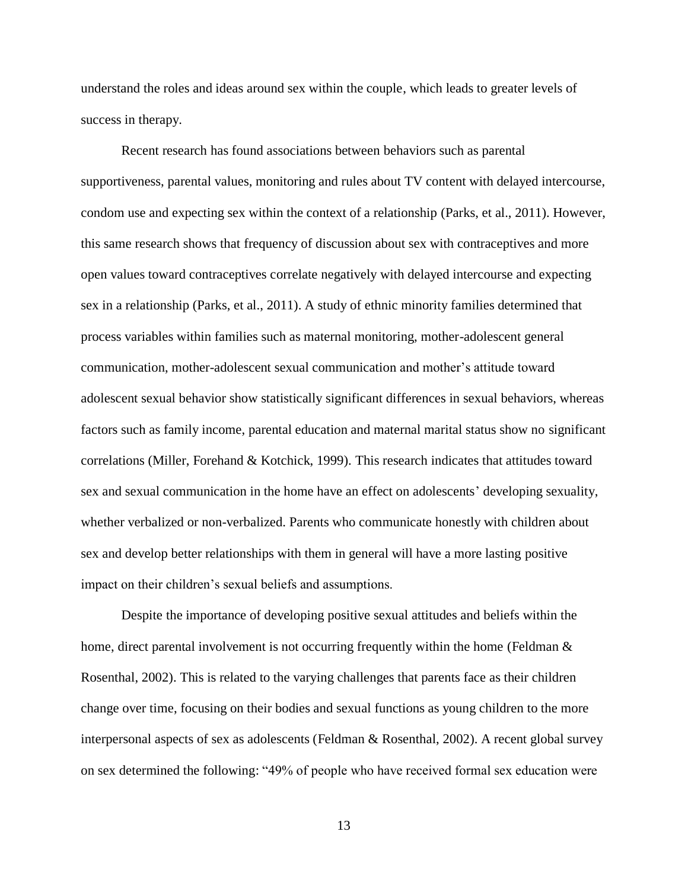understand the roles and ideas around sex within the couple, which leads to greater levels of success in therapy.

Recent research has found associations between behaviors such as parental supportiveness, parental values, monitoring and rules about TV content with delayed intercourse, condom use and expecting sex within the context of a relationship (Parks, et al., 2011). However, this same research shows that frequency of discussion about sex with contraceptives and more open values toward contraceptives correlate negatively with delayed intercourse and expecting sex in a relationship (Parks, et al., 2011). A study of ethnic minority families determined that process variables within families such as maternal monitoring, mother-adolescent general communication, mother-adolescent sexual communication and mother's attitude toward adolescent sexual behavior show statistically significant differences in sexual behaviors, whereas factors such as family income, parental education and maternal marital status show no significant correlations (Miller, Forehand & Kotchick, 1999). This research indicates that attitudes toward sex and sexual communication in the home have an effect on adolescents' developing sexuality, whether verbalized or non-verbalized. Parents who communicate honestly with children about sex and develop better relationships with them in general will have a more lasting positive impact on their children's sexual beliefs and assumptions.

Despite the importance of developing positive sexual attitudes and beliefs within the home, direct parental involvement is not occurring frequently within the home (Feldman  $\&$ Rosenthal, 2002). This is related to the varying challenges that parents face as their children change over time, focusing on their bodies and sexual functions as young children to the more interpersonal aspects of sex as adolescents (Feldman & Rosenthal, 2002). A recent global survey on sex determined the following: "49% of people who have received formal sex education were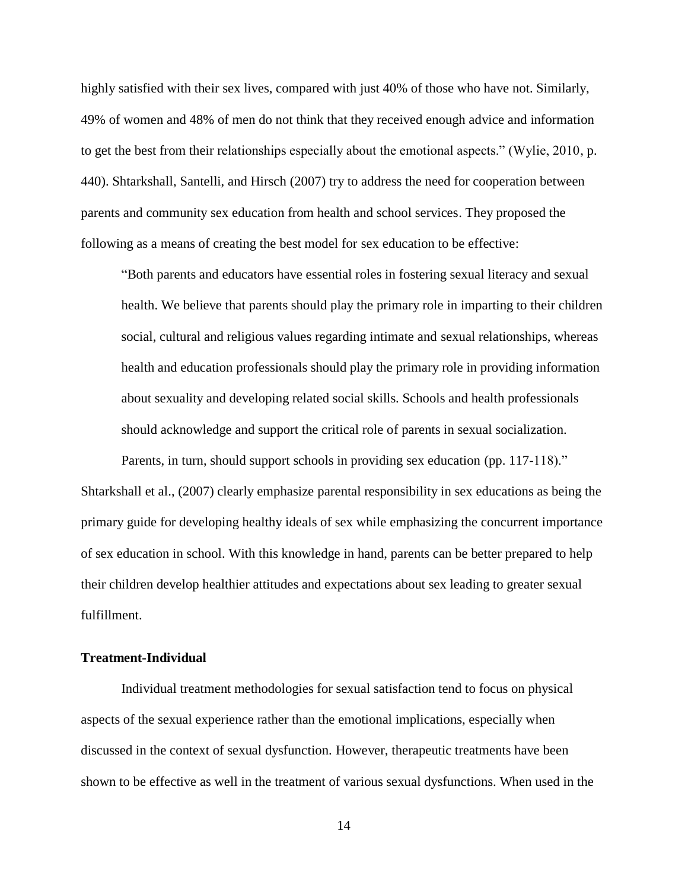highly satisfied with their sex lives, compared with just 40% of those who have not. Similarly, 49% of women and 48% of men do not think that they received enough advice and information to get the best from their relationships especially about the emotional aspects." (Wylie, 2010, p. 440). Shtarkshall, Santelli, and Hirsch (2007) try to address the need for cooperation between parents and community sex education from health and school services. They proposed the following as a means of creating the best model for sex education to be effective:

"Both parents and educators have essential roles in fostering sexual literacy and sexual health. We believe that parents should play the primary role in imparting to their children social, cultural and religious values regarding intimate and sexual relationships, whereas health and education professionals should play the primary role in providing information about sexuality and developing related social skills. Schools and health professionals should acknowledge and support the critical role of parents in sexual socialization.

Parents, in turn, should support schools in providing sex education (pp. 117-118)." Shtarkshall et al., (2007) clearly emphasize parental responsibility in sex educations as being the primary guide for developing healthy ideals of sex while emphasizing the concurrent importance of sex education in school. With this knowledge in hand, parents can be better prepared to help their children develop healthier attitudes and expectations about sex leading to greater sexual fulfillment.

# <span id="page-22-0"></span>**Treatment-Individual**

Individual treatment methodologies for sexual satisfaction tend to focus on physical aspects of the sexual experience rather than the emotional implications, especially when discussed in the context of sexual dysfunction. However, therapeutic treatments have been shown to be effective as well in the treatment of various sexual dysfunctions. When used in the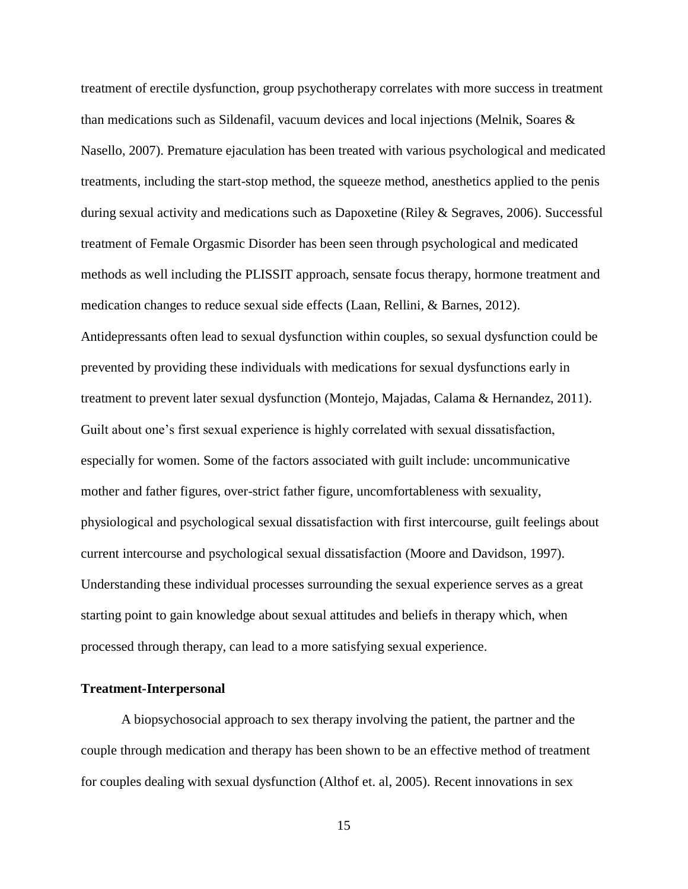treatment of erectile dysfunction, group psychotherapy correlates with more success in treatment than medications such as Sildenafil, vacuum devices and local injections (Melnik, Soares & Nasello, 2007). Premature ejaculation has been treated with various psychological and medicated treatments, including the start-stop method, the squeeze method, anesthetics applied to the penis during sexual activity and medications such as Dapoxetine (Riley & Segraves, 2006). Successful treatment of Female Orgasmic Disorder has been seen through psychological and medicated methods as well including the PLISSIT approach, sensate focus therapy, hormone treatment and medication changes to reduce sexual side effects (Laan, Rellini, & Barnes, 2012). Antidepressants often lead to sexual dysfunction within couples, so sexual dysfunction could be prevented by providing these individuals with medications for sexual dysfunctions early in treatment to prevent later sexual dysfunction (Montejo, Majadas, Calama & Hernandez, 2011). Guilt about one's first sexual experience is highly correlated with sexual dissatisfaction, especially for women. Some of the factors associated with guilt include: uncommunicative mother and father figures, over-strict father figure, uncomfortableness with sexuality, physiological and psychological sexual dissatisfaction with first intercourse, guilt feelings about current intercourse and psychological sexual dissatisfaction (Moore and Davidson, 1997). Understanding these individual processes surrounding the sexual experience serves as a great starting point to gain knowledge about sexual attitudes and beliefs in therapy which, when processed through therapy, can lead to a more satisfying sexual experience.

# <span id="page-23-0"></span>**Treatment-Interpersonal**

A biopsychosocial approach to sex therapy involving the patient, the partner and the couple through medication and therapy has been shown to be an effective method of treatment for couples dealing with sexual dysfunction (Althof et. al, 2005). Recent innovations in sex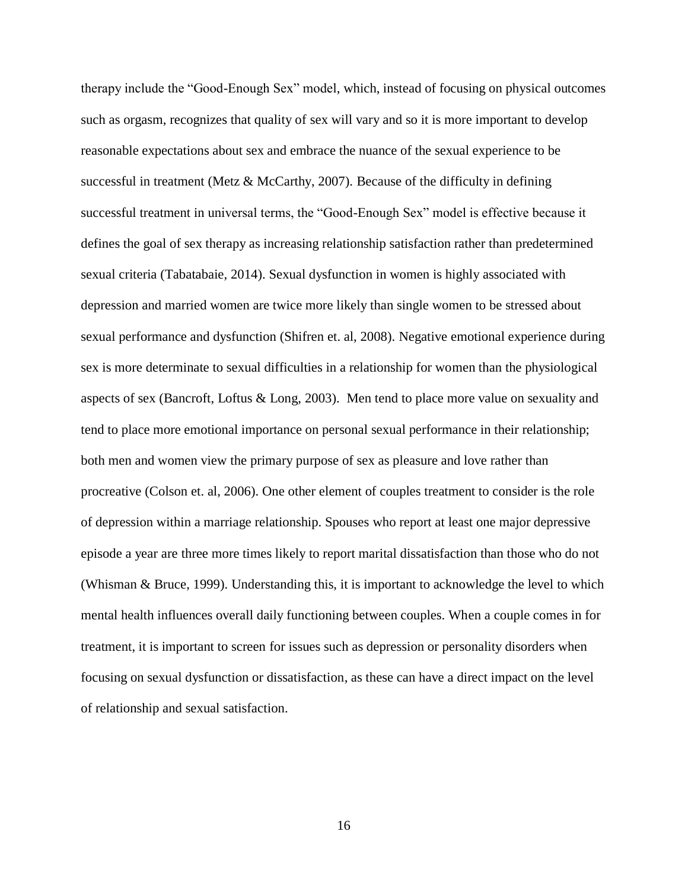therapy include the "Good-Enough Sex" model, which, instead of focusing on physical outcomes such as orgasm, recognizes that quality of sex will vary and so it is more important to develop reasonable expectations about sex and embrace the nuance of the sexual experience to be successful in treatment (Metz  $\&$  McCarthy, 2007). Because of the difficulty in defining successful treatment in universal terms, the "Good-Enough Sex" model is effective because it defines the goal of sex therapy as increasing relationship satisfaction rather than predetermined sexual criteria (Tabatabaie, 2014). Sexual dysfunction in women is highly associated with depression and married women are twice more likely than single women to be stressed about sexual performance and dysfunction (Shifren et. al, 2008). Negative emotional experience during sex is more determinate to sexual difficulties in a relationship for women than the physiological aspects of sex (Bancroft, Loftus & Long, 2003). Men tend to place more value on sexuality and tend to place more emotional importance on personal sexual performance in their relationship; both men and women view the primary purpose of sex as pleasure and love rather than procreative (Colson et. al, 2006). One other element of couples treatment to consider is the role of depression within a marriage relationship. Spouses who report at least one major depressive episode a year are three more times likely to report marital dissatisfaction than those who do not (Whisman & Bruce, 1999). Understanding this, it is important to acknowledge the level to which mental health influences overall daily functioning between couples. When a couple comes in for treatment, it is important to screen for issues such as depression or personality disorders when focusing on sexual dysfunction or dissatisfaction, as these can have a direct impact on the level of relationship and sexual satisfaction.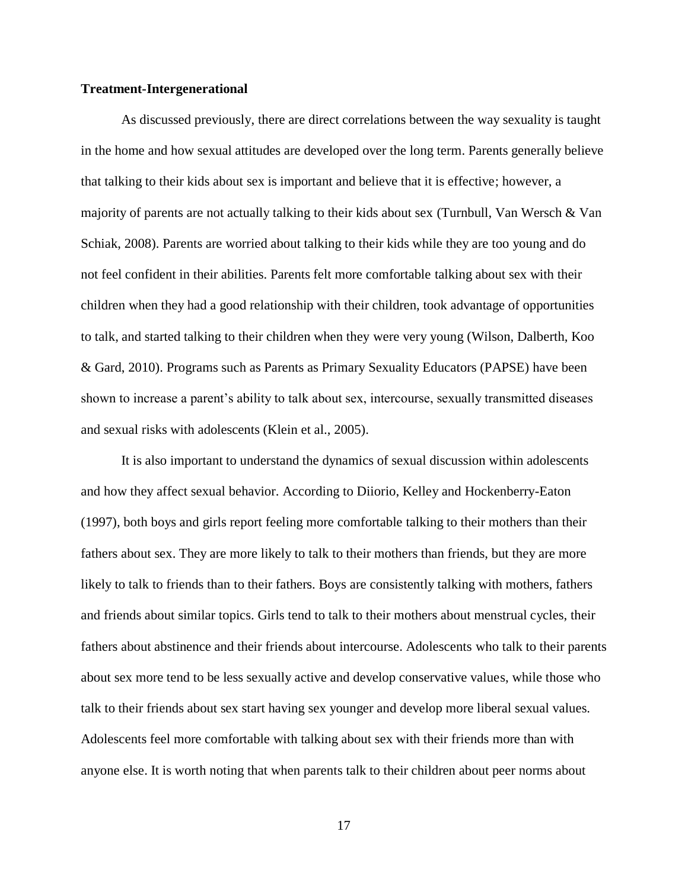## <span id="page-25-0"></span>**Treatment-Intergenerational**

As discussed previously, there are direct correlations between the way sexuality is taught in the home and how sexual attitudes are developed over the long term. Parents generally believe that talking to their kids about sex is important and believe that it is effective; however, a majority of parents are not actually talking to their kids about sex (Turnbull, Van Wersch & Van Schiak, 2008). Parents are worried about talking to their kids while they are too young and do not feel confident in their abilities. Parents felt more comfortable talking about sex with their children when they had a good relationship with their children, took advantage of opportunities to talk, and started talking to their children when they were very young (Wilson, Dalberth, Koo & Gard, 2010). Programs such as Parents as Primary Sexuality Educators (PAPSE) have been shown to increase a parent's ability to talk about sex, intercourse, sexually transmitted diseases and sexual risks with adolescents (Klein et al., 2005).

It is also important to understand the dynamics of sexual discussion within adolescents and how they affect sexual behavior. According to Diiorio, Kelley and Hockenberry-Eaton (1997), both boys and girls report feeling more comfortable talking to their mothers than their fathers about sex. They are more likely to talk to their mothers than friends, but they are more likely to talk to friends than to their fathers. Boys are consistently talking with mothers, fathers and friends about similar topics. Girls tend to talk to their mothers about menstrual cycles, their fathers about abstinence and their friends about intercourse. Adolescents who talk to their parents about sex more tend to be less sexually active and develop conservative values, while those who talk to their friends about sex start having sex younger and develop more liberal sexual values. Adolescents feel more comfortable with talking about sex with their friends more than with anyone else. It is worth noting that when parents talk to their children about peer norms about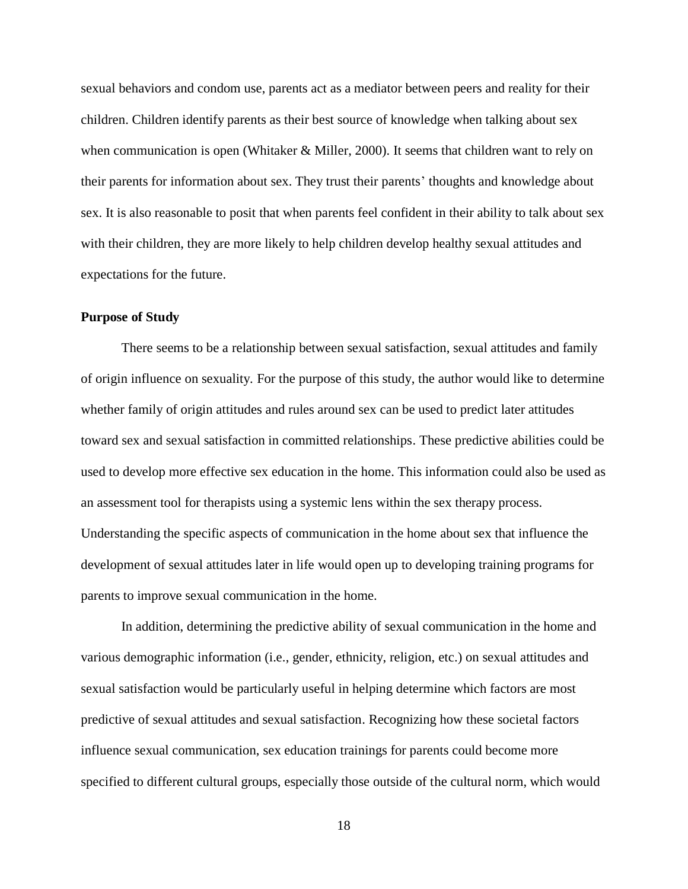sexual behaviors and condom use, parents act as a mediator between peers and reality for their children. Children identify parents as their best source of knowledge when talking about sex when communication is open (Whitaker & Miller, 2000). It seems that children want to rely on their parents for information about sex. They trust their parents' thoughts and knowledge about sex. It is also reasonable to posit that when parents feel confident in their ability to talk about sex with their children, they are more likely to help children develop healthy sexual attitudes and expectations for the future.

# <span id="page-26-0"></span>**Purpose of Study**

There seems to be a relationship between sexual satisfaction, sexual attitudes and family of origin influence on sexuality. For the purpose of this study, the author would like to determine whether family of origin attitudes and rules around sex can be used to predict later attitudes toward sex and sexual satisfaction in committed relationships. These predictive abilities could be used to develop more effective sex education in the home. This information could also be used as an assessment tool for therapists using a systemic lens within the sex therapy process. Understanding the specific aspects of communication in the home about sex that influence the development of sexual attitudes later in life would open up to developing training programs for parents to improve sexual communication in the home.

In addition, determining the predictive ability of sexual communication in the home and various demographic information (i.e., gender, ethnicity, religion, etc.) on sexual attitudes and sexual satisfaction would be particularly useful in helping determine which factors are most predictive of sexual attitudes and sexual satisfaction. Recognizing how these societal factors influence sexual communication, sex education trainings for parents could become more specified to different cultural groups, especially those outside of the cultural norm, which would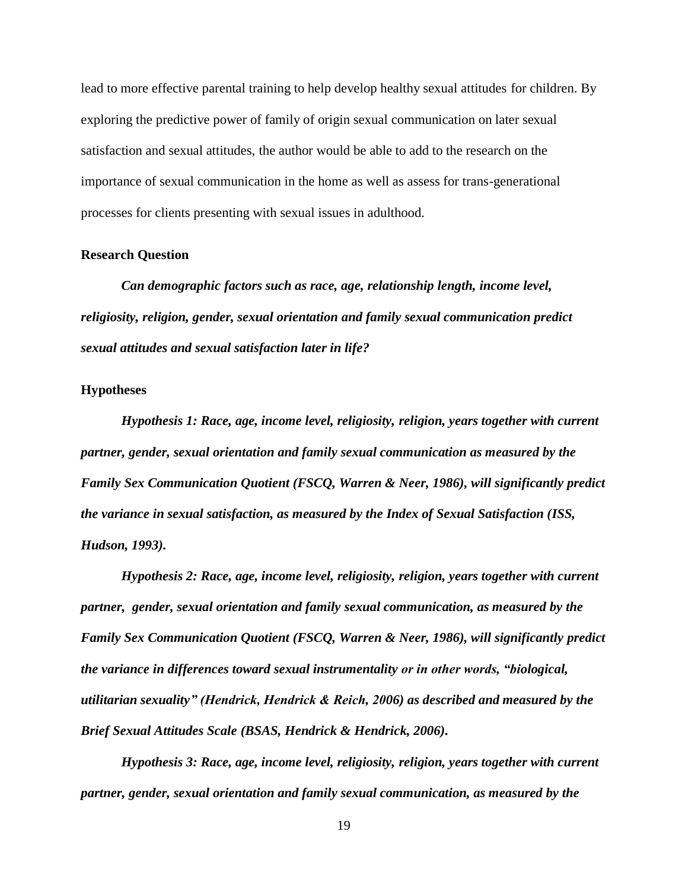lead to more effective parental training to help develop healthy sexual attitudes for children. By exploring the predictive power of family of origin sexual communication on later sexual satisfaction and sexual attitudes, the author would be able to add to the research on the importance of sexual communication in the home as well as assess for trans-generational processes for clients presenting with sexual issues in adulthood.

#### <span id="page-27-0"></span>**Research Question**

*Can demographic factors such as race, age, relationship length, income level, religiosity, religion, gender, sexual orientation and family sexual communication predict sexual attitudes and sexual satisfaction later in life?* 

#### <span id="page-27-1"></span>**Hypotheses**

*Hypothesis 1: Race, age, income level, religiosity, religion, years together with current partner, gender, sexual orientation and family sexual communication as measured by the Family Sex Communication Quotient (FSCQ, Warren & Neer, 1986), will significantly predict the variance in sexual satisfaction, as measured by the Index of Sexual Satisfaction (ISS, Hudson, 1993).*

*Hypothesis 2: Race, age, income level, religiosity, religion, years together with current partner, gender, sexual orientation and family sexual communication, as measured by the Family Sex Communication Quotient (FSCQ, Warren & Neer, 1986), will significantly predict the variance in differences toward sexual instrumentality or in other words, "biological, utilitarian sexuality" (Hendrick, Hendrick & Reich, 2006) as described and measured by the Brief Sexual Attitudes Scale (BSAS, Hendrick & Hendrick, 2006).* 

*Hypothesis 3: Race, age, income level, religiosity, religion, years together with current partner, gender, sexual orientation and family sexual communication, as measured by the*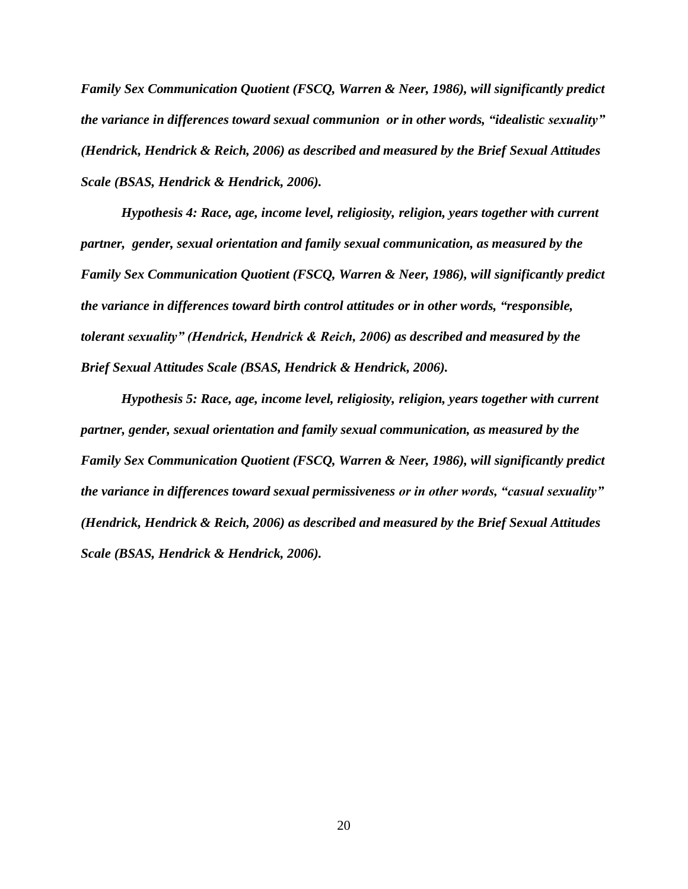*Family Sex Communication Quotient (FSCQ, Warren & Neer, 1986), will significantly predict the variance in differences toward sexual communion or in other words, "idealistic sexuality" (Hendrick, Hendrick & Reich, 2006) as described and measured by the Brief Sexual Attitudes Scale (BSAS, Hendrick & Hendrick, 2006).*

*Hypothesis 4: Race, age, income level, religiosity, religion, years together with current partner, gender, sexual orientation and family sexual communication, as measured by the Family Sex Communication Quotient (FSCQ, Warren & Neer, 1986), will significantly predict the variance in differences toward birth control attitudes or in other words, "responsible, tolerant sexuality" (Hendrick, Hendrick & Reich, 2006) as described and measured by the Brief Sexual Attitudes Scale (BSAS, Hendrick & Hendrick, 2006).*

*Hypothesis 5: Race, age, income level, religiosity, religion, years together with current partner, gender, sexual orientation and family sexual communication, as measured by the Family Sex Communication Quotient (FSCQ, Warren & Neer, 1986), will significantly predict the variance in differences toward sexual permissiveness or in other words, "casual sexuality" (Hendrick, Hendrick & Reich, 2006) as described and measured by the Brief Sexual Attitudes Scale (BSAS, Hendrick & Hendrick, 2006).*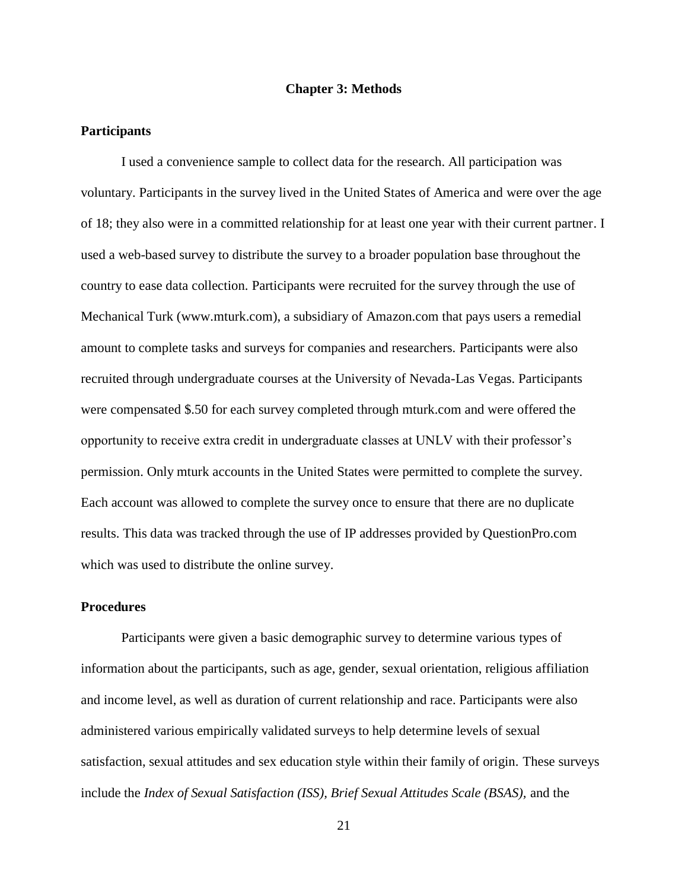# **Chapter 3: Methods**

#### <span id="page-29-1"></span><span id="page-29-0"></span>**Participants**

I used a convenience sample to collect data for the research. All participation was voluntary. Participants in the survey lived in the United States of America and were over the age of 18; they also were in a committed relationship for at least one year with their current partner. I used a web-based survey to distribute the survey to a broader population base throughout the country to ease data collection. Participants were recruited for the survey through the use of Mechanical Turk (www.mturk.com), a subsidiary of Amazon.com that pays users a remedial amount to complete tasks and surveys for companies and researchers. Participants were also recruited through undergraduate courses at the University of Nevada-Las Vegas. Participants were compensated \$.50 for each survey completed through mturk.com and were offered the opportunity to receive extra credit in undergraduate classes at UNLV with their professor's permission. Only mturk accounts in the United States were permitted to complete the survey. Each account was allowed to complete the survey once to ensure that there are no duplicate results. This data was tracked through the use of IP addresses provided by QuestionPro.com which was used to distribute the online survey.

# <span id="page-29-2"></span>**Procedures**

Participants were given a basic demographic survey to determine various types of information about the participants, such as age, gender, sexual orientation, religious affiliation and income level, as well as duration of current relationship and race. Participants were also administered various empirically validated surveys to help determine levels of sexual satisfaction, sexual attitudes and sex education style within their family of origin. These surveys include the *Index of Sexual Satisfaction (ISS), Brief Sexual Attitudes Scale (BSAS),* and the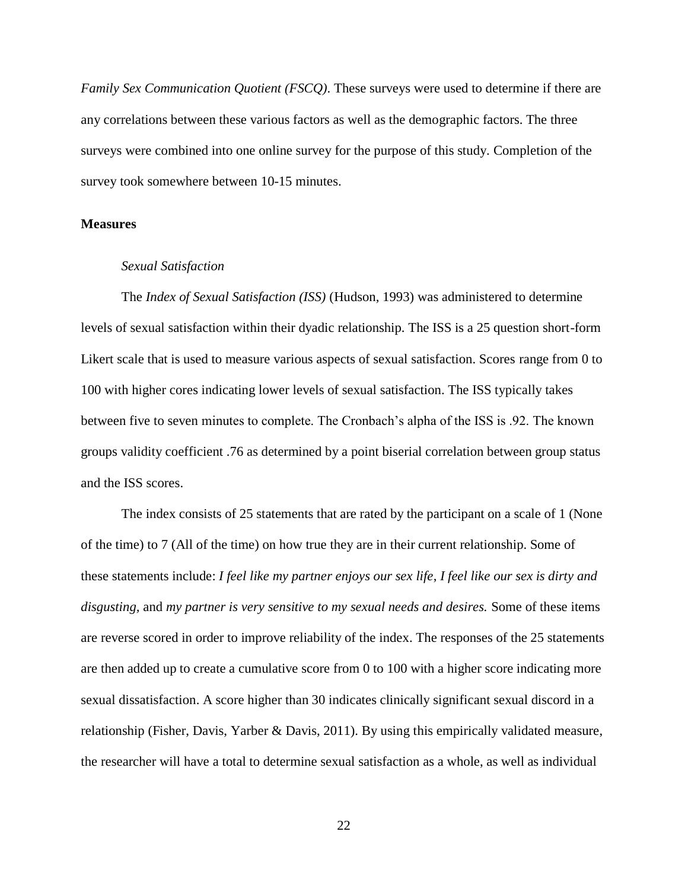*Family Sex Communication Quotient (FSCQ)*. These surveys were used to determine if there are any correlations between these various factors as well as the demographic factors. The three surveys were combined into one online survey for the purpose of this study. Completion of the survey took somewhere between 10-15 minutes.

# <span id="page-30-1"></span><span id="page-30-0"></span>**Measures**

### *Sexual Satisfaction*

The *Index of Sexual Satisfaction (ISS)* (Hudson, 1993) was administered to determine levels of sexual satisfaction within their dyadic relationship. The ISS is a 25 question short-form Likert scale that is used to measure various aspects of sexual satisfaction. Scores range from 0 to 100 with higher cores indicating lower levels of sexual satisfaction. The ISS typically takes between five to seven minutes to complete. The Cronbach's alpha of the ISS is .92. The known groups validity coefficient .76 as determined by a point biserial correlation between group status and the ISS scores.

The index consists of 25 statements that are rated by the participant on a scale of 1 (None of the time) to 7 (All of the time) on how true they are in their current relationship. Some of these statements include: *I feel like my partner enjoys our sex life*, *I feel like our sex is dirty and disgusting,* and *my partner is very sensitive to my sexual needs and desires.* Some of these items are reverse scored in order to improve reliability of the index. The responses of the 25 statements are then added up to create a cumulative score from 0 to 100 with a higher score indicating more sexual dissatisfaction. A score higher than 30 indicates clinically significant sexual discord in a relationship (Fisher, Davis, Yarber & Davis, 2011). By using this empirically validated measure, the researcher will have a total to determine sexual satisfaction as a whole, as well as individual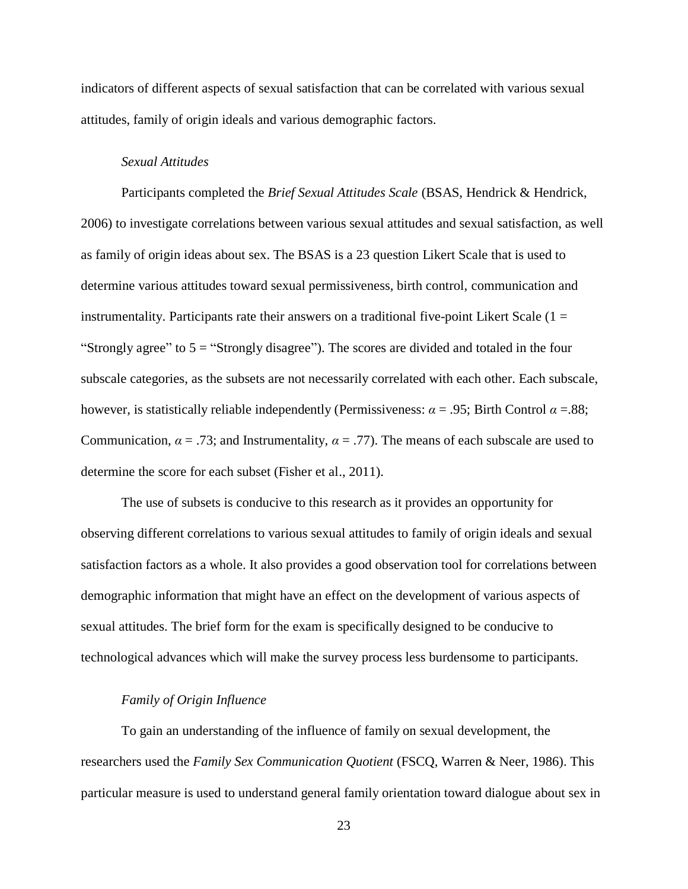indicators of different aspects of sexual satisfaction that can be correlated with various sexual attitudes, family of origin ideals and various demographic factors.

# <span id="page-31-0"></span> *Sexual Attitudes*

Participants completed the *Brief Sexual Attitudes Scale* (BSAS, Hendrick & Hendrick, 2006) to investigate correlations between various sexual attitudes and sexual satisfaction, as well as family of origin ideas about sex. The BSAS is a 23 question Likert Scale that is used to determine various attitudes toward sexual permissiveness, birth control, communication and instrumentality. Participants rate their answers on a traditional five-point Likert Scale  $(1 =$ "Strongly agree" to  $5 =$  "Strongly disagree"). The scores are divided and totaled in the four subscale categories, as the subsets are not necessarily correlated with each other. Each subscale, however, is statistically reliable independently (Permissiveness: *α* = .95; Birth Control *α* =.88; Communication,  $\alpha = .73$ ; and Instrumentality,  $\alpha = .77$ ). The means of each subscale are used to determine the score for each subset (Fisher et al., 2011).

The use of subsets is conducive to this research as it provides an opportunity for observing different correlations to various sexual attitudes to family of origin ideals and sexual satisfaction factors as a whole. It also provides a good observation tool for correlations between demographic information that might have an effect on the development of various aspects of sexual attitudes. The brief form for the exam is specifically designed to be conducive to technological advances which will make the survey process less burdensome to participants.

# <span id="page-31-1"></span>*Family of Origin Influence*

To gain an understanding of the influence of family on sexual development, the researchers used the *Family Sex Communication Quotient* (FSCQ, Warren & Neer, 1986). This particular measure is used to understand general family orientation toward dialogue about sex in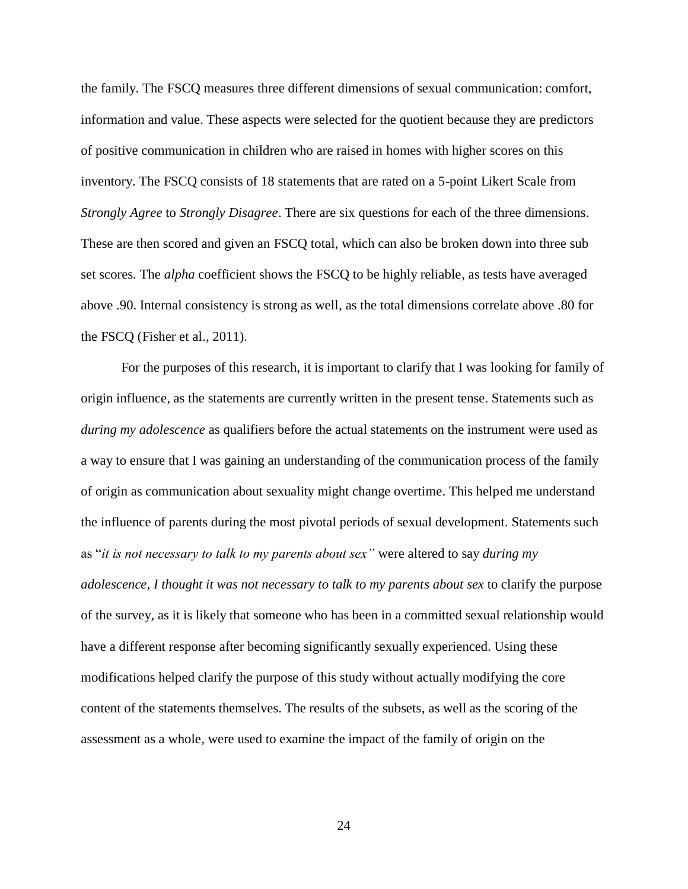the family. The FSCQ measures three different dimensions of sexual communication: comfort, information and value. These aspects were selected for the quotient because they are predictors of positive communication in children who are raised in homes with higher scores on this inventory. The FSCQ consists of 18 statements that are rated on a 5-point Likert Scale from *Strongly Agree* to *Strongly Disagree*. There are six questions for each of the three dimensions. These are then scored and given an FSCQ total, which can also be broken down into three sub set scores. The *alpha* coefficient shows the FSCQ to be highly reliable, as tests have averaged above .90. Internal consistency is strong as well, as the total dimensions correlate above .80 for the FSCQ (Fisher et al., 2011).

For the purposes of this research, it is important to clarify that I was looking for family of origin influence, as the statements are currently written in the present tense. Statements such as *during my adolescence* as qualifiers before the actual statements on the instrument were used as a way to ensure that I was gaining an understanding of the communication process of the family of origin as communication about sexuality might change overtime. This helped me understand the influence of parents during the most pivotal periods of sexual development. Statements such as "*it is not necessary to talk to my parents about sex"* were altered to say *during my adolescence, I thought it was not necessary to talk to my parents about sex* to clarify the purpose of the survey, as it is likely that someone who has been in a committed sexual relationship would have a different response after becoming significantly sexually experienced. Using these modifications helped clarify the purpose of this study without actually modifying the core content of the statements themselves. The results of the subsets, as well as the scoring of the assessment as a whole, were used to examine the impact of the family of origin on the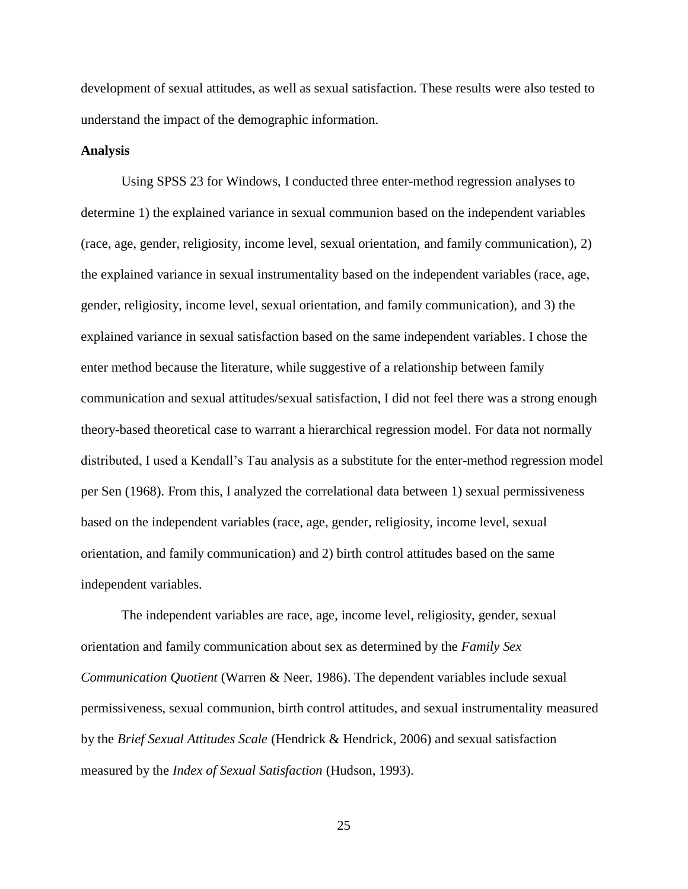development of sexual attitudes, as well as sexual satisfaction. These results were also tested to understand the impact of the demographic information.

#### **Analysis**

Using SPSS 23 for Windows, I conducted three enter-method regression analyses to determine 1) the explained variance in sexual communion based on the independent variables (race, age, gender, religiosity, income level, sexual orientation, and family communication), 2) the explained variance in sexual instrumentality based on the independent variables (race, age, gender, religiosity, income level, sexual orientation, and family communication), and 3) the explained variance in sexual satisfaction based on the same independent variables. I chose the enter method because the literature, while suggestive of a relationship between family communication and sexual attitudes/sexual satisfaction, I did not feel there was a strong enough theory-based theoretical case to warrant a hierarchical regression model. For data not normally distributed, I used a Kendall's Tau analysis as a substitute for the enter-method regression model per Sen (1968). From this, I analyzed the correlational data between 1) sexual permissiveness based on the independent variables (race, age, gender, religiosity, income level, sexual orientation, and family communication) and 2) birth control attitudes based on the same independent variables.

The independent variables are race, age, income level, religiosity, gender, sexual orientation and family communication about sex as determined by the *Family Sex Communication Quotient* (Warren & Neer, 1986). The dependent variables include sexual permissiveness, sexual communion, birth control attitudes, and sexual instrumentality measured by the *Brief Sexual Attitudes Scale* (Hendrick & Hendrick, 2006) and sexual satisfaction measured by the *Index of Sexual Satisfaction* (Hudson, 1993).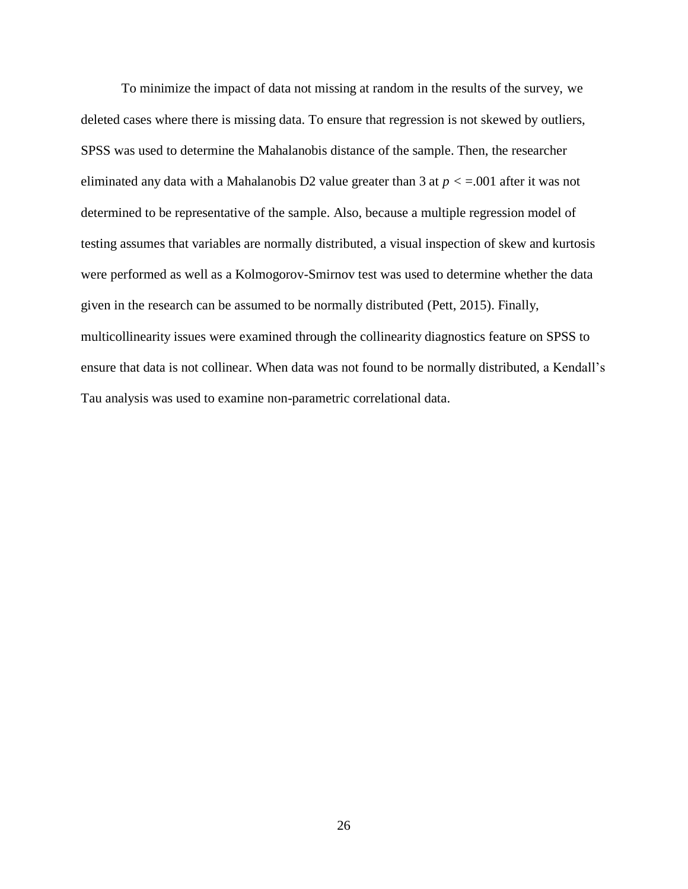To minimize the impact of data not missing at random in the results of the survey, we deleted cases where there is missing data. To ensure that regression is not skewed by outliers, SPSS was used to determine the Mahalanobis distance of the sample. Then, the researcher eliminated any data with a Mahalanobis D2 value greater than 3 at *p <* =.001 after it was not determined to be representative of the sample. Also, because a multiple regression model of testing assumes that variables are normally distributed, a visual inspection of skew and kurtosis were performed as well as a Kolmogorov-Smirnov test was used to determine whether the data given in the research can be assumed to be normally distributed (Pett, 2015). Finally, multicollinearity issues were examined through the collinearity diagnostics feature on SPSS to ensure that data is not collinear. When data was not found to be normally distributed, a Kendall's Tau analysis was used to examine non-parametric correlational data.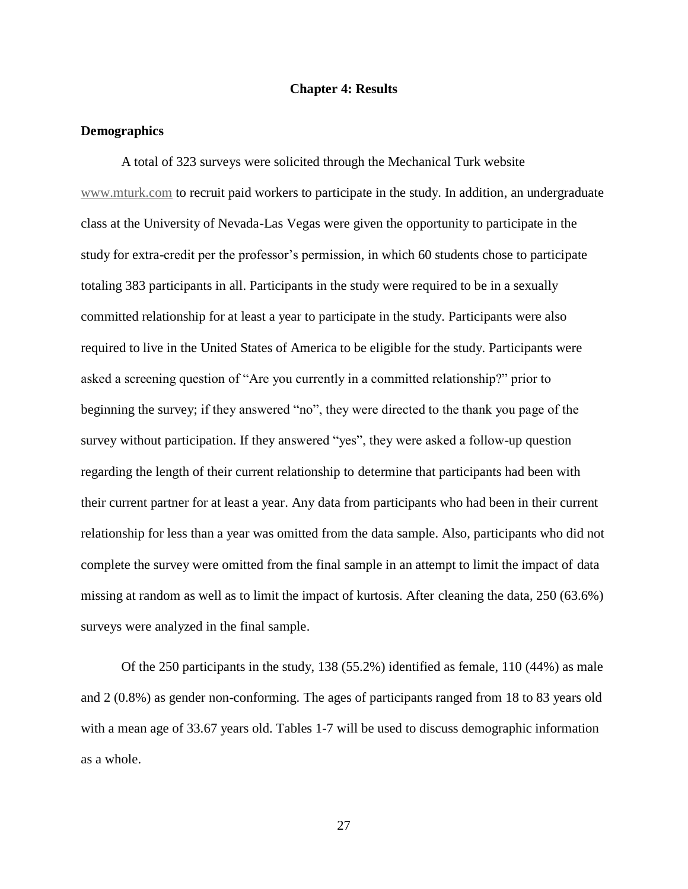# **Chapter 4: Results**

#### <span id="page-35-1"></span><span id="page-35-0"></span>**Demographics**

A total of 323 surveys were solicited through the Mechanical Turk website [www.mturk.com](http://www.mturk.com/) to recruit paid workers to participate in the study. In addition, an undergraduate class at the University of Nevada-Las Vegas were given the opportunity to participate in the study for extra-credit per the professor's permission, in which 60 students chose to participate totaling 383 participants in all. Participants in the study were required to be in a sexually committed relationship for at least a year to participate in the study. Participants were also required to live in the United States of America to be eligible for the study. Participants were asked a screening question of "Are you currently in a committed relationship?" prior to beginning the survey; if they answered "no", they were directed to the thank you page of the survey without participation. If they answered "yes", they were asked a follow-up question regarding the length of their current relationship to determine that participants had been with their current partner for at least a year. Any data from participants who had been in their current relationship for less than a year was omitted from the data sample. Also, participants who did not complete the survey were omitted from the final sample in an attempt to limit the impact of data missing at random as well as to limit the impact of kurtosis. After cleaning the data, 250 (63.6%) surveys were analyzed in the final sample.

Of the 250 participants in the study, 138 (55.2%) identified as female, 110 (44%) as male and 2 (0.8%) as gender non-conforming. The ages of participants ranged from 18 to 83 years old with a mean age of 33.67 years old. Tables 1-7 will be used to discuss demographic information as a whole.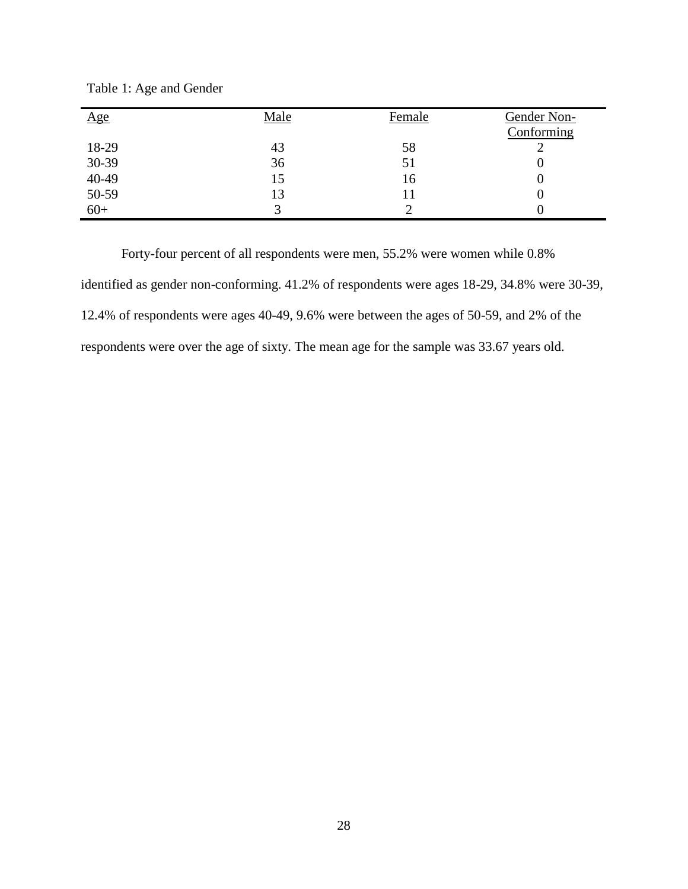| Age            | Male | Female | Gender Non-<br>Conforming |
|----------------|------|--------|---------------------------|
| 18-29          | 43   | 58     |                           |
| 30-39          | 36   | 51     |                           |
| 40-49<br>50-59 | 15   | 16     |                           |
|                | 13   | 11     |                           |
| $60+$          |      |        |                           |

Table 1: Age and Gender

Forty-four percent of all respondents were men, 55.2% were women while 0.8% identified as gender non-conforming. 41.2% of respondents were ages 18-29, 34.8% were 30-39, 12.4% of respondents were ages 40-49, 9.6% were between the ages of 50-59, and 2% of the respondents were over the age of sixty. The mean age for the sample was 33.67 years old.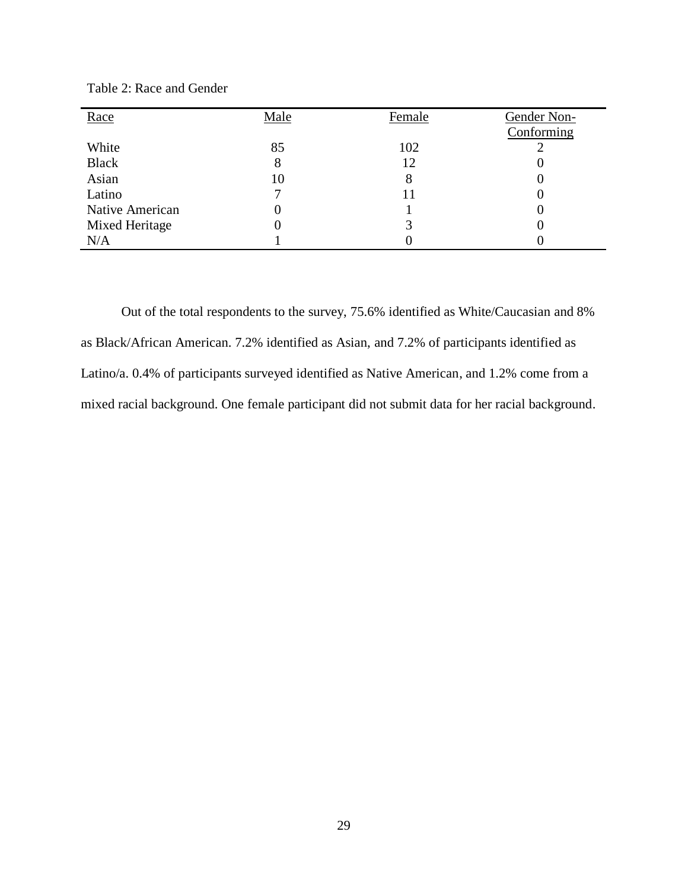| Race            | Male | Female | Gender Non-<br>Conforming |
|-----------------|------|--------|---------------------------|
| White           | 85   | 102    |                           |
| <b>Black</b>    | 8    | 12     |                           |
| Asian           | 10   | 8      |                           |
| Latino          |      |        |                           |
| Native American |      |        |                           |
| Mixed Heritage  |      |        |                           |
| N/A             |      |        |                           |

Table 2: Race and Gender

Out of the total respondents to the survey, 75.6% identified as White/Caucasian and 8% as Black/African American. 7.2% identified as Asian, and 7.2% of participants identified as Latino/a. 0.4% of participants surveyed identified as Native American, and 1.2% come from a mixed racial background. One female participant did not submit data for her racial background.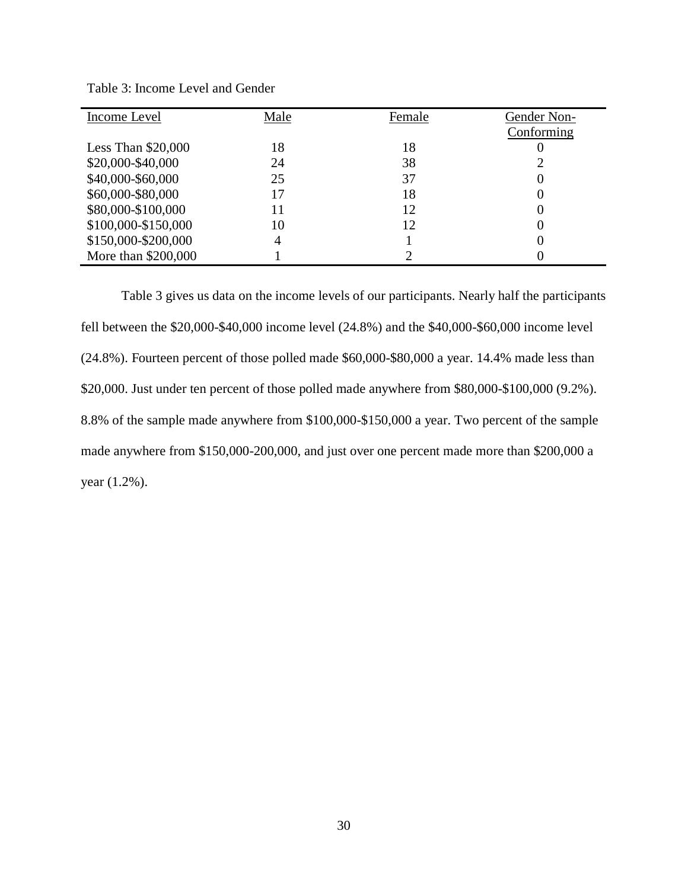| Income Level        | Male | Female | Gender Non- |
|---------------------|------|--------|-------------|
|                     |      |        | Conforming  |
| Less Than $$20,000$ | 18   | 18     |             |
| \$20,000-\$40,000   | 24   | 38     |             |
| \$40,000-\$60,000   | 25   | 37     |             |
| \$60,000-\$80,000   | 17   | 18     |             |
| \$80,000-\$100,000  | 11   | 12     |             |
| \$100,000-\$150,000 | 10   | 12     |             |
| \$150,000-\$200,000 | 4    |        |             |
| More than \$200,000 |      |        |             |

Table 3: Income Level and Gender

Table 3 gives us data on the income levels of our participants. Nearly half the participants fell between the \$20,000-\$40,000 income level (24.8%) and the \$40,000-\$60,000 income level (24.8%). Fourteen percent of those polled made \$60,000-\$80,000 a year. 14.4% made less than \$20,000. Just under ten percent of those polled made anywhere from \$80,000-\$100,000 (9.2%). 8.8% of the sample made anywhere from \$100,000-\$150,000 a year. Two percent of the sample made anywhere from \$150,000-200,000, and just over one percent made more than \$200,000 a year (1.2%).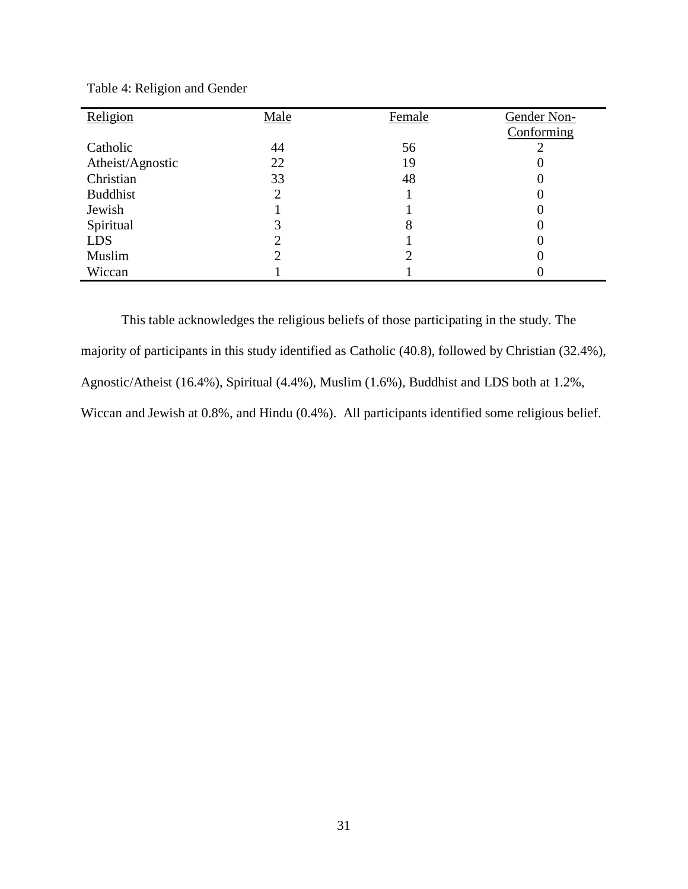| Religion         | Male | Female | Gender Non- |
|------------------|------|--------|-------------|
|                  |      |        | Conforming  |
| Catholic         | 44   | 56     |             |
| Atheist/Agnostic | 22   | 19     |             |
| Christian        | 33   | 48     |             |
| <b>Buddhist</b>  |      |        |             |
| Jewish           |      |        |             |
| Spiritual        |      | 8      |             |
| <b>LDS</b>       |      |        |             |
| Muslim           |      |        |             |
| Wiccan           |      |        |             |

Table 4: Religion and Gender

This table acknowledges the religious beliefs of those participating in the study. The majority of participants in this study identified as Catholic (40.8), followed by Christian (32.4%), Agnostic/Atheist (16.4%), Spiritual (4.4%), Muslim (1.6%), Buddhist and LDS both at 1.2%, Wiccan and Jewish at 0.8%, and Hindu (0.4%). All participants identified some religious belief.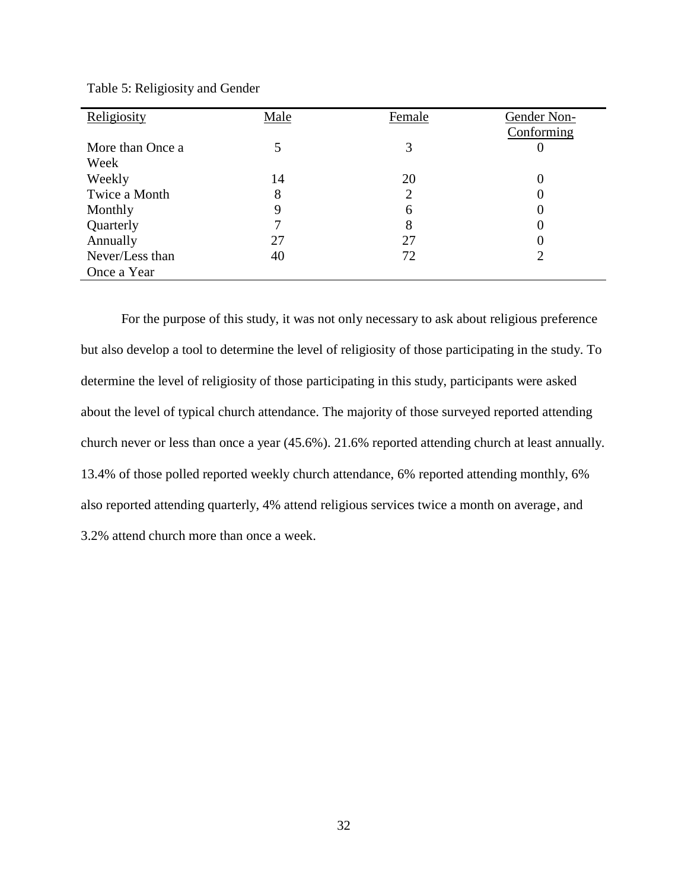| Religiosity      | Male | Female         | Gender Non-<br>Conforming |
|------------------|------|----------------|---------------------------|
| More than Once a |      | 3              |                           |
| Week             |      |                |                           |
| Weekly           | 14   | 20             |                           |
| Twice a Month    | 8    | $\overline{2}$ |                           |
| Monthly          | 9    | 6              |                           |
| Quarterly        |      | 8              |                           |
| Annually         | 27   | 27             |                           |
| Never/Less than  | 40   | 72             | 2                         |
| Once a Year      |      |                |                           |

Table 5: Religiosity and Gender

For the purpose of this study, it was not only necessary to ask about religious preference but also develop a tool to determine the level of religiosity of those participating in the study. To determine the level of religiosity of those participating in this study, participants were asked about the level of typical church attendance. The majority of those surveyed reported attending church never or less than once a year (45.6%). 21.6% reported attending church at least annually. 13.4% of those polled reported weekly church attendance, 6% reported attending monthly, 6% also reported attending quarterly, 4% attend religious services twice a month on average, and 3.2% attend church more than once a week.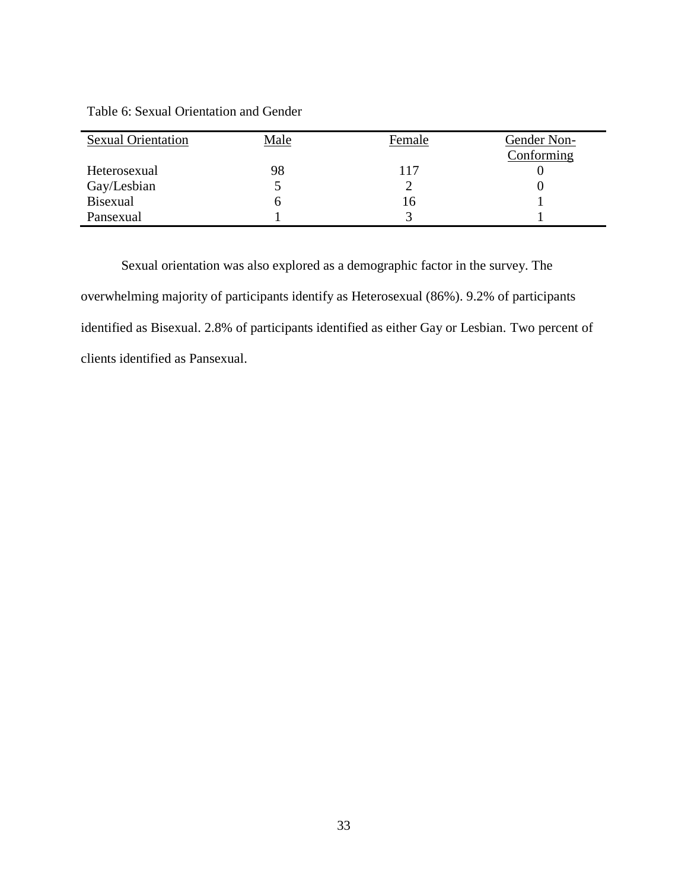|  |  | Table 6: Sexual Orientation and Gender |
|--|--|----------------------------------------|
|--|--|----------------------------------------|

| <b>Sexual Orientation</b> | <u>Male</u> | Female | Gender Non- |
|---------------------------|-------------|--------|-------------|
|                           |             |        | Conforming  |
| Heterosexual              | 98          | 117    |             |
| Gay/Lesbian               |             |        |             |
| Bisexual                  |             | 16     |             |
| Pansexual                 |             |        |             |

Sexual orientation was also explored as a demographic factor in the survey. The overwhelming majority of participants identify as Heterosexual (86%). 9.2% of participants identified as Bisexual. 2.8% of participants identified as either Gay or Lesbian. Two percent of clients identified as Pansexual.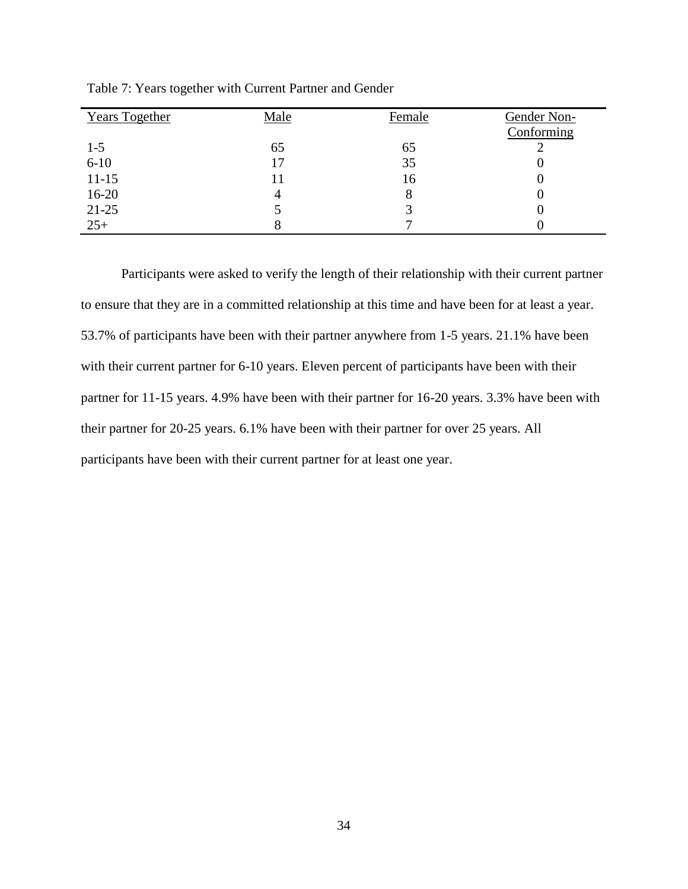| <b>Years Together</b> | Male | Female | Gender Non- |
|-----------------------|------|--------|-------------|
|                       |      |        | Conforming  |
| $1 - 5$               | 65   | 65     |             |
| $6 - 10$              | 17   | 35     |             |
| $11 - 15$             | 11   | 16     |             |
| $16-20$               | 4    | 8      |             |
| 21-25                 |      |        |             |
| $25+$                 |      |        |             |

Table 7: Years together with Current Partner and Gender

Participants were asked to verify the length of their relationship with their current partner to ensure that they are in a committed relationship at this time and have been for at least a year. 53.7% of participants have been with their partner anywhere from 1-5 years. 21.1% have been with their current partner for 6-10 years. Eleven percent of participants have been with their partner for 11-15 years. 4.9% have been with their partner for 16-20 years. 3.3% have been with their partner for 20-25 years. 6.1% have been with their partner for over 25 years. All participants have been with their current partner for at least one year.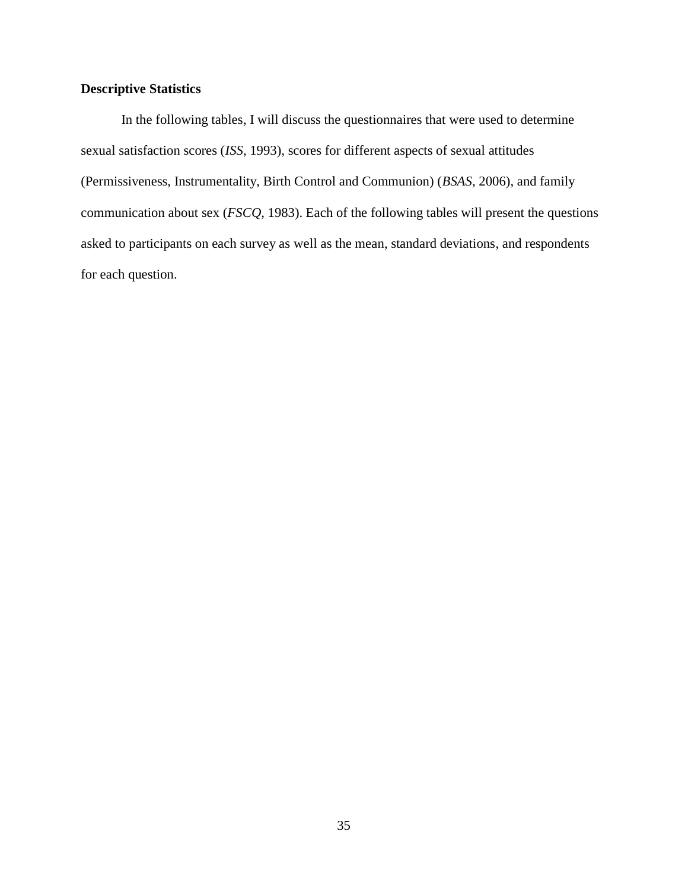# **Descriptive Statistics**

In the following tables, I will discuss the questionnaires that were used to determine sexual satisfaction scores (*ISS*, 1993), scores for different aspects of sexual attitudes (Permissiveness, Instrumentality, Birth Control and Communion) (*BSAS*, 2006), and family communication about sex (*FSCQ*, 1983). Each of the following tables will present the questions asked to participants on each survey as well as the mean, standard deviations, and respondents for each question.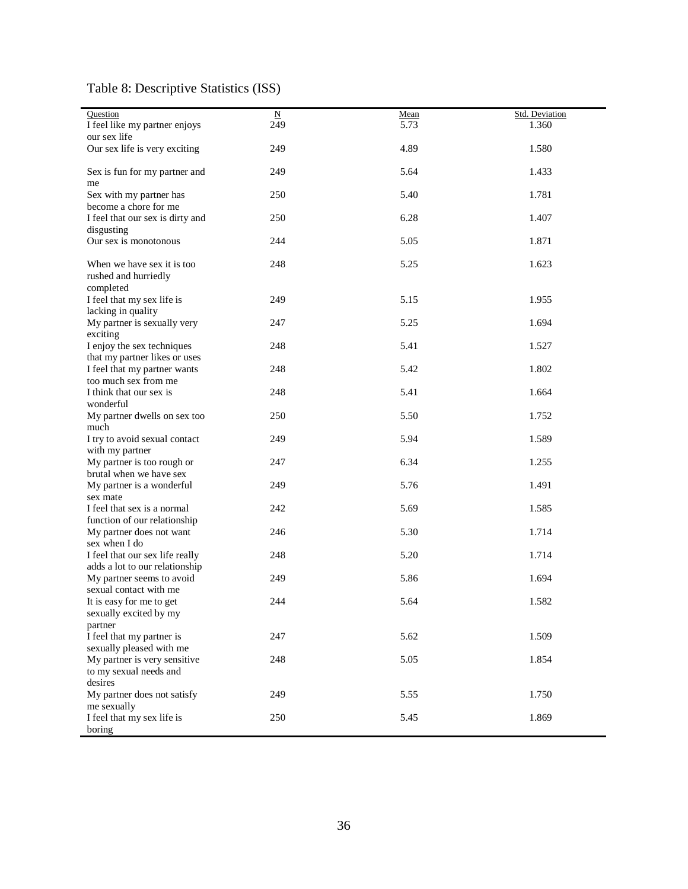#### Table 8: Descriptive Statistics (ISS)

| Question<br>I feel like my partner enjoys                         | $\overline{\text{N}}$<br>249 | Mean<br>5.73 | Std. Deviation<br>1.360 |
|-------------------------------------------------------------------|------------------------------|--------------|-------------------------|
| our sex life                                                      |                              |              |                         |
| Our sex life is very exciting                                     | 249                          | 4.89         | 1.580                   |
| Sex is fun for my partner and<br>me                               | 249                          | 5.64         | 1.433                   |
| Sex with my partner has<br>become a chore for me                  | 250                          | 5.40         | 1.781                   |
| I feel that our sex is dirty and                                  | 250                          | 6.28         | 1.407                   |
| disgusting<br>Our sex is monotonous                               | 244                          | 5.05         | 1.871                   |
| When we have sex it is too<br>rushed and hurriedly<br>completed   | 248                          | 5.25         | 1.623                   |
| I feel that my sex life is<br>lacking in quality                  | 249                          | 5.15         | 1.955                   |
| My partner is sexually very<br>exciting                           | 247                          | 5.25         | 1.694                   |
| I enjoy the sex techniques<br>that my partner likes or uses       | 248                          | 5.41         | 1.527                   |
| I feel that my partner wants<br>too much sex from me              | 248                          | 5.42         | 1.802                   |
| I think that our sex is<br>wonderful                              | 248                          | 5.41         | 1.664                   |
| My partner dwells on sex too<br>much                              | 250                          | 5.50         | 1.752                   |
| I try to avoid sexual contact<br>with my partner                  | 249                          | 5.94         | 1.589                   |
| My partner is too rough or<br>brutal when we have sex             | 247                          | 6.34         | 1.255                   |
| My partner is a wonderful<br>sex mate                             | 249                          | 5.76         | 1.491                   |
| I feel that sex is a normal<br>function of our relationship       | 242                          | 5.69         | 1.585                   |
| My partner does not want<br>sex when I do                         | 246                          | 5.30         | 1.714                   |
| I feel that our sex life really<br>adds a lot to our relationship | 248                          | 5.20         | 1.714                   |
| My partner seems to avoid<br>sexual contact with me               | 249                          | 5.86         | 1.694                   |
| It is easy for me to get<br>sexually excited by my<br>partner     | 244                          | 5.64         | 1.582                   |
| I feel that my partner is<br>sexually pleased with me             | 247                          | 5.62         | 1.509                   |
| My partner is very sensitive<br>to my sexual needs and<br>desires | 248                          | 5.05         | 1.854                   |
| My partner does not satisfy<br>me sexually                        | 249                          | 5.55         | 1.750                   |
| I feel that my sex life is<br>boring                              | 250                          | 5.45         | 1.869                   |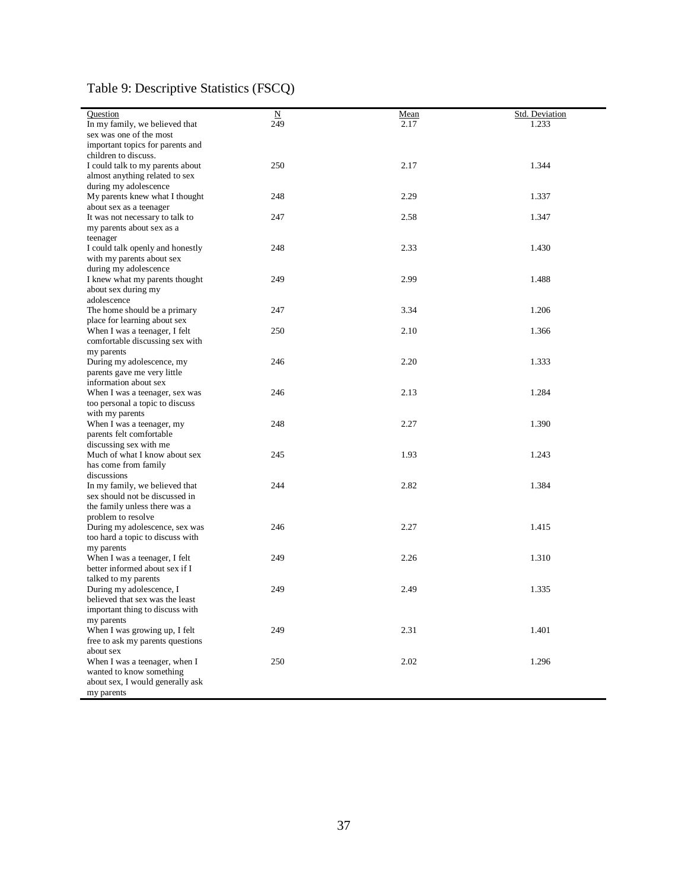#### Table 9: Descriptive Statistics (FSCQ)

| Question<br>$\underline{\mathbf{N}}$<br>Std. Deviation<br>Mean<br>In my family, we believed that<br>249<br>2.17<br>1.233<br>sex was one of the most<br>important topics for parents and<br>children to discuss.<br>250<br>2.17<br>I could talk to my parents about<br>1.344<br>almost anything related to sex<br>during my adolescence<br>2.29<br>My parents knew what I thought<br>248<br>1.337<br>about sex as a teenager<br>2.58<br>It was not necessary to talk to<br>247<br>1.347<br>my parents about sex as a<br>teenager<br>248<br>2.33<br>I could talk openly and honestly<br>1.430<br>with my parents about sex<br>during my adolescence<br>249<br>2.99<br>1.488<br>I knew what my parents thought<br>about sex during my<br>adolescence<br>The home should be a primary<br>3.34<br>247<br>1.206<br>place for learning about sex<br>When I was a teenager, I felt<br>250<br>2.10<br>1.366<br>comfortable discussing sex with<br>my parents<br>246<br>2.20<br>1.333<br>During my adolescence, my<br>parents gave me very little<br>information about sex<br>2.13<br>246<br>1.284<br>When I was a teenager, sex was<br>too personal a topic to discuss<br>with my parents<br>When I was a teenager, my<br>248<br>2.27<br>1.390<br>parents felt comfortable<br>discussing sex with me<br>Much of what I know about sex<br>245<br>1.93<br>1.243<br>has come from family<br>discussions<br>In my family, we believed that<br>244<br>2.82<br>1.384<br>sex should not be discussed in<br>the family unless there was a<br>problem to resolve<br>2.27<br>During my adolescence, sex was<br>246<br>1.415<br>too hard a topic to discuss with<br>my parents<br>2.26<br>When I was a teenager, I felt<br>249<br>1.310<br>better informed about sex if I<br>talked to my parents<br>During my adolescence, I<br>249<br>2.49<br>1.335<br>believed that sex was the least<br>important thing to discuss with<br>my parents<br>When I was growing up, I felt<br>249<br>2.31<br>1.401<br>free to ask my parents questions<br>about sex<br>250<br>2.02<br>1.296<br>When I was a teenager, when I<br>wanted to know something<br>about sex, I would generally ask |            |  |  |
|----------------------------------------------------------------------------------------------------------------------------------------------------------------------------------------------------------------------------------------------------------------------------------------------------------------------------------------------------------------------------------------------------------------------------------------------------------------------------------------------------------------------------------------------------------------------------------------------------------------------------------------------------------------------------------------------------------------------------------------------------------------------------------------------------------------------------------------------------------------------------------------------------------------------------------------------------------------------------------------------------------------------------------------------------------------------------------------------------------------------------------------------------------------------------------------------------------------------------------------------------------------------------------------------------------------------------------------------------------------------------------------------------------------------------------------------------------------------------------------------------------------------------------------------------------------------------------------------------------------------------------------------------------------------------------------------------------------------------------------------------------------------------------------------------------------------------------------------------------------------------------------------------------------------------------------------------------------------------------------------------------------------------------------------------------------------------------------------------------------------------------------------------------|------------|--|--|
|                                                                                                                                                                                                                                                                                                                                                                                                                                                                                                                                                                                                                                                                                                                                                                                                                                                                                                                                                                                                                                                                                                                                                                                                                                                                                                                                                                                                                                                                                                                                                                                                                                                                                                                                                                                                                                                                                                                                                                                                                                                                                                                                                          |            |  |  |
|                                                                                                                                                                                                                                                                                                                                                                                                                                                                                                                                                                                                                                                                                                                                                                                                                                                                                                                                                                                                                                                                                                                                                                                                                                                                                                                                                                                                                                                                                                                                                                                                                                                                                                                                                                                                                                                                                                                                                                                                                                                                                                                                                          |            |  |  |
|                                                                                                                                                                                                                                                                                                                                                                                                                                                                                                                                                                                                                                                                                                                                                                                                                                                                                                                                                                                                                                                                                                                                                                                                                                                                                                                                                                                                                                                                                                                                                                                                                                                                                                                                                                                                                                                                                                                                                                                                                                                                                                                                                          |            |  |  |
|                                                                                                                                                                                                                                                                                                                                                                                                                                                                                                                                                                                                                                                                                                                                                                                                                                                                                                                                                                                                                                                                                                                                                                                                                                                                                                                                                                                                                                                                                                                                                                                                                                                                                                                                                                                                                                                                                                                                                                                                                                                                                                                                                          |            |  |  |
|                                                                                                                                                                                                                                                                                                                                                                                                                                                                                                                                                                                                                                                                                                                                                                                                                                                                                                                                                                                                                                                                                                                                                                                                                                                                                                                                                                                                                                                                                                                                                                                                                                                                                                                                                                                                                                                                                                                                                                                                                                                                                                                                                          |            |  |  |
|                                                                                                                                                                                                                                                                                                                                                                                                                                                                                                                                                                                                                                                                                                                                                                                                                                                                                                                                                                                                                                                                                                                                                                                                                                                                                                                                                                                                                                                                                                                                                                                                                                                                                                                                                                                                                                                                                                                                                                                                                                                                                                                                                          |            |  |  |
|                                                                                                                                                                                                                                                                                                                                                                                                                                                                                                                                                                                                                                                                                                                                                                                                                                                                                                                                                                                                                                                                                                                                                                                                                                                                                                                                                                                                                                                                                                                                                                                                                                                                                                                                                                                                                                                                                                                                                                                                                                                                                                                                                          |            |  |  |
|                                                                                                                                                                                                                                                                                                                                                                                                                                                                                                                                                                                                                                                                                                                                                                                                                                                                                                                                                                                                                                                                                                                                                                                                                                                                                                                                                                                                                                                                                                                                                                                                                                                                                                                                                                                                                                                                                                                                                                                                                                                                                                                                                          |            |  |  |
|                                                                                                                                                                                                                                                                                                                                                                                                                                                                                                                                                                                                                                                                                                                                                                                                                                                                                                                                                                                                                                                                                                                                                                                                                                                                                                                                                                                                                                                                                                                                                                                                                                                                                                                                                                                                                                                                                                                                                                                                                                                                                                                                                          |            |  |  |
|                                                                                                                                                                                                                                                                                                                                                                                                                                                                                                                                                                                                                                                                                                                                                                                                                                                                                                                                                                                                                                                                                                                                                                                                                                                                                                                                                                                                                                                                                                                                                                                                                                                                                                                                                                                                                                                                                                                                                                                                                                                                                                                                                          |            |  |  |
|                                                                                                                                                                                                                                                                                                                                                                                                                                                                                                                                                                                                                                                                                                                                                                                                                                                                                                                                                                                                                                                                                                                                                                                                                                                                                                                                                                                                                                                                                                                                                                                                                                                                                                                                                                                                                                                                                                                                                                                                                                                                                                                                                          |            |  |  |
|                                                                                                                                                                                                                                                                                                                                                                                                                                                                                                                                                                                                                                                                                                                                                                                                                                                                                                                                                                                                                                                                                                                                                                                                                                                                                                                                                                                                                                                                                                                                                                                                                                                                                                                                                                                                                                                                                                                                                                                                                                                                                                                                                          |            |  |  |
|                                                                                                                                                                                                                                                                                                                                                                                                                                                                                                                                                                                                                                                                                                                                                                                                                                                                                                                                                                                                                                                                                                                                                                                                                                                                                                                                                                                                                                                                                                                                                                                                                                                                                                                                                                                                                                                                                                                                                                                                                                                                                                                                                          |            |  |  |
|                                                                                                                                                                                                                                                                                                                                                                                                                                                                                                                                                                                                                                                                                                                                                                                                                                                                                                                                                                                                                                                                                                                                                                                                                                                                                                                                                                                                                                                                                                                                                                                                                                                                                                                                                                                                                                                                                                                                                                                                                                                                                                                                                          |            |  |  |
|                                                                                                                                                                                                                                                                                                                                                                                                                                                                                                                                                                                                                                                                                                                                                                                                                                                                                                                                                                                                                                                                                                                                                                                                                                                                                                                                                                                                                                                                                                                                                                                                                                                                                                                                                                                                                                                                                                                                                                                                                                                                                                                                                          |            |  |  |
|                                                                                                                                                                                                                                                                                                                                                                                                                                                                                                                                                                                                                                                                                                                                                                                                                                                                                                                                                                                                                                                                                                                                                                                                                                                                                                                                                                                                                                                                                                                                                                                                                                                                                                                                                                                                                                                                                                                                                                                                                                                                                                                                                          |            |  |  |
|                                                                                                                                                                                                                                                                                                                                                                                                                                                                                                                                                                                                                                                                                                                                                                                                                                                                                                                                                                                                                                                                                                                                                                                                                                                                                                                                                                                                                                                                                                                                                                                                                                                                                                                                                                                                                                                                                                                                                                                                                                                                                                                                                          |            |  |  |
|                                                                                                                                                                                                                                                                                                                                                                                                                                                                                                                                                                                                                                                                                                                                                                                                                                                                                                                                                                                                                                                                                                                                                                                                                                                                                                                                                                                                                                                                                                                                                                                                                                                                                                                                                                                                                                                                                                                                                                                                                                                                                                                                                          |            |  |  |
|                                                                                                                                                                                                                                                                                                                                                                                                                                                                                                                                                                                                                                                                                                                                                                                                                                                                                                                                                                                                                                                                                                                                                                                                                                                                                                                                                                                                                                                                                                                                                                                                                                                                                                                                                                                                                                                                                                                                                                                                                                                                                                                                                          |            |  |  |
|                                                                                                                                                                                                                                                                                                                                                                                                                                                                                                                                                                                                                                                                                                                                                                                                                                                                                                                                                                                                                                                                                                                                                                                                                                                                                                                                                                                                                                                                                                                                                                                                                                                                                                                                                                                                                                                                                                                                                                                                                                                                                                                                                          |            |  |  |
|                                                                                                                                                                                                                                                                                                                                                                                                                                                                                                                                                                                                                                                                                                                                                                                                                                                                                                                                                                                                                                                                                                                                                                                                                                                                                                                                                                                                                                                                                                                                                                                                                                                                                                                                                                                                                                                                                                                                                                                                                                                                                                                                                          |            |  |  |
|                                                                                                                                                                                                                                                                                                                                                                                                                                                                                                                                                                                                                                                                                                                                                                                                                                                                                                                                                                                                                                                                                                                                                                                                                                                                                                                                                                                                                                                                                                                                                                                                                                                                                                                                                                                                                                                                                                                                                                                                                                                                                                                                                          |            |  |  |
|                                                                                                                                                                                                                                                                                                                                                                                                                                                                                                                                                                                                                                                                                                                                                                                                                                                                                                                                                                                                                                                                                                                                                                                                                                                                                                                                                                                                                                                                                                                                                                                                                                                                                                                                                                                                                                                                                                                                                                                                                                                                                                                                                          |            |  |  |
|                                                                                                                                                                                                                                                                                                                                                                                                                                                                                                                                                                                                                                                                                                                                                                                                                                                                                                                                                                                                                                                                                                                                                                                                                                                                                                                                                                                                                                                                                                                                                                                                                                                                                                                                                                                                                                                                                                                                                                                                                                                                                                                                                          |            |  |  |
|                                                                                                                                                                                                                                                                                                                                                                                                                                                                                                                                                                                                                                                                                                                                                                                                                                                                                                                                                                                                                                                                                                                                                                                                                                                                                                                                                                                                                                                                                                                                                                                                                                                                                                                                                                                                                                                                                                                                                                                                                                                                                                                                                          |            |  |  |
|                                                                                                                                                                                                                                                                                                                                                                                                                                                                                                                                                                                                                                                                                                                                                                                                                                                                                                                                                                                                                                                                                                                                                                                                                                                                                                                                                                                                                                                                                                                                                                                                                                                                                                                                                                                                                                                                                                                                                                                                                                                                                                                                                          |            |  |  |
|                                                                                                                                                                                                                                                                                                                                                                                                                                                                                                                                                                                                                                                                                                                                                                                                                                                                                                                                                                                                                                                                                                                                                                                                                                                                                                                                                                                                                                                                                                                                                                                                                                                                                                                                                                                                                                                                                                                                                                                                                                                                                                                                                          |            |  |  |
|                                                                                                                                                                                                                                                                                                                                                                                                                                                                                                                                                                                                                                                                                                                                                                                                                                                                                                                                                                                                                                                                                                                                                                                                                                                                                                                                                                                                                                                                                                                                                                                                                                                                                                                                                                                                                                                                                                                                                                                                                                                                                                                                                          |            |  |  |
|                                                                                                                                                                                                                                                                                                                                                                                                                                                                                                                                                                                                                                                                                                                                                                                                                                                                                                                                                                                                                                                                                                                                                                                                                                                                                                                                                                                                                                                                                                                                                                                                                                                                                                                                                                                                                                                                                                                                                                                                                                                                                                                                                          |            |  |  |
|                                                                                                                                                                                                                                                                                                                                                                                                                                                                                                                                                                                                                                                                                                                                                                                                                                                                                                                                                                                                                                                                                                                                                                                                                                                                                                                                                                                                                                                                                                                                                                                                                                                                                                                                                                                                                                                                                                                                                                                                                                                                                                                                                          |            |  |  |
|                                                                                                                                                                                                                                                                                                                                                                                                                                                                                                                                                                                                                                                                                                                                                                                                                                                                                                                                                                                                                                                                                                                                                                                                                                                                                                                                                                                                                                                                                                                                                                                                                                                                                                                                                                                                                                                                                                                                                                                                                                                                                                                                                          |            |  |  |
|                                                                                                                                                                                                                                                                                                                                                                                                                                                                                                                                                                                                                                                                                                                                                                                                                                                                                                                                                                                                                                                                                                                                                                                                                                                                                                                                                                                                                                                                                                                                                                                                                                                                                                                                                                                                                                                                                                                                                                                                                                                                                                                                                          |            |  |  |
|                                                                                                                                                                                                                                                                                                                                                                                                                                                                                                                                                                                                                                                                                                                                                                                                                                                                                                                                                                                                                                                                                                                                                                                                                                                                                                                                                                                                                                                                                                                                                                                                                                                                                                                                                                                                                                                                                                                                                                                                                                                                                                                                                          |            |  |  |
|                                                                                                                                                                                                                                                                                                                                                                                                                                                                                                                                                                                                                                                                                                                                                                                                                                                                                                                                                                                                                                                                                                                                                                                                                                                                                                                                                                                                                                                                                                                                                                                                                                                                                                                                                                                                                                                                                                                                                                                                                                                                                                                                                          |            |  |  |
|                                                                                                                                                                                                                                                                                                                                                                                                                                                                                                                                                                                                                                                                                                                                                                                                                                                                                                                                                                                                                                                                                                                                                                                                                                                                                                                                                                                                                                                                                                                                                                                                                                                                                                                                                                                                                                                                                                                                                                                                                                                                                                                                                          |            |  |  |
|                                                                                                                                                                                                                                                                                                                                                                                                                                                                                                                                                                                                                                                                                                                                                                                                                                                                                                                                                                                                                                                                                                                                                                                                                                                                                                                                                                                                                                                                                                                                                                                                                                                                                                                                                                                                                                                                                                                                                                                                                                                                                                                                                          |            |  |  |
|                                                                                                                                                                                                                                                                                                                                                                                                                                                                                                                                                                                                                                                                                                                                                                                                                                                                                                                                                                                                                                                                                                                                                                                                                                                                                                                                                                                                                                                                                                                                                                                                                                                                                                                                                                                                                                                                                                                                                                                                                                                                                                                                                          |            |  |  |
|                                                                                                                                                                                                                                                                                                                                                                                                                                                                                                                                                                                                                                                                                                                                                                                                                                                                                                                                                                                                                                                                                                                                                                                                                                                                                                                                                                                                                                                                                                                                                                                                                                                                                                                                                                                                                                                                                                                                                                                                                                                                                                                                                          |            |  |  |
|                                                                                                                                                                                                                                                                                                                                                                                                                                                                                                                                                                                                                                                                                                                                                                                                                                                                                                                                                                                                                                                                                                                                                                                                                                                                                                                                                                                                                                                                                                                                                                                                                                                                                                                                                                                                                                                                                                                                                                                                                                                                                                                                                          |            |  |  |
|                                                                                                                                                                                                                                                                                                                                                                                                                                                                                                                                                                                                                                                                                                                                                                                                                                                                                                                                                                                                                                                                                                                                                                                                                                                                                                                                                                                                                                                                                                                                                                                                                                                                                                                                                                                                                                                                                                                                                                                                                                                                                                                                                          |            |  |  |
|                                                                                                                                                                                                                                                                                                                                                                                                                                                                                                                                                                                                                                                                                                                                                                                                                                                                                                                                                                                                                                                                                                                                                                                                                                                                                                                                                                                                                                                                                                                                                                                                                                                                                                                                                                                                                                                                                                                                                                                                                                                                                                                                                          |            |  |  |
|                                                                                                                                                                                                                                                                                                                                                                                                                                                                                                                                                                                                                                                                                                                                                                                                                                                                                                                                                                                                                                                                                                                                                                                                                                                                                                                                                                                                                                                                                                                                                                                                                                                                                                                                                                                                                                                                                                                                                                                                                                                                                                                                                          |            |  |  |
|                                                                                                                                                                                                                                                                                                                                                                                                                                                                                                                                                                                                                                                                                                                                                                                                                                                                                                                                                                                                                                                                                                                                                                                                                                                                                                                                                                                                                                                                                                                                                                                                                                                                                                                                                                                                                                                                                                                                                                                                                                                                                                                                                          |            |  |  |
|                                                                                                                                                                                                                                                                                                                                                                                                                                                                                                                                                                                                                                                                                                                                                                                                                                                                                                                                                                                                                                                                                                                                                                                                                                                                                                                                                                                                                                                                                                                                                                                                                                                                                                                                                                                                                                                                                                                                                                                                                                                                                                                                                          |            |  |  |
|                                                                                                                                                                                                                                                                                                                                                                                                                                                                                                                                                                                                                                                                                                                                                                                                                                                                                                                                                                                                                                                                                                                                                                                                                                                                                                                                                                                                                                                                                                                                                                                                                                                                                                                                                                                                                                                                                                                                                                                                                                                                                                                                                          |            |  |  |
|                                                                                                                                                                                                                                                                                                                                                                                                                                                                                                                                                                                                                                                                                                                                                                                                                                                                                                                                                                                                                                                                                                                                                                                                                                                                                                                                                                                                                                                                                                                                                                                                                                                                                                                                                                                                                                                                                                                                                                                                                                                                                                                                                          |            |  |  |
|                                                                                                                                                                                                                                                                                                                                                                                                                                                                                                                                                                                                                                                                                                                                                                                                                                                                                                                                                                                                                                                                                                                                                                                                                                                                                                                                                                                                                                                                                                                                                                                                                                                                                                                                                                                                                                                                                                                                                                                                                                                                                                                                                          |            |  |  |
|                                                                                                                                                                                                                                                                                                                                                                                                                                                                                                                                                                                                                                                                                                                                                                                                                                                                                                                                                                                                                                                                                                                                                                                                                                                                                                                                                                                                                                                                                                                                                                                                                                                                                                                                                                                                                                                                                                                                                                                                                                                                                                                                                          |            |  |  |
|                                                                                                                                                                                                                                                                                                                                                                                                                                                                                                                                                                                                                                                                                                                                                                                                                                                                                                                                                                                                                                                                                                                                                                                                                                                                                                                                                                                                                                                                                                                                                                                                                                                                                                                                                                                                                                                                                                                                                                                                                                                                                                                                                          |            |  |  |
|                                                                                                                                                                                                                                                                                                                                                                                                                                                                                                                                                                                                                                                                                                                                                                                                                                                                                                                                                                                                                                                                                                                                                                                                                                                                                                                                                                                                                                                                                                                                                                                                                                                                                                                                                                                                                                                                                                                                                                                                                                                                                                                                                          |            |  |  |
|                                                                                                                                                                                                                                                                                                                                                                                                                                                                                                                                                                                                                                                                                                                                                                                                                                                                                                                                                                                                                                                                                                                                                                                                                                                                                                                                                                                                                                                                                                                                                                                                                                                                                                                                                                                                                                                                                                                                                                                                                                                                                                                                                          |            |  |  |
|                                                                                                                                                                                                                                                                                                                                                                                                                                                                                                                                                                                                                                                                                                                                                                                                                                                                                                                                                                                                                                                                                                                                                                                                                                                                                                                                                                                                                                                                                                                                                                                                                                                                                                                                                                                                                                                                                                                                                                                                                                                                                                                                                          |            |  |  |
|                                                                                                                                                                                                                                                                                                                                                                                                                                                                                                                                                                                                                                                                                                                                                                                                                                                                                                                                                                                                                                                                                                                                                                                                                                                                                                                                                                                                                                                                                                                                                                                                                                                                                                                                                                                                                                                                                                                                                                                                                                                                                                                                                          |            |  |  |
|                                                                                                                                                                                                                                                                                                                                                                                                                                                                                                                                                                                                                                                                                                                                                                                                                                                                                                                                                                                                                                                                                                                                                                                                                                                                                                                                                                                                                                                                                                                                                                                                                                                                                                                                                                                                                                                                                                                                                                                                                                                                                                                                                          |            |  |  |
|                                                                                                                                                                                                                                                                                                                                                                                                                                                                                                                                                                                                                                                                                                                                                                                                                                                                                                                                                                                                                                                                                                                                                                                                                                                                                                                                                                                                                                                                                                                                                                                                                                                                                                                                                                                                                                                                                                                                                                                                                                                                                                                                                          |            |  |  |
|                                                                                                                                                                                                                                                                                                                                                                                                                                                                                                                                                                                                                                                                                                                                                                                                                                                                                                                                                                                                                                                                                                                                                                                                                                                                                                                                                                                                                                                                                                                                                                                                                                                                                                                                                                                                                                                                                                                                                                                                                                                                                                                                                          |            |  |  |
|                                                                                                                                                                                                                                                                                                                                                                                                                                                                                                                                                                                                                                                                                                                                                                                                                                                                                                                                                                                                                                                                                                                                                                                                                                                                                                                                                                                                                                                                                                                                                                                                                                                                                                                                                                                                                                                                                                                                                                                                                                                                                                                                                          |            |  |  |
|                                                                                                                                                                                                                                                                                                                                                                                                                                                                                                                                                                                                                                                                                                                                                                                                                                                                                                                                                                                                                                                                                                                                                                                                                                                                                                                                                                                                                                                                                                                                                                                                                                                                                                                                                                                                                                                                                                                                                                                                                                                                                                                                                          |            |  |  |
|                                                                                                                                                                                                                                                                                                                                                                                                                                                                                                                                                                                                                                                                                                                                                                                                                                                                                                                                                                                                                                                                                                                                                                                                                                                                                                                                                                                                                                                                                                                                                                                                                                                                                                                                                                                                                                                                                                                                                                                                                                                                                                                                                          |            |  |  |
|                                                                                                                                                                                                                                                                                                                                                                                                                                                                                                                                                                                                                                                                                                                                                                                                                                                                                                                                                                                                                                                                                                                                                                                                                                                                                                                                                                                                                                                                                                                                                                                                                                                                                                                                                                                                                                                                                                                                                                                                                                                                                                                                                          |            |  |  |
|                                                                                                                                                                                                                                                                                                                                                                                                                                                                                                                                                                                                                                                                                                                                                                                                                                                                                                                                                                                                                                                                                                                                                                                                                                                                                                                                                                                                                                                                                                                                                                                                                                                                                                                                                                                                                                                                                                                                                                                                                                                                                                                                                          |            |  |  |
|                                                                                                                                                                                                                                                                                                                                                                                                                                                                                                                                                                                                                                                                                                                                                                                                                                                                                                                                                                                                                                                                                                                                                                                                                                                                                                                                                                                                                                                                                                                                                                                                                                                                                                                                                                                                                                                                                                                                                                                                                                                                                                                                                          |            |  |  |
|                                                                                                                                                                                                                                                                                                                                                                                                                                                                                                                                                                                                                                                                                                                                                                                                                                                                                                                                                                                                                                                                                                                                                                                                                                                                                                                                                                                                                                                                                                                                                                                                                                                                                                                                                                                                                                                                                                                                                                                                                                                                                                                                                          |            |  |  |
|                                                                                                                                                                                                                                                                                                                                                                                                                                                                                                                                                                                                                                                                                                                                                                                                                                                                                                                                                                                                                                                                                                                                                                                                                                                                                                                                                                                                                                                                                                                                                                                                                                                                                                                                                                                                                                                                                                                                                                                                                                                                                                                                                          | my parents |  |  |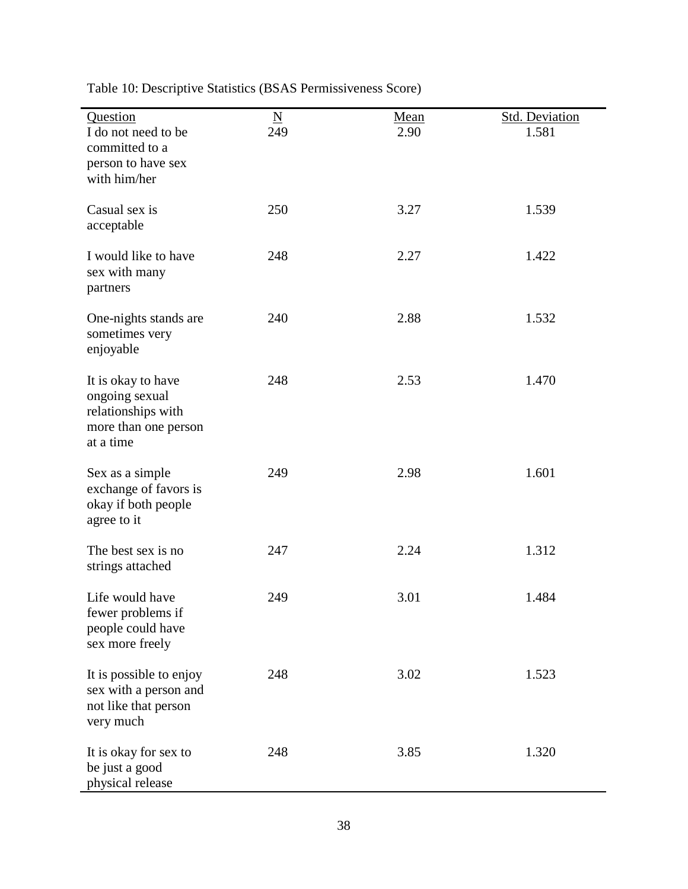| Question                                                                                        | $\underline{\mathbf{N}}$ | <u>Mean</u> | <b>Std. Deviation</b> |
|-------------------------------------------------------------------------------------------------|--------------------------|-------------|-----------------------|
| I do not need to be<br>committed to a<br>person to have sex<br>with him/her                     | 249                      | 2.90        | 1.581                 |
| Casual sex is<br>acceptable                                                                     | 250                      | 3.27        | 1.539                 |
| I would like to have<br>sex with many<br>partners                                               | 248                      | 2.27        | 1.422                 |
| One-nights stands are<br>sometimes very<br>enjoyable                                            | 240                      | 2.88        | 1.532                 |
| It is okay to have<br>ongoing sexual<br>relationships with<br>more than one person<br>at a time | 248                      | 2.53        | 1.470                 |
| Sex as a simple<br>exchange of favors is<br>okay if both people<br>agree to it                  | 249                      | 2.98        | 1.601                 |
| The best sex is no<br>strings attached                                                          | 247                      | 2.24        | 1.312                 |
| Life would have<br>fewer problems if<br>people could have<br>sex more freely                    | 249                      | 3.01        | 1.484                 |
| It is possible to enjoy<br>sex with a person and<br>not like that person<br>very much           | 248                      | 3.02        | 1.523                 |
| It is okay for sex to<br>be just a good<br>physical release                                     | 248                      | 3.85        | 1.320                 |

Table 10: Descriptive Statistics (BSAS Permissiveness Score)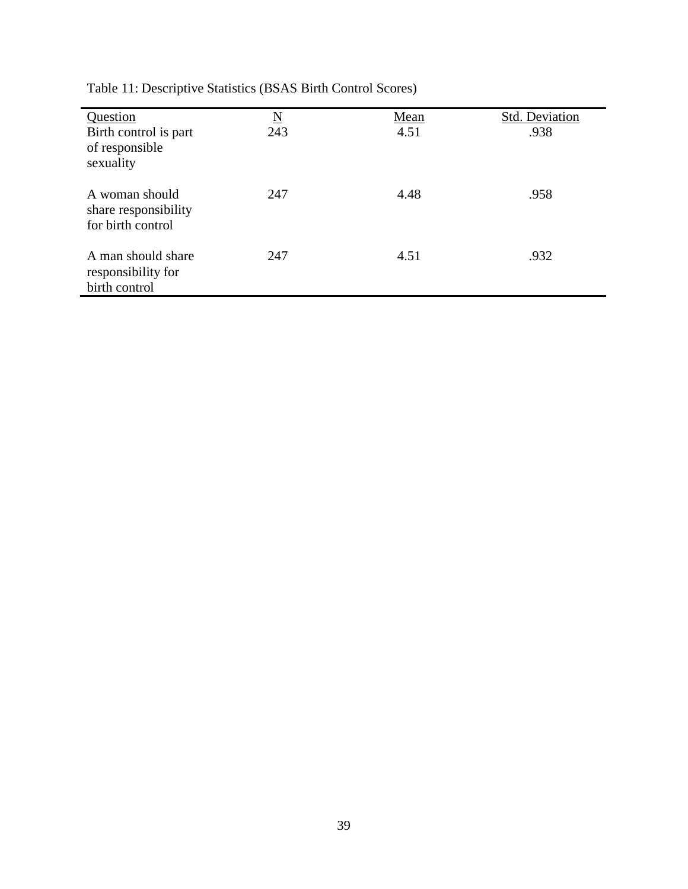| Question<br>Birth control is part<br>of responsible<br>sexuality | $\underline{\rm N}$<br>243 | Mean<br>4.51 | Std. Deviation<br>.938 |
|------------------------------------------------------------------|----------------------------|--------------|------------------------|
| A woman should<br>share responsibility<br>for birth control      | 247                        | 4.48         | .958                   |
| A man should share<br>responsibility for<br>birth control        | 247                        | 4.51         | .932                   |

Table 11: Descriptive Statistics (BSAS Birth Control Scores)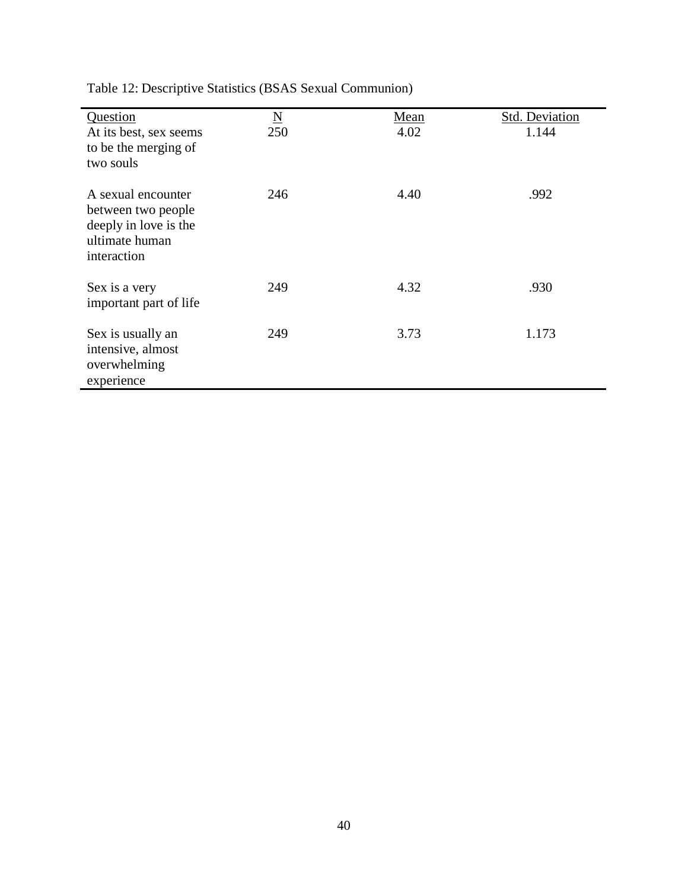| Question                                | $\underline{\rm N}$ | Mean | <b>Std. Deviation</b> |
|-----------------------------------------|---------------------|------|-----------------------|
| At its best, sex seems                  | 250                 | 4.02 | 1.144                 |
| to be the merging of<br>two souls       |                     |      |                       |
| A sexual encounter                      | 246                 | 4.40 | .992                  |
| between two people                      |                     |      |                       |
| deeply in love is the<br>ultimate human |                     |      |                       |
| interaction                             |                     |      |                       |
| Sex is a very                           | 249                 | 4.32 | .930                  |
| important part of life                  |                     |      |                       |
| Sex is usually an                       | 249                 | 3.73 | 1.173                 |
| intensive, almost                       |                     |      |                       |
| overwhelming                            |                     |      |                       |
| experience                              |                     |      |                       |

Table 12: Descriptive Statistics (BSAS Sexual Communion)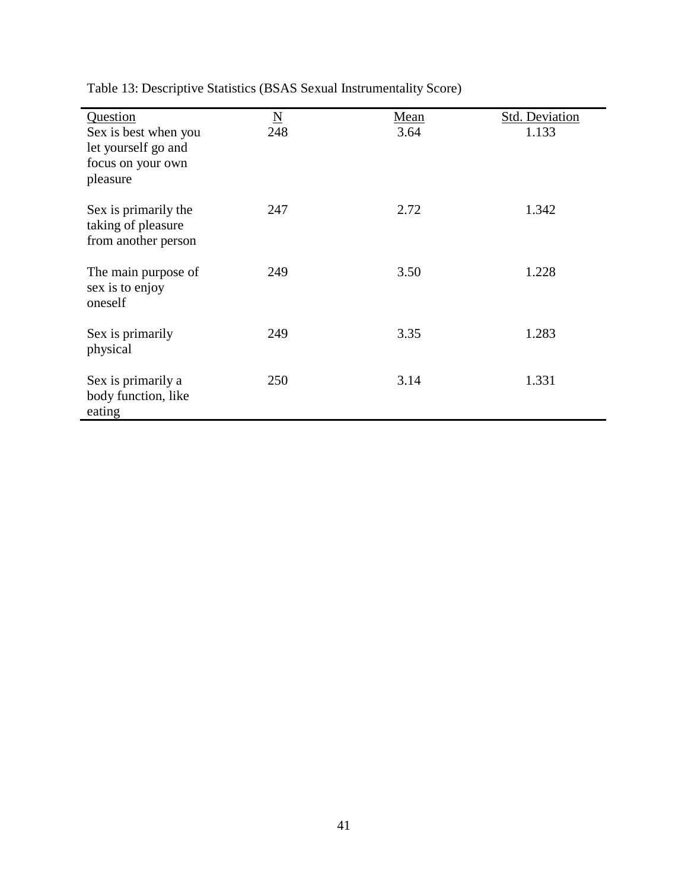| Question<br>Sex is best when you<br>let yourself go and<br>focus on your own<br>pleasure | $\underline{\rm N}$<br>248 | Mean<br>3.64 | Std. Deviation<br>1.133 |
|------------------------------------------------------------------------------------------|----------------------------|--------------|-------------------------|
| Sex is primarily the<br>taking of pleasure<br>from another person                        | 247                        | 2.72         | 1.342                   |
| The main purpose of<br>sex is to enjoy<br>oneself                                        | 249                        | 3.50         | 1.228                   |
| Sex is primarily<br>physical                                                             | 249                        | 3.35         | 1.283                   |
| Sex is primarily a<br>body function, like<br>eating                                      | 250                        | 3.14         | 1.331                   |

Table 13: Descriptive Statistics (BSAS Sexual Instrumentality Score)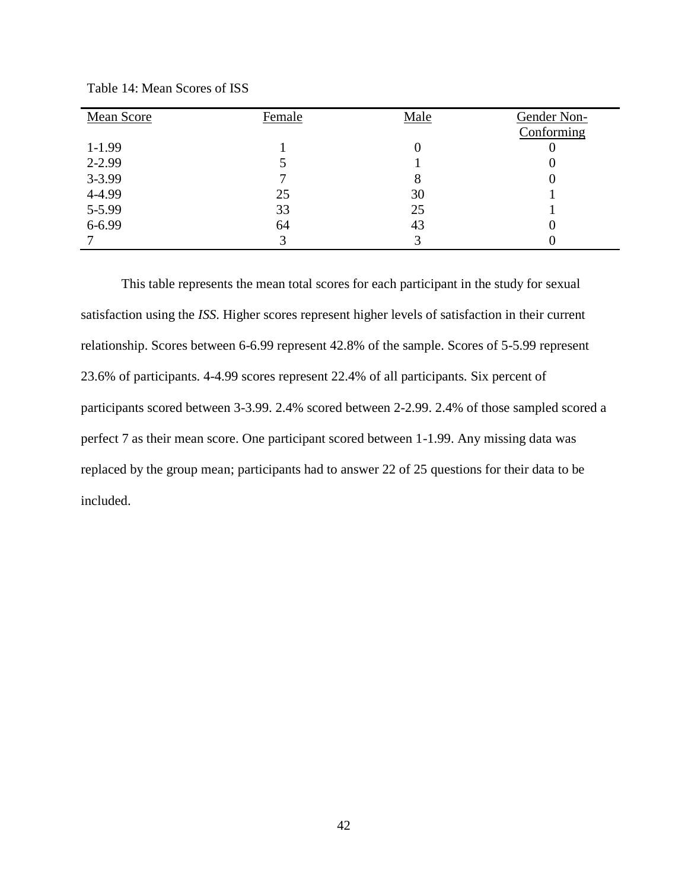| Mean Score | Female | Male | Gender Non- |
|------------|--------|------|-------------|
|            |        |      | Conforming  |
| $1-1.99$   |        | 0    | U           |
| 2-2.99     |        |      |             |
| $3 - 3.99$ |        | 8    |             |
| 4-4.99     | 25     | 30   |             |
| 5-5.99     | 33     | 25   |             |
| 6-6.99     | 64     | 43   |             |
|            |        | 3    |             |

Table 14: Mean Scores of ISS

This table represents the mean total scores for each participant in the study for sexual satisfaction using the *ISS*. Higher scores represent higher levels of satisfaction in their current relationship. Scores between 6-6.99 represent 42.8% of the sample. Scores of 5-5.99 represent 23.6% of participants. 4-4.99 scores represent 22.4% of all participants. Six percent of participants scored between 3-3.99. 2.4% scored between 2-2.99. 2.4% of those sampled scored a perfect 7 as their mean score. One participant scored between 1-1.99. Any missing data was replaced by the group mean; participants had to answer 22 of 25 questions for their data to be included.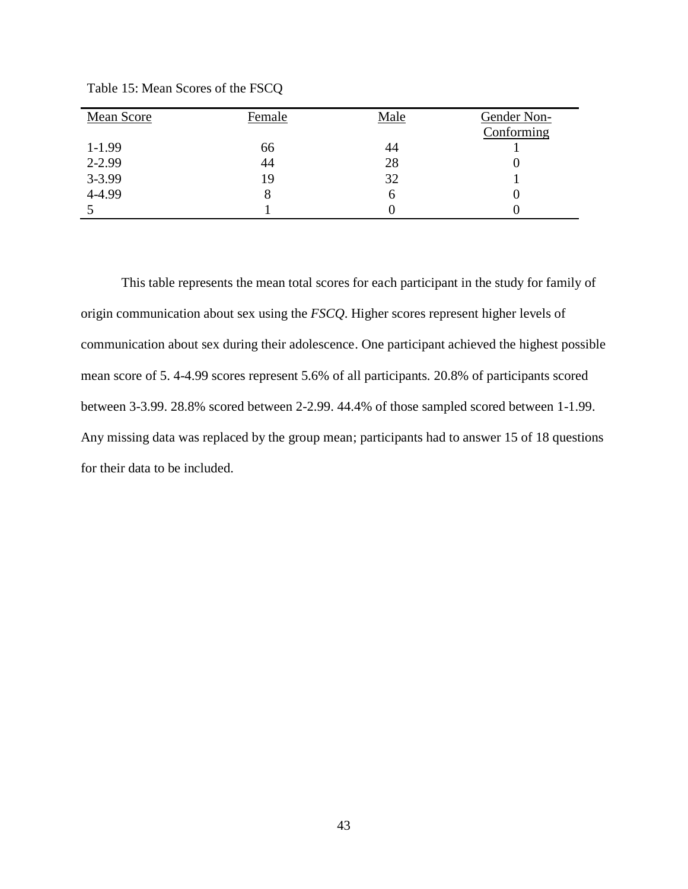| Mean Score | Female | Male | Gender Non-<br>Conforming |
|------------|--------|------|---------------------------|
| $1-1.99$   | 66     | 44   |                           |
| 2-2.99     | 44     | 28   |                           |
| 3-3.99     | 19     | 32   |                           |
| 4-4.99     |        | h    |                           |
|            |        |      |                           |

Table 15: Mean Scores of the FSCQ

This table represents the mean total scores for each participant in the study for family of origin communication about sex using the *FSCQ*. Higher scores represent higher levels of communication about sex during their adolescence. One participant achieved the highest possible mean score of 5. 4-4.99 scores represent 5.6% of all participants. 20.8% of participants scored between 3-3.99. 28.8% scored between 2-2.99. 44.4% of those sampled scored between 1-1.99. Any missing data was replaced by the group mean; participants had to answer 15 of 18 questions for their data to be included.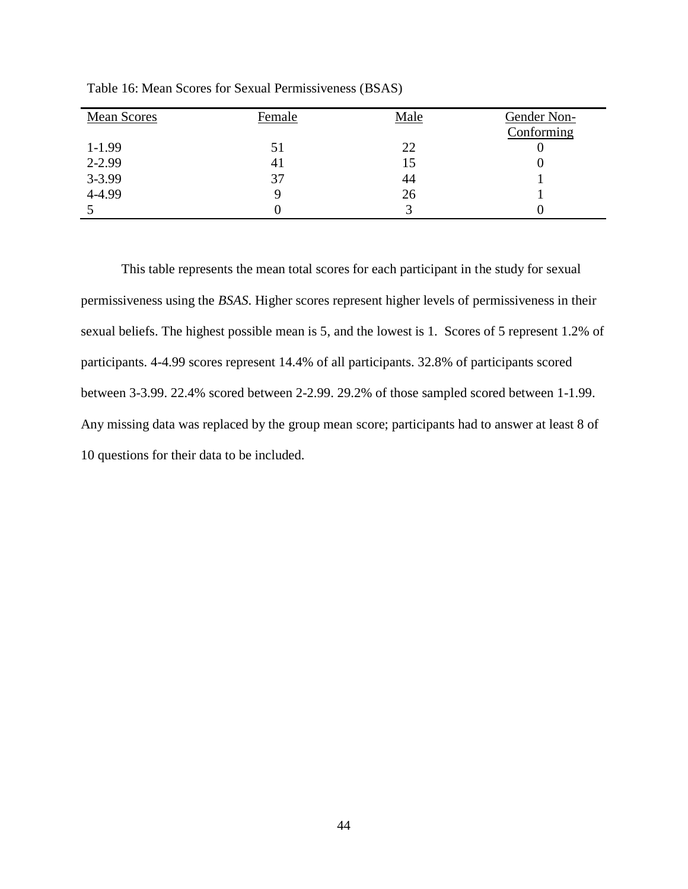| Mean Scores | Female | Male | Gender Non-<br>Conforming |
|-------------|--------|------|---------------------------|
| $1-1.99$    | 51     | 22   |                           |
| 2-2.99      | 41     | 15   |                           |
| 3-3.99      | 37     | 44   |                           |
| 4-4.99      |        | 26   |                           |
|             |        |      |                           |

Table 16: Mean Scores for Sexual Permissiveness (BSAS)

This table represents the mean total scores for each participant in the study for sexual permissiveness using the *BSAS*. Higher scores represent higher levels of permissiveness in their sexual beliefs. The highest possible mean is 5, and the lowest is 1. Scores of 5 represent 1.2% of participants. 4-4.99 scores represent 14.4% of all participants. 32.8% of participants scored between 3-3.99. 22.4% scored between 2-2.99. 29.2% of those sampled scored between 1-1.99. Any missing data was replaced by the group mean score; participants had to answer at least 8 of 10 questions for their data to be included.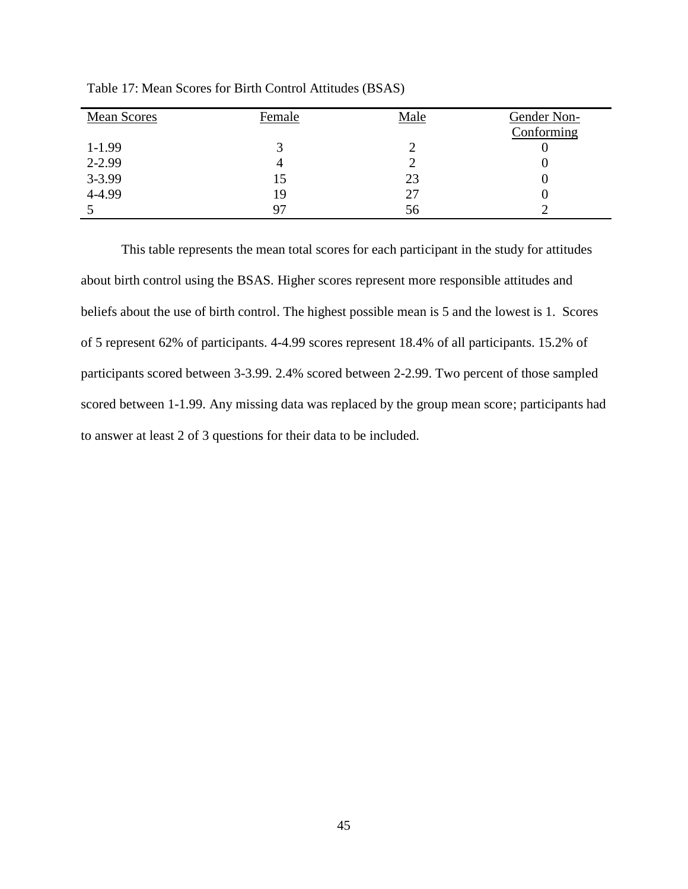| <b>Mean Scores</b> | Female | Male | Gender Non-<br>Conforming |
|--------------------|--------|------|---------------------------|
| $1-1.99$           |        |      |                           |
| 2-2.99             |        |      |                           |
| 3-3.99             | 15     | 23   |                           |
| 4-4.99             | 19     | 27   |                           |
|                    |        | 56   |                           |

Table 17: Mean Scores for Birth Control Attitudes (BSAS)

This table represents the mean total scores for each participant in the study for attitudes about birth control using the BSAS. Higher scores represent more responsible attitudes and beliefs about the use of birth control. The highest possible mean is 5 and the lowest is 1. Scores of 5 represent 62% of participants. 4-4.99 scores represent 18.4% of all participants. 15.2% of participants scored between 3-3.99. 2.4% scored between 2-2.99. Two percent of those sampled scored between 1-1.99. Any missing data was replaced by the group mean score; participants had to answer at least 2 of 3 questions for their data to be included.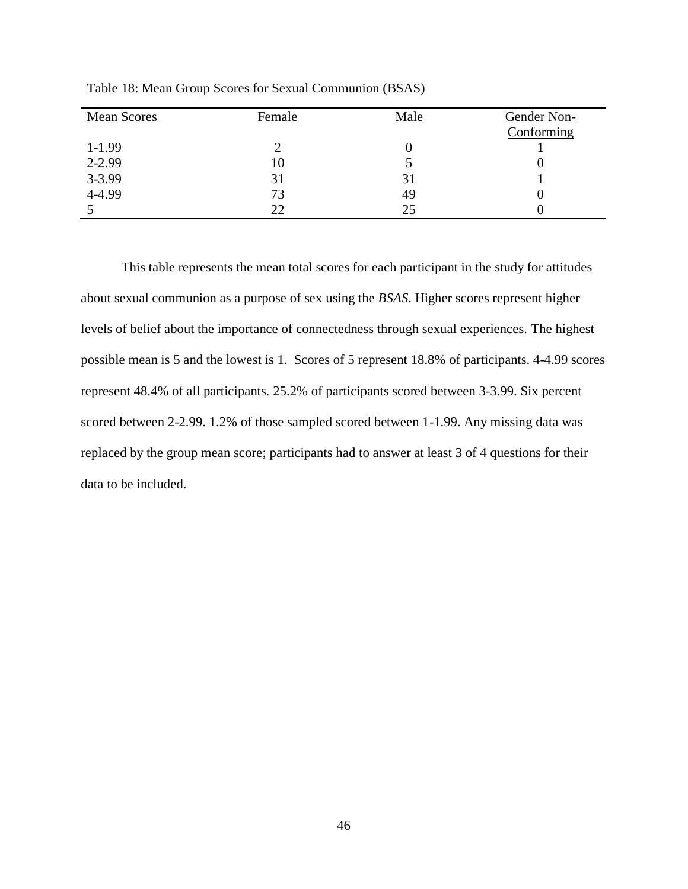| Mean Scores | Female | Male | Gender Non- |
|-------------|--------|------|-------------|
|             |        |      | Conforming  |
| $1-1.99$    |        |      |             |
| 2-2.99      | 10     |      |             |
| 3-3.99      | 31     | 31   |             |
| 4-4.99      | 73     | 49   |             |
|             | 22     | 25   |             |

Table 18: Mean Group Scores for Sexual Communion (BSAS)

This table represents the mean total scores for each participant in the study for attitudes about sexual communion as a purpose of sex using the *BSAS*. Higher scores represent higher levels of belief about the importance of connectedness through sexual experiences. The highest possible mean is 5 and the lowest is 1. Scores of 5 represent 18.8% of participants. 4-4.99 scores represent 48.4% of all participants. 25.2% of participants scored between 3-3.99. Six percent scored between 2-2.99. 1.2% of those sampled scored between 1-1.99. Any missing data was replaced by the group mean score; participants had to answer at least 3 of 4 questions for their data to be included.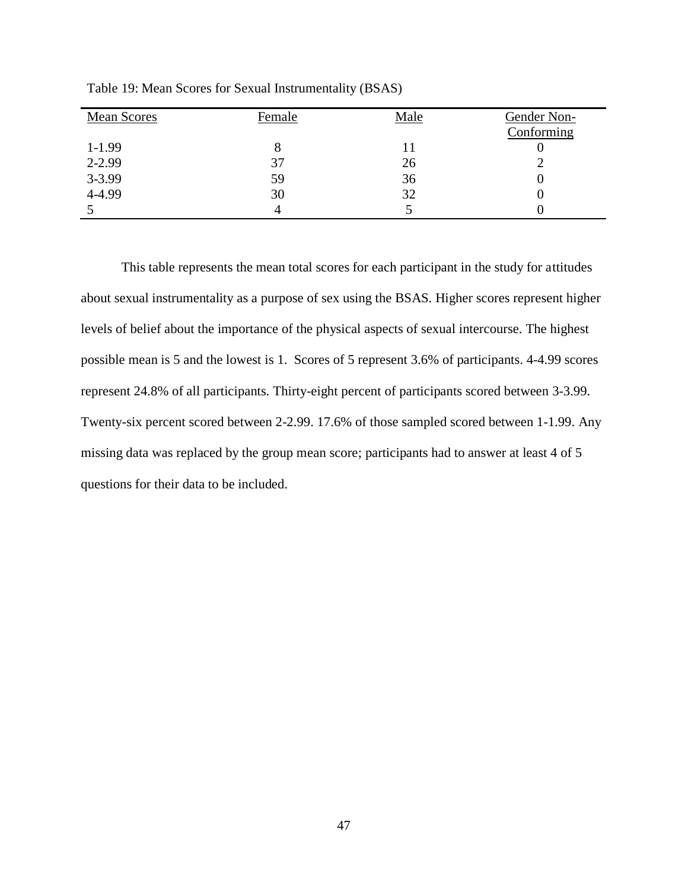| Mean Scores | Female | Male | Gender Non-<br>Conforming |
|-------------|--------|------|---------------------------|
| $1-1.99$    |        | 11   |                           |
| 2-2.99      | 37     | 26   |                           |
| 3-3.99      | 59     | 36   |                           |
| 4-4.99      | 30     | 32   |                           |
|             |        |      |                           |

Table 19: Mean Scores for Sexual Instrumentality (BSAS)

This table represents the mean total scores for each participant in the study for attitudes about sexual instrumentality as a purpose of sex using the BSAS. Higher scores represent higher levels of belief about the importance of the physical aspects of sexual intercourse. The highest possible mean is 5 and the lowest is 1. Scores of 5 represent 3.6% of participants. 4-4.99 scores represent 24.8% of all participants. Thirty-eight percent of participants scored between 3-3.99. Twenty-six percent scored between 2-2.99. 17.6% of those sampled scored between 1-1.99. Any missing data was replaced by the group mean score; participants had to answer at least 4 of 5 questions for their data to be included.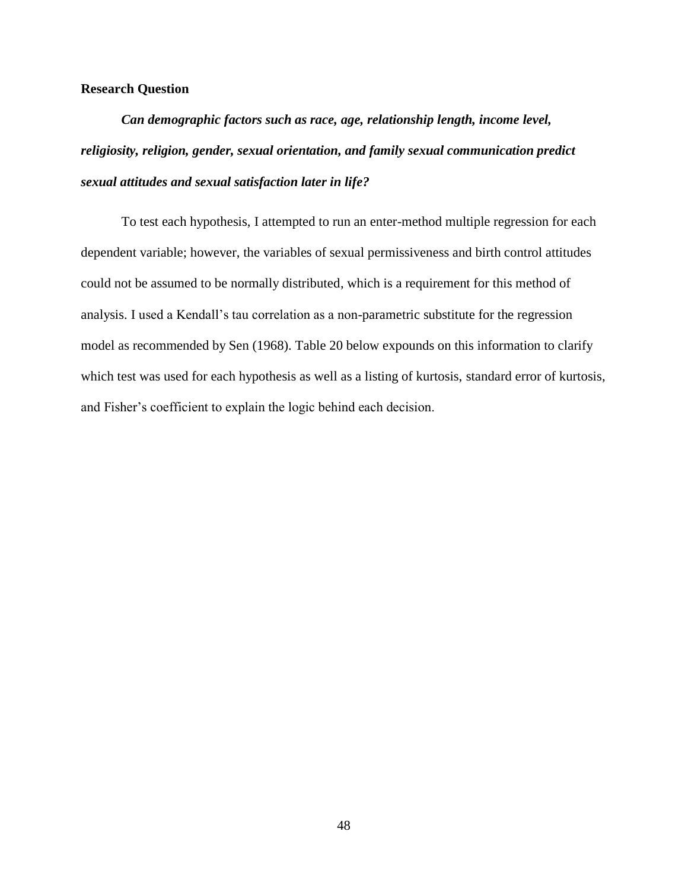### **Research Question**

*Can demographic factors such as race, age, relationship length, income level, religiosity, religion, gender, sexual orientation, and family sexual communication predict sexual attitudes and sexual satisfaction later in life?*

To test each hypothesis, I attempted to run an enter-method multiple regression for each dependent variable; however, the variables of sexual permissiveness and birth control attitudes could not be assumed to be normally distributed, which is a requirement for this method of analysis. I used a Kendall's tau correlation as a non-parametric substitute for the regression model as recommended by Sen (1968). Table 20 below expounds on this information to clarify which test was used for each hypothesis as well as a listing of kurtosis, standard error of kurtosis, and Fisher's coefficient to explain the logic behind each decision.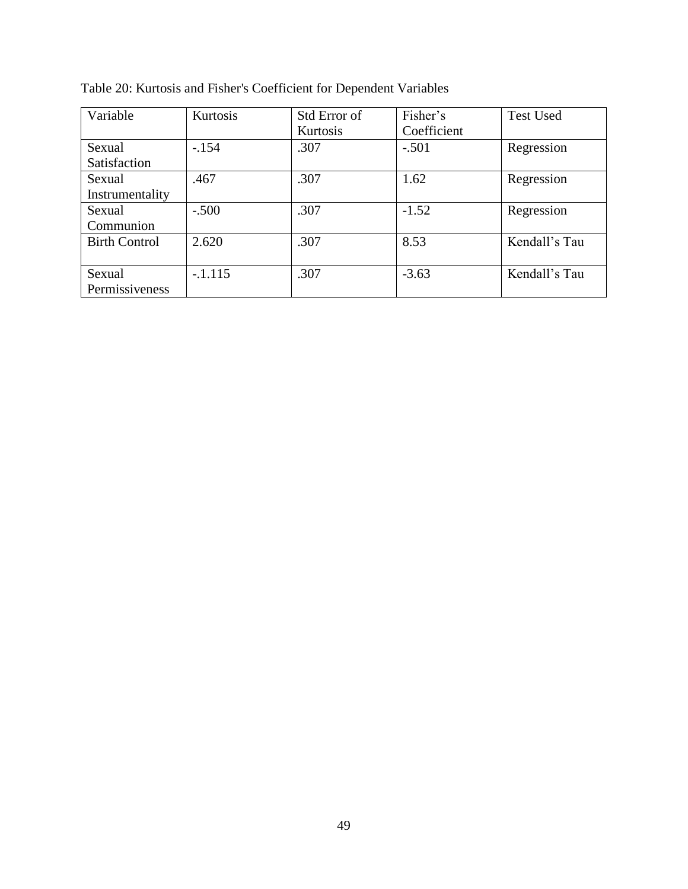| Variable             | Kurtosis  | Std Error of | Fisher's    | <b>Test Used</b> |
|----------------------|-----------|--------------|-------------|------------------|
|                      |           | Kurtosis     | Coefficient |                  |
| Sexual               | $-154$    | .307         | $-.501$     | Regression       |
| Satisfaction         |           |              |             |                  |
| Sexual               | .467      | .307         | 1.62        | Regression       |
| Instrumentality      |           |              |             |                  |
| Sexual               | $-.500$   | .307         | $-1.52$     | Regression       |
| Communion            |           |              |             |                  |
| <b>Birth Control</b> | 2.620     | .307         | 8.53        | Kendall's Tau    |
|                      |           |              |             |                  |
| Sexual               | $-.1.115$ | .307         | $-3.63$     | Kendall's Tau    |
| Permissiveness       |           |              |             |                  |

Table 20: Kurtosis and Fisher's Coefficient for Dependent Variables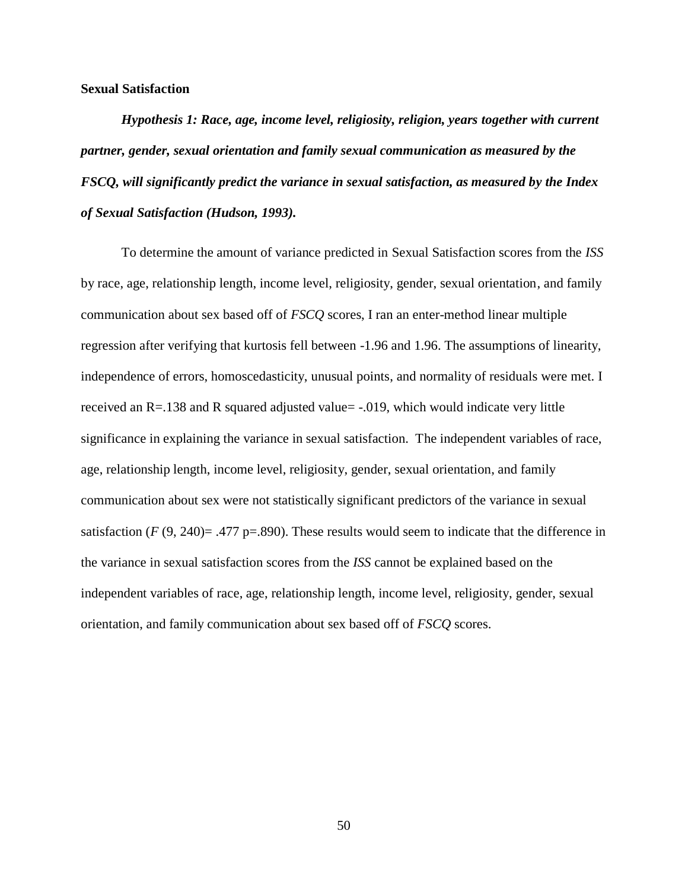#### **Sexual Satisfaction**

*Hypothesis 1: Race, age, income level, religiosity, religion, years together with current partner, gender, sexual orientation and family sexual communication as measured by the FSCQ, will significantly predict the variance in sexual satisfaction, as measured by the Index of Sexual Satisfaction (Hudson, 1993).*

To determine the amount of variance predicted in Sexual Satisfaction scores from the *ISS*  by race, age, relationship length, income level, religiosity, gender, sexual orientation, and family communication about sex based off of *FSCQ* scores, I ran an enter-method linear multiple regression after verifying that kurtosis fell between -1.96 and 1.96. The assumptions of linearity, independence of errors, homoscedasticity, unusual points, and normality of residuals were met. I received an R=.138 and R squared adjusted value= -.019, which would indicate very little significance in explaining the variance in sexual satisfaction. The independent variables of race, age, relationship length, income level, religiosity, gender, sexual orientation, and family communication about sex were not statistically significant predictors of the variance in sexual satisfaction  $(F (9, 240) = .477 \text{ p} = .890)$ . These results would seem to indicate that the difference in the variance in sexual satisfaction scores from the *ISS* cannot be explained based on the independent variables of race, age, relationship length, income level, religiosity, gender, sexual orientation, and family communication about sex based off of *FSCQ* scores.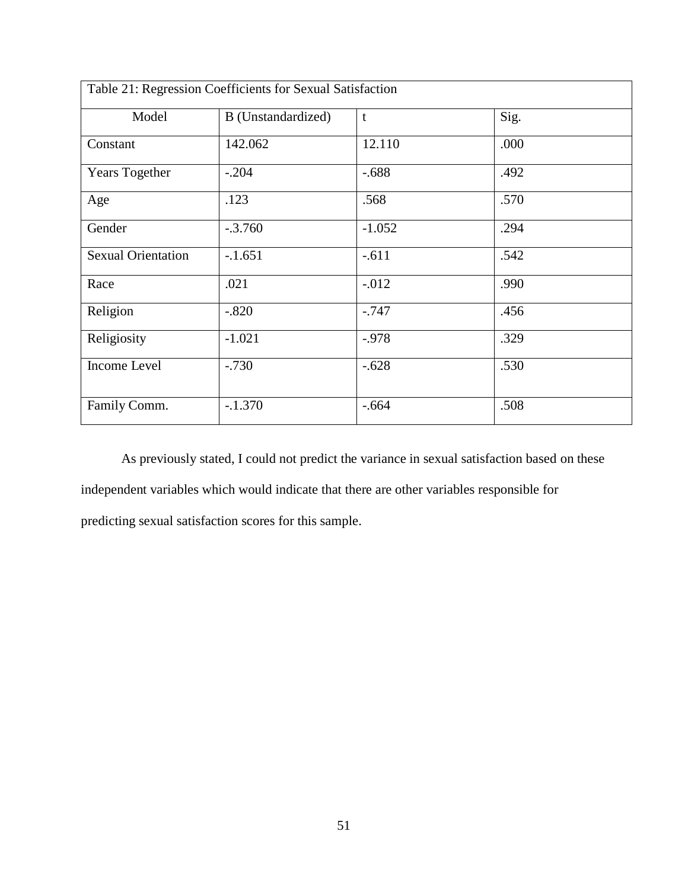|                           | Table 21: Regression Coefficients for Sexual Satisfaction |              |      |
|---------------------------|-----------------------------------------------------------|--------------|------|
| Model                     | B (Unstandardized)                                        | $\mathbf{t}$ | Sig. |
| Constant                  | 142.062                                                   | 12.110       | .000 |
| Years Together            | $-.204$                                                   | $-.688$      | .492 |
| Age                       | .123                                                      | .568         | .570 |
| Gender                    | $-.3.760$                                                 | $-1.052$     | .294 |
| <b>Sexual Orientation</b> | $-1.651$                                                  | $-.611$      | .542 |
| Race                      | .021                                                      | $-.012$      | .990 |
| Religion                  | $-.820$                                                   | $-.747$      | .456 |
| Religiosity               | $-1.021$                                                  | $-0.978$     | .329 |
| Income Level              | $-.730$                                                   | $-.628$      | .530 |
| Family Comm.              | $-.1.370$                                                 | $-.664$      | .508 |

As previously stated, I could not predict the variance in sexual satisfaction based on these independent variables which would indicate that there are other variables responsible for predicting sexual satisfaction scores for this sample.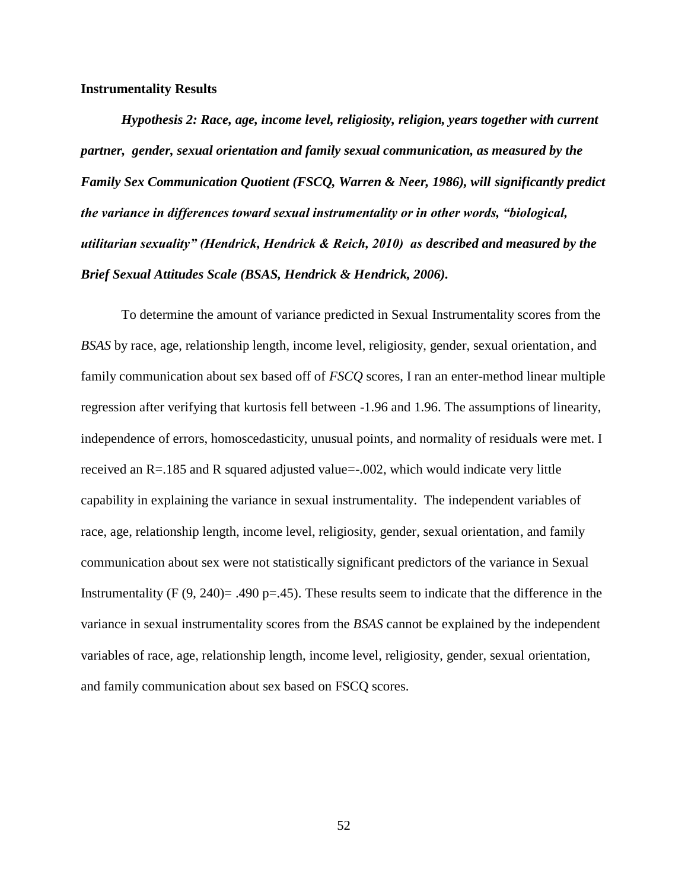#### **Instrumentality Results**

*Hypothesis 2: Race, age, income level, religiosity, religion, years together with current partner, gender, sexual orientation and family sexual communication, as measured by the Family Sex Communication Quotient (FSCQ, Warren & Neer, 1986), will significantly predict the variance in differences toward sexual instrumentality or in other words, "biological, utilitarian sexuality" (Hendrick, Hendrick & Reich, 2010) as described and measured by the Brief Sexual Attitudes Scale (BSAS, Hendrick & Hendrick, 2006).* 

To determine the amount of variance predicted in Sexual Instrumentality scores from the *BSAS* by race, age, relationship length, income level, religiosity, gender, sexual orientation, and family communication about sex based off of *FSCQ* scores, I ran an enter-method linear multiple regression after verifying that kurtosis fell between -1.96 and 1.96. The assumptions of linearity, independence of errors, homoscedasticity, unusual points, and normality of residuals were met. I received an R=.185 and R squared adjusted value=-.002, which would indicate very little capability in explaining the variance in sexual instrumentality. The independent variables of race, age, relationship length, income level, religiosity, gender, sexual orientation, and family communication about sex were not statistically significant predictors of the variance in Sexual Instrumentality  $(F (9, 240) = .490 \text{ p} = .45)$ . These results seem to indicate that the difference in the variance in sexual instrumentality scores from the *BSAS* cannot be explained by the independent variables of race, age, relationship length, income level, religiosity, gender, sexual orientation, and family communication about sex based on FSCQ scores.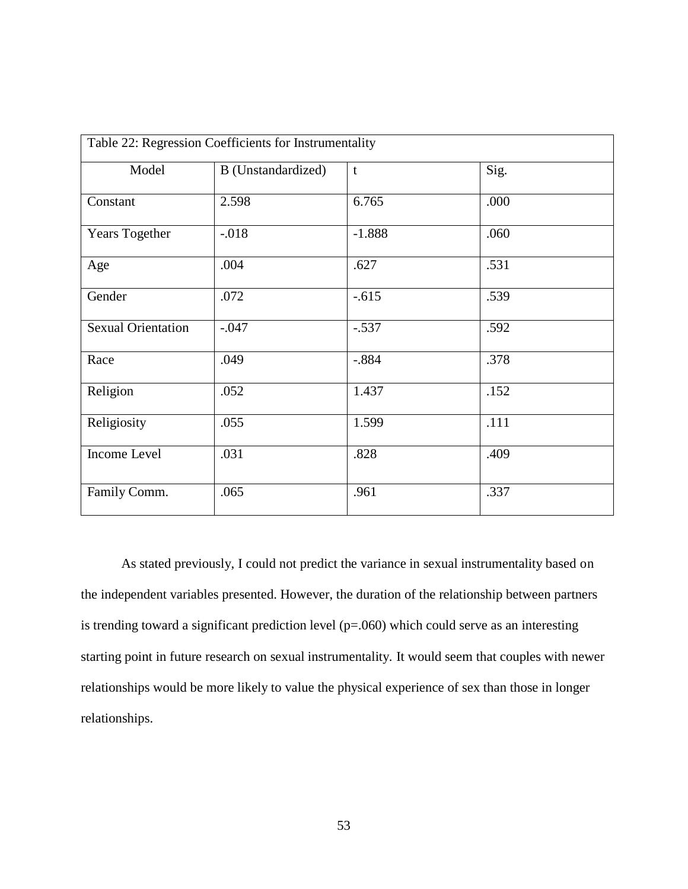|                           | Table 22: Regression Coefficients for Instrumentality |          |      |  |
|---------------------------|-------------------------------------------------------|----------|------|--|
| Model                     | B (Unstandardized)                                    | t        | Sig. |  |
| Constant                  | 2.598                                                 | 6.765    | .000 |  |
| Years Together            | $-0.018$                                              | $-1.888$ | .060 |  |
| Age                       | .004                                                  | .627     | .531 |  |
| Gender                    | .072                                                  | $-.615$  | .539 |  |
| <b>Sexual Orientation</b> | $-.047$                                               | $-.537$  | .592 |  |
| Race                      | .049                                                  | $-.884$  | .378 |  |
| Religion                  | .052                                                  | 1.437    | .152 |  |
| Religiosity               | .055                                                  | 1.599    | .111 |  |
| Income Level              | .031                                                  | .828     | .409 |  |
| Family Comm.              | .065                                                  | .961     | .337 |  |

As stated previously, I could not predict the variance in sexual instrumentality based on the independent variables presented. However, the duration of the relationship between partners is trending toward a significant prediction level  $(p=.060)$  which could serve as an interesting starting point in future research on sexual instrumentality. It would seem that couples with newer relationships would be more likely to value the physical experience of sex than those in longer relationships.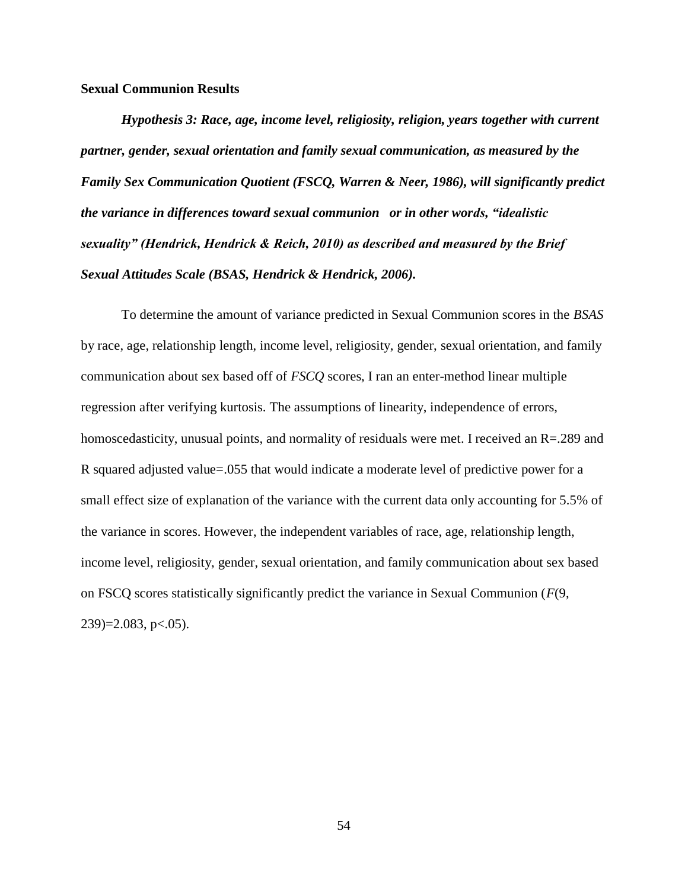#### **Sexual Communion Results**

*Hypothesis 3: Race, age, income level, religiosity, religion, years together with current partner, gender, sexual orientation and family sexual communication, as measured by the Family Sex Communication Quotient (FSCQ, Warren & Neer, 1986), will significantly predict the variance in differences toward sexual communion or in other words, "idealistic sexuality" (Hendrick, Hendrick & Reich, 2010) as described and measured by the Brief Sexual Attitudes Scale (BSAS, Hendrick & Hendrick, 2006).*

To determine the amount of variance predicted in Sexual Communion scores in the *BSAS* by race, age, relationship length, income level, religiosity, gender, sexual orientation, and family communication about sex based off of *FSCQ* scores, I ran an enter-method linear multiple regression after verifying kurtosis. The assumptions of linearity, independence of errors, homoscedasticity, unusual points, and normality of residuals were met. I received an R=.289 and R squared adjusted value=.055 that would indicate a moderate level of predictive power for a small effect size of explanation of the variance with the current data only accounting for 5.5% of the variance in scores. However, the independent variables of race, age, relationship length, income level, religiosity, gender, sexual orientation, and family communication about sex based on FSCQ scores statistically significantly predict the variance in Sexual Communion (*F*(9,  $239$ )= $2.083$ , p $< .05$ ).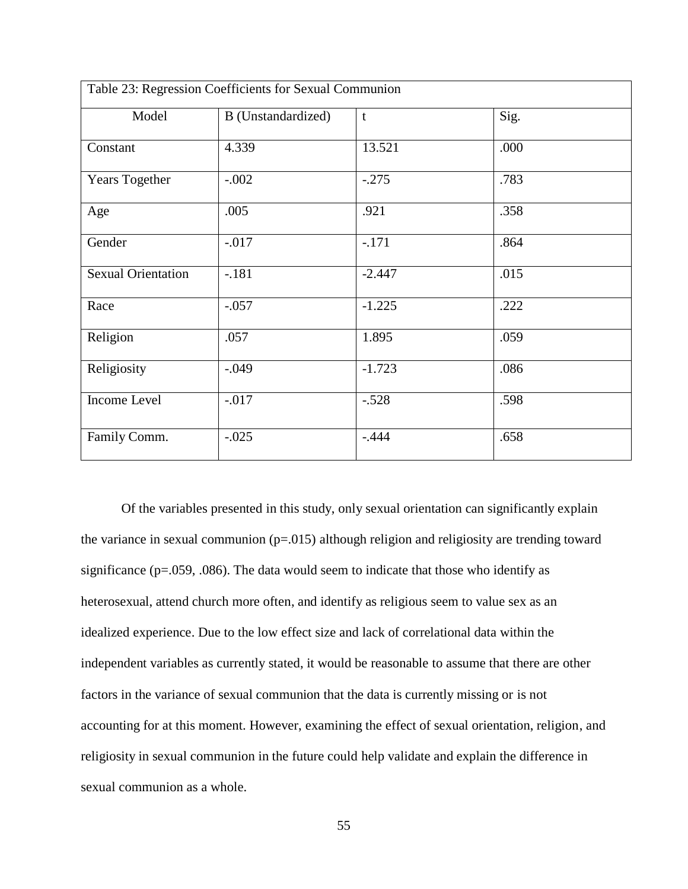| Table 23: Regression Coefficients for Sexual Communion |                    |              |      |  |
|--------------------------------------------------------|--------------------|--------------|------|--|
| Model                                                  | B (Unstandardized) | $\mathbf{t}$ | Sig. |  |
| Constant                                               | 4.339              | 13.521       | .000 |  |
| Years Together                                         | $-.002$            | $-.275$      | .783 |  |
| Age                                                    | .005               | .921         | .358 |  |
| Gender                                                 | $-.017$            | $-.171$      | .864 |  |
| <b>Sexual Orientation</b>                              | $-.181$            | $-2.447$     | .015 |  |
| Race                                                   | $-.057$            | $-1.225$     | .222 |  |
| Religion                                               | .057               | 1.895        | .059 |  |
| Religiosity                                            | $-.049$            | $-1.723$     | .086 |  |
| Income Level                                           | $-.017$            | $-.528$      | .598 |  |
| Family Comm.                                           | $-.025$            | $-.444$      | .658 |  |

Of the variables presented in this study, only sexual orientation can significantly explain the variance in sexual communion  $(p=0.015)$  although religion and religiosity are trending toward significance ( $p=0.059$ , .086). The data would seem to indicate that those who identify as heterosexual, attend church more often, and identify as religious seem to value sex as an idealized experience. Due to the low effect size and lack of correlational data within the independent variables as currently stated, it would be reasonable to assume that there are other factors in the variance of sexual communion that the data is currently missing or is not accounting for at this moment. However, examining the effect of sexual orientation, religion, and religiosity in sexual communion in the future could help validate and explain the difference in sexual communion as a whole.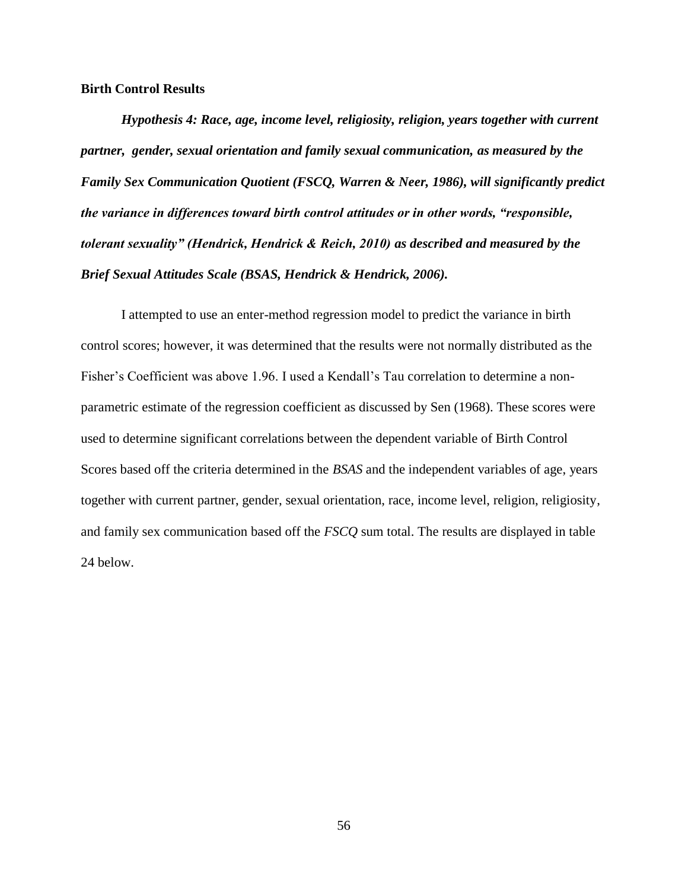#### **Birth Control Results**

*Hypothesis 4: Race, age, income level, religiosity, religion, years together with current partner, gender, sexual orientation and family sexual communication, as measured by the Family Sex Communication Quotient (FSCQ, Warren & Neer, 1986), will significantly predict the variance in differences toward birth control attitudes or in other words, "responsible, tolerant sexuality" (Hendrick, Hendrick & Reich, 2010) as described and measured by the Brief Sexual Attitudes Scale (BSAS, Hendrick & Hendrick, 2006).*

I attempted to use an enter-method regression model to predict the variance in birth control scores; however, it was determined that the results were not normally distributed as the Fisher's Coefficient was above 1.96. I used a Kendall's Tau correlation to determine a nonparametric estimate of the regression coefficient as discussed by Sen (1968). These scores were used to determine significant correlations between the dependent variable of Birth Control Scores based off the criteria determined in the *BSAS* and the independent variables of age, years together with current partner, gender, sexual orientation, race, income level, religion, religiosity, and family sex communication based off the *FSCQ* sum total. The results are displayed in table 24 below.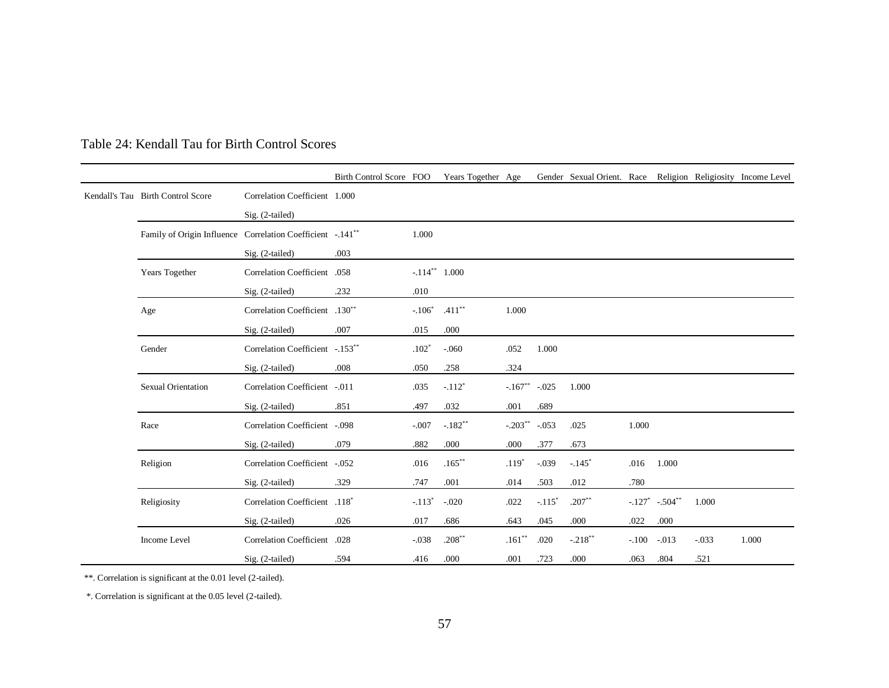|  |                                                                         |                                  | Birth Control Score FOO |          | Years Together Age |                    |          | Gender Sexual Orient. Race Religion Religiosity Income Level |         |                               |         |       |
|--|-------------------------------------------------------------------------|----------------------------------|-------------------------|----------|--------------------|--------------------|----------|--------------------------------------------------------------|---------|-------------------------------|---------|-------|
|  | Kendall's Tau Birth Control Score                                       | Correlation Coefficient 1.000    |                         |          |                    |                    |          |                                                              |         |                               |         |       |
|  |                                                                         | Sig. (2-tailed)                  |                         |          |                    |                    |          |                                                              |         |                               |         |       |
|  | Family of Origin Influence Correlation Coefficient -. 141 <sup>**</sup> |                                  |                         | 1.000    |                    |                    |          |                                                              |         |                               |         |       |
|  |                                                                         | Sig. (2-tailed)                  | .003                    |          |                    |                    |          |                                                              |         |                               |         |       |
|  | Years Together                                                          | Correlation Coefficient .058     |                         |          | $-.114**1.000$     |                    |          |                                                              |         |                               |         |       |
|  |                                                                         | Sig. (2-tailed)                  | .232                    | .010     |                    |                    |          |                                                              |         |                               |         |       |
|  | Age                                                                     | Correlation Coefficient .130**   |                         | $-.106*$ | $.411***$          | 1.000              |          |                                                              |         |                               |         |       |
|  |                                                                         | Sig. (2-tailed)                  | .007                    | .015     | .000               |                    |          |                                                              |         |                               |         |       |
|  | Gender                                                                  | Correlation Coefficient -. 153** |                         | $.102*$  | $-.060$            | .052               | 1.000    |                                                              |         |                               |         |       |
|  |                                                                         | Sig. (2-tailed)                  | .008                    | .050     | .258               | .324               |          |                                                              |         |                               |         |       |
|  | <b>Sexual Orientation</b>                                               | Correlation Coefficient -.011    |                         | .035     | $-.112*$           | $-.167***$ $-.025$ |          | 1.000                                                        |         |                               |         |       |
|  |                                                                         | Sig. (2-tailed)                  | .851                    | .497     | .032               | .001               | .689     |                                                              |         |                               |         |       |
|  | Race                                                                    | Correlation Coefficient -.098    |                         | $-.007$  | $-.182**$          | $-.203***$ $-.053$ |          | .025                                                         | 1.000   |                               |         |       |
|  |                                                                         | Sig. (2-tailed)                  | .079                    | .882     | .000               | .000               | .377     | .673                                                         |         |                               |         |       |
|  | Religion                                                                | Correlation Coefficient -.052    |                         | .016     | $.165***$          | $.119*$            | $-.039$  | $-.145$ <sup>*</sup>                                         | .016    | 1.000                         |         |       |
|  |                                                                         | Sig. (2-tailed)                  | .329                    | .747     | .001               | .014               | .503     | .012                                                         | .780    |                               |         |       |
|  | Religiosity                                                             | Correlation Coefficient .118*    |                         | $-.113*$ | $-.020$            | .022               | $-.115*$ | $.207**$                                                     |         | $-.127$ $-.504$ <sup>**</sup> | 1.000   |       |
|  |                                                                         | Sig. (2-tailed)                  | .026                    | .017     | .686               | .643               | .045     | .000                                                         | .022    | .000                          |         |       |
|  | Income Level                                                            | <b>Correlation Coefficient</b>   | .028                    | $-.038$  | $.208**$           | $.161**$           | .020     | $-.218***$                                                   | $-.100$ | $-.013$                       | $-.033$ | 1.000 |
|  |                                                                         | Sig. (2-tailed)                  | .594                    | .416     | .000               | .001               | .723     | .000                                                         | .063    | .804                          | .521    |       |

## Table 24: Kendall Tau for Birth Control Scores

\*\*. Correlation is significant at the 0.01 level (2-tailed).

\*. Correlation is significant at the 0.05 level (2-tailed).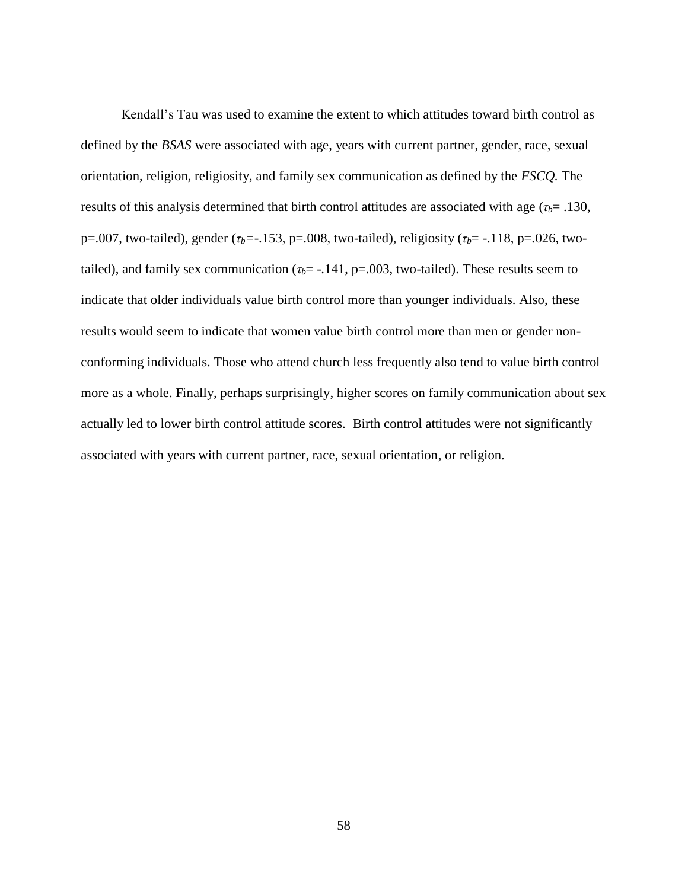Kendall's Tau was used to examine the extent to which attitudes toward birth control as defined by the *BSAS* were associated with age, years with current partner, gender, race, sexual orientation, religion, religiosity, and family sex communication as defined by the *FSCQ.* The results of this analysis determined that birth control attitudes are associated with age (*τb*= .130, p=.007, two-tailed), gender ( $τ$ *<sub>b</sub>*=-.153, p=.008, two-tailed), religiosity ( $τ$ <sub>*b*</sub>=-.118, p=.026, twotailed), and family sex communication ( $\tau_b$ = -.141, p=.003, two-tailed). These results seem to indicate that older individuals value birth control more than younger individuals. Also, these results would seem to indicate that women value birth control more than men or gender nonconforming individuals. Those who attend church less frequently also tend to value birth control more as a whole. Finally, perhaps surprisingly, higher scores on family communication about sex actually led to lower birth control attitude scores. Birth control attitudes were not significantly associated with years with current partner, race, sexual orientation, or religion.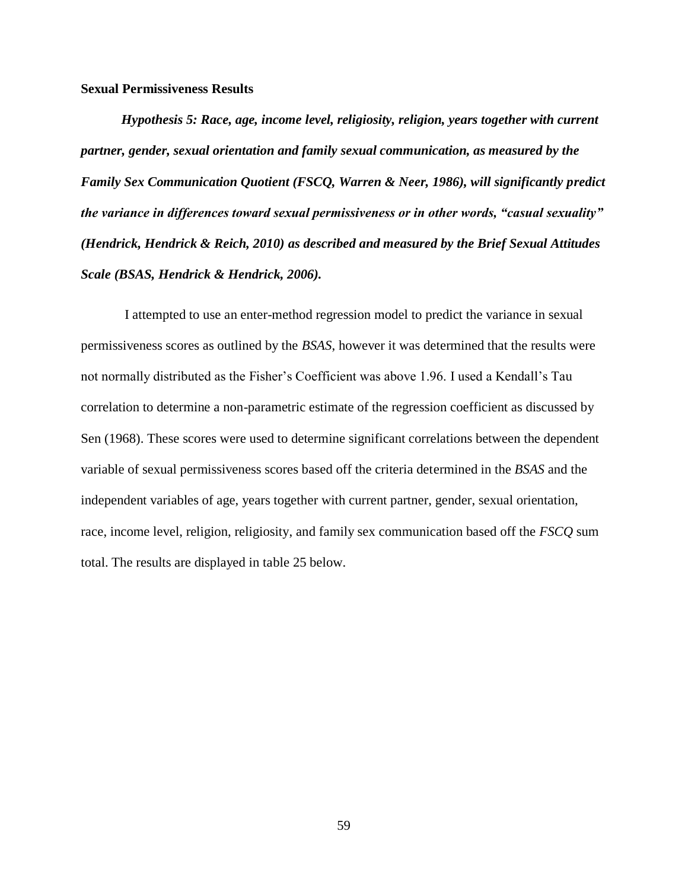**Sexual Permissiveness Results**

*Hypothesis 5: Race, age, income level, religiosity, religion, years together with current partner, gender, sexual orientation and family sexual communication, as measured by the Family Sex Communication Quotient (FSCQ, Warren & Neer, 1986), will significantly predict the variance in differences toward sexual permissiveness or in other words, "casual sexuality" (Hendrick, Hendrick & Reich, 2010) as described and measured by the Brief Sexual Attitudes Scale (BSAS, Hendrick & Hendrick, 2006).*

I attempted to use an enter-method regression model to predict the variance in sexual permissiveness scores as outlined by the *BSAS*, however it was determined that the results were not normally distributed as the Fisher's Coefficient was above 1.96. I used a Kendall's Tau correlation to determine a non-parametric estimate of the regression coefficient as discussed by Sen (1968). These scores were used to determine significant correlations between the dependent variable of sexual permissiveness scores based off the criteria determined in the *BSAS* and the independent variables of age, years together with current partner, gender, sexual orientation, race, income level, religion, religiosity, and family sex communication based off the *FSCQ* sum total. The results are displayed in table 25 below.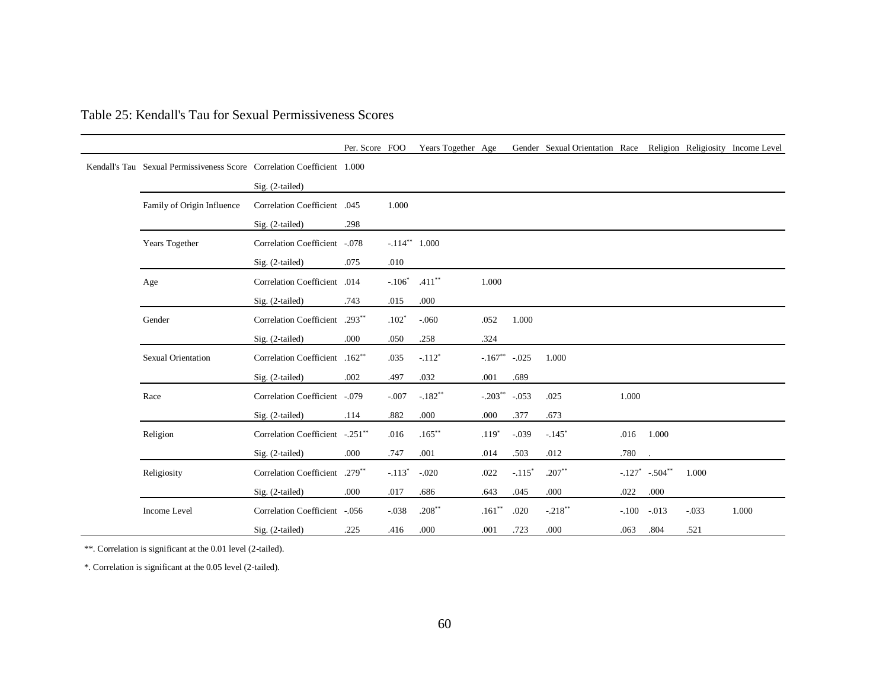|                                                                         |                                 | Per. Score FOO |                 | Years Together Age |                    |          | Gender Sexual Orientation Race Religion Religiosity Income Level |         |                    |         |       |
|-------------------------------------------------------------------------|---------------------------------|----------------|-----------------|--------------------|--------------------|----------|------------------------------------------------------------------|---------|--------------------|---------|-------|
| Kendall's Tau Sexual Permissiveness Score Correlation Coefficient 1.000 |                                 |                |                 |                    |                    |          |                                                                  |         |                    |         |       |
|                                                                         | Sig. (2-tailed)                 |                |                 |                    |                    |          |                                                                  |         |                    |         |       |
| Family of Origin Influence                                              | Correlation Coefficient .045    |                | 1.000           |                    |                    |          |                                                                  |         |                    |         |       |
|                                                                         | Sig. (2-tailed)                 | .298           |                 |                    |                    |          |                                                                  |         |                    |         |       |
| Years Together                                                          | Correlation Coefficient -.078   |                | $-.114**$ 1.000 |                    |                    |          |                                                                  |         |                    |         |       |
|                                                                         | Sig. (2-tailed)                 | .075           | .010            |                    |                    |          |                                                                  |         |                    |         |       |
| Age                                                                     | Correlation Coefficient .014    |                | $-.106*$        | $.411***$          | 1.000              |          |                                                                  |         |                    |         |       |
|                                                                         | Sig. (2-tailed)                 | .743           | .015            | .000               |                    |          |                                                                  |         |                    |         |       |
| Gender                                                                  | Correlation Coefficient .293**  |                | $.102*$         | $-.060$            | .052               | 1.000    |                                                                  |         |                    |         |       |
|                                                                         | Sig. (2-tailed)                 | .000           | .050            | .258               | .324               |          |                                                                  |         |                    |         |       |
| <b>Sexual Orientation</b>                                               | Correlation Coefficient .162**  |                | .035            | $-.112*$           | $-.167$ ** $-.025$ |          | 1.000                                                            |         |                    |         |       |
|                                                                         | Sig. (2-tailed)                 | .002           | .497            | .032               | .001               | .689     |                                                                  |         |                    |         |       |
| Race                                                                    | Correlation Coefficient -.079   |                | $-.007$         | $-.182**$          | $-.203$ ** $-.053$ |          | .025                                                             | 1.000   |                    |         |       |
|                                                                         | $Sig. (2-tailed)$               | .114           | .882            | .000               | .000               | .377     | .673                                                             |         |                    |         |       |
| Religion                                                                | Correlation Coefficient -.251** |                | .016            | $.165***$          | $.119*$            | $-.039$  | $-.145$ <sup>*</sup>                                             | .016    | 1.000              |         |       |
|                                                                         | Sig. (2-tailed)                 | .000           | .747            | .001               | .014               | .503     | .012                                                             | .780    |                    |         |       |
| Religiosity                                                             | Correlation Coefficient .279**  |                | $-.113*$        | $-.020$            | .022               | $-.115*$ | $.207**$                                                         |         | $-.127$ $-.504$ ** | 1.000   |       |
|                                                                         | $Sig. (2-tailed)$               | .000           | .017            | .686               | .643               | .045     | $.000$                                                           | .022    | .000               |         |       |
| Income Level                                                            | Correlation Coefficient -.056   |                | $-.038$         | $.208**$           | $.161**$           | .020     | $-.218***$                                                       | $-.100$ | $-0.013$           | $-.033$ | 1.000 |
|                                                                         | Sig. (2-tailed)                 | .225           | .416            | .000               | .001               | .723     | .000                                                             | .063    | .804               | .521    |       |

## Table 25: Kendall's Tau for Sexual Permissiveness Scores

\*\*. Correlation is significant at the 0.01 level (2-tailed).

\*. Correlation is significant at the 0.05 level (2-tailed).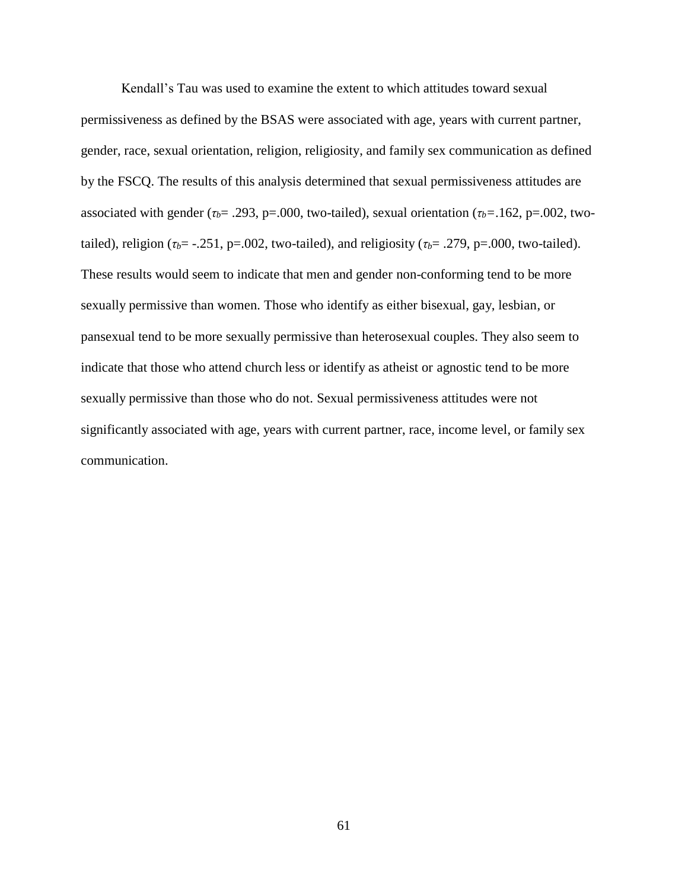Kendall's Tau was used to examine the extent to which attitudes toward sexual permissiveness as defined by the BSAS were associated with age, years with current partner, gender, race, sexual orientation, religion, religiosity, and family sex communication as defined by the FSCQ. The results of this analysis determined that sexual permissiveness attitudes are associated with gender ( $\tau_b$ = .293, p=.000, two-tailed), sexual orientation ( $\tau_b$ =.162, p=.002, twotailed), religion ( $\tau_b$ = -.251, p=.002, two-tailed), and religiosity ( $\tau_b$ = .279, p=.000, two-tailed). These results would seem to indicate that men and gender non-conforming tend to be more sexually permissive than women. Those who identify as either bisexual, gay, lesbian, or pansexual tend to be more sexually permissive than heterosexual couples. They also seem to indicate that those who attend church less or identify as atheist or agnostic tend to be more sexually permissive than those who do not. Sexual permissiveness attitudes were not significantly associated with age, years with current partner, race, income level, or family sex communication.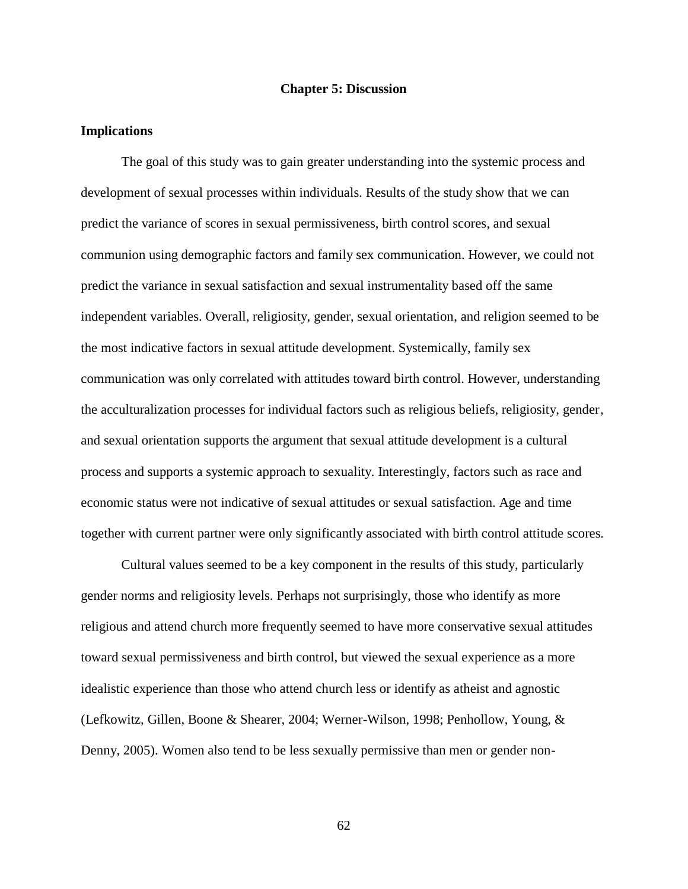#### **Chapter 5: Discussion**

#### **Implications**

The goal of this study was to gain greater understanding into the systemic process and development of sexual processes within individuals. Results of the study show that we can predict the variance of scores in sexual permissiveness, birth control scores, and sexual communion using demographic factors and family sex communication. However, we could not predict the variance in sexual satisfaction and sexual instrumentality based off the same independent variables. Overall, religiosity, gender, sexual orientation, and religion seemed to be the most indicative factors in sexual attitude development. Systemically, family sex communication was only correlated with attitudes toward birth control. However, understanding the acculturalization processes for individual factors such as religious beliefs, religiosity, gender, and sexual orientation supports the argument that sexual attitude development is a cultural process and supports a systemic approach to sexuality. Interestingly, factors such as race and economic status were not indicative of sexual attitudes or sexual satisfaction. Age and time together with current partner were only significantly associated with birth control attitude scores.

Cultural values seemed to be a key component in the results of this study, particularly gender norms and religiosity levels. Perhaps not surprisingly, those who identify as more religious and attend church more frequently seemed to have more conservative sexual attitudes toward sexual permissiveness and birth control, but viewed the sexual experience as a more idealistic experience than those who attend church less or identify as atheist and agnostic (Lefkowitz, Gillen, Boone & Shearer, 2004; Werner-Wilson, 1998; Penhollow, Young, & Denny, 2005). Women also tend to be less sexually permissive than men or gender non-

62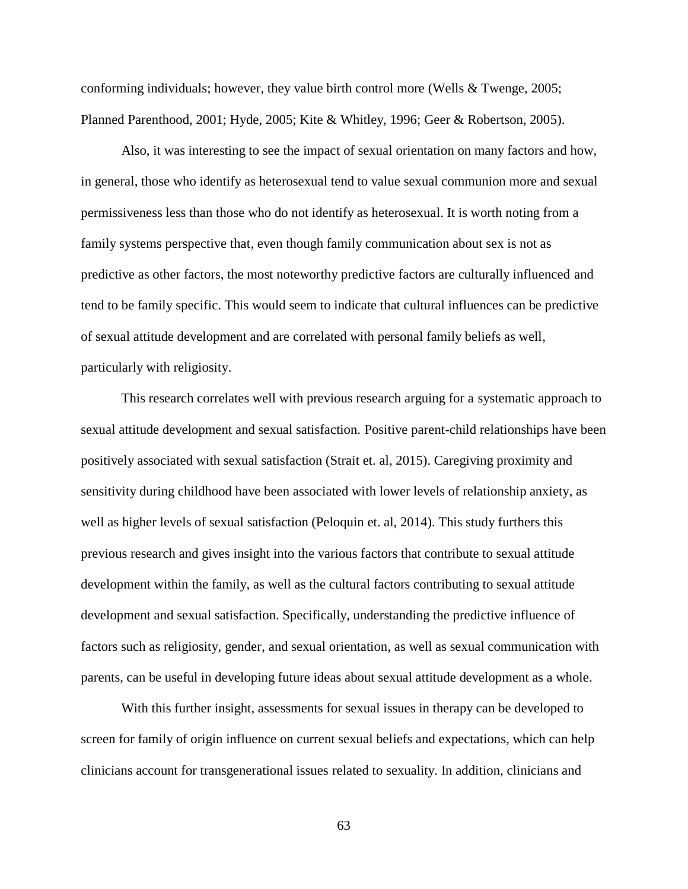conforming individuals; however, they value birth control more (Wells & Twenge, 2005; Planned Parenthood, 2001; Hyde, 2005; Kite & Whitley, 1996; Geer & Robertson, 2005).

Also, it was interesting to see the impact of sexual orientation on many factors and how, in general, those who identify as heterosexual tend to value sexual communion more and sexual permissiveness less than those who do not identify as heterosexual. It is worth noting from a family systems perspective that, even though family communication about sex is not as predictive as other factors, the most noteworthy predictive factors are culturally influenced and tend to be family specific. This would seem to indicate that cultural influences can be predictive of sexual attitude development and are correlated with personal family beliefs as well, particularly with religiosity.

This research correlates well with previous research arguing for a systematic approach to sexual attitude development and sexual satisfaction. Positive parent-child relationships have been positively associated with sexual satisfaction (Strait et. al, 2015). Caregiving proximity and sensitivity during childhood have been associated with lower levels of relationship anxiety, as well as higher levels of sexual satisfaction (Peloquin et. al, 2014). This study furthers this previous research and gives insight into the various factors that contribute to sexual attitude development within the family, as well as the cultural factors contributing to sexual attitude development and sexual satisfaction. Specifically, understanding the predictive influence of factors such as religiosity, gender, and sexual orientation, as well as sexual communication with parents, can be useful in developing future ideas about sexual attitude development as a whole.

With this further insight, assessments for sexual issues in therapy can be developed to screen for family of origin influence on current sexual beliefs and expectations, which can help clinicians account for transgenerational issues related to sexuality. In addition, clinicians and

63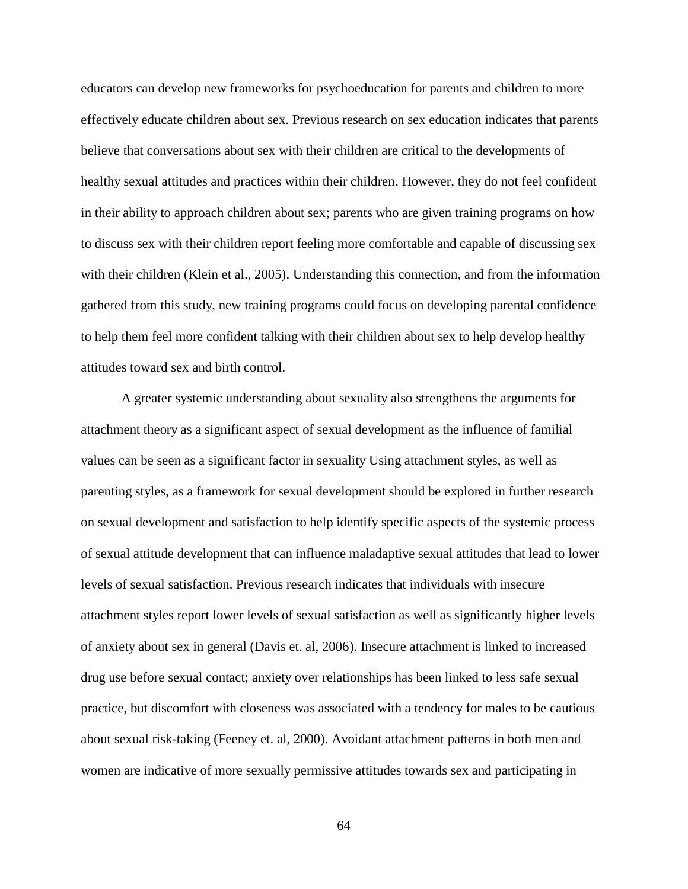educators can develop new frameworks for psychoeducation for parents and children to more effectively educate children about sex. Previous research on sex education indicates that parents believe that conversations about sex with their children are critical to the developments of healthy sexual attitudes and practices within their children. However, they do not feel confident in their ability to approach children about sex; parents who are given training programs on how to discuss sex with their children report feeling more comfortable and capable of discussing sex with their children (Klein et al., 2005). Understanding this connection, and from the information gathered from this study, new training programs could focus on developing parental confidence to help them feel more confident talking with their children about sex to help develop healthy attitudes toward sex and birth control.

A greater systemic understanding about sexuality also strengthens the arguments for attachment theory as a significant aspect of sexual development as the influence of familial values can be seen as a significant factor in sexuality Using attachment styles, as well as parenting styles, as a framework for sexual development should be explored in further research on sexual development and satisfaction to help identify specific aspects of the systemic process of sexual attitude development that can influence maladaptive sexual attitudes that lead to lower levels of sexual satisfaction. Previous research indicates that individuals with insecure attachment styles report lower levels of sexual satisfaction as well as significantly higher levels of anxiety about sex in general (Davis et. al, 2006). Insecure attachment is linked to increased drug use before sexual contact; anxiety over relationships has been linked to less safe sexual practice, but discomfort with closeness was associated with a tendency for males to be cautious about sexual risk-taking (Feeney et. al, 2000). Avoidant attachment patterns in both men and women are indicative of more sexually permissive attitudes towards sex and participating in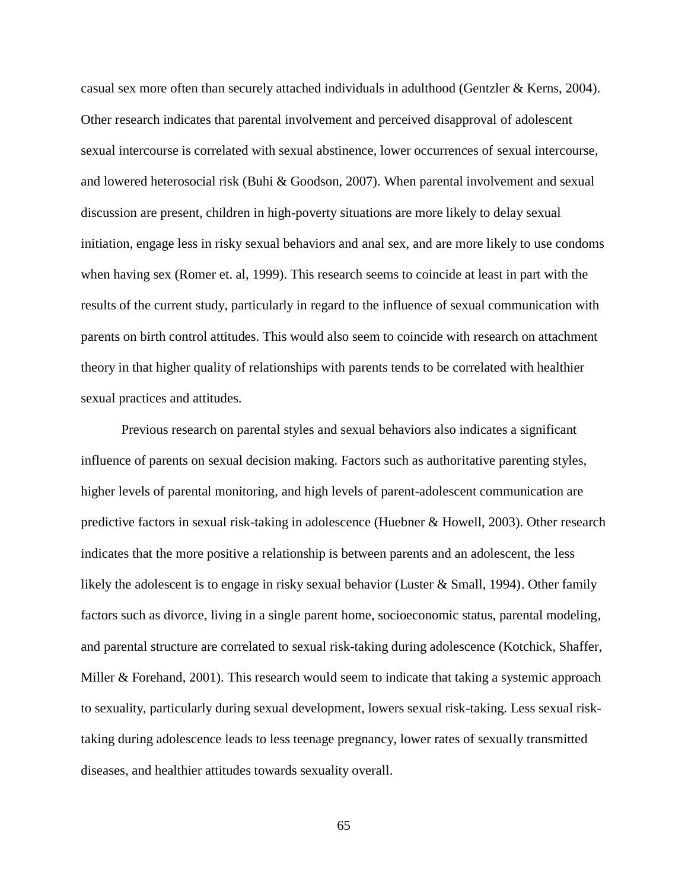casual sex more often than securely attached individuals in adulthood (Gentzler & Kerns, 2004). Other research indicates that parental involvement and perceived disapproval of adolescent sexual intercourse is correlated with sexual abstinence, lower occurrences of sexual intercourse, and lowered heterosocial risk (Buhi & Goodson, 2007). When parental involvement and sexual discussion are present, children in high-poverty situations are more likely to delay sexual initiation, engage less in risky sexual behaviors and anal sex, and are more likely to use condoms when having sex (Romer et. al, 1999). This research seems to coincide at least in part with the results of the current study, particularly in regard to the influence of sexual communication with parents on birth control attitudes. This would also seem to coincide with research on attachment theory in that higher quality of relationships with parents tends to be correlated with healthier sexual practices and attitudes.

Previous research on parental styles and sexual behaviors also indicates a significant influence of parents on sexual decision making. Factors such as authoritative parenting styles, higher levels of parental monitoring, and high levels of parent-adolescent communication are predictive factors in sexual risk-taking in adolescence (Huebner & Howell, 2003). Other research indicates that the more positive a relationship is between parents and an adolescent, the less likely the adolescent is to engage in risky sexual behavior (Luster & Small, 1994). Other family factors such as divorce, living in a single parent home, socioeconomic status, parental modeling, and parental structure are correlated to sexual risk-taking during adolescence (Kotchick, Shaffer, Miller & Forehand, 2001). This research would seem to indicate that taking a systemic approach to sexuality, particularly during sexual development, lowers sexual risk-taking. Less sexual risktaking during adolescence leads to less teenage pregnancy, lower rates of sexually transmitted diseases, and healthier attitudes towards sexuality overall.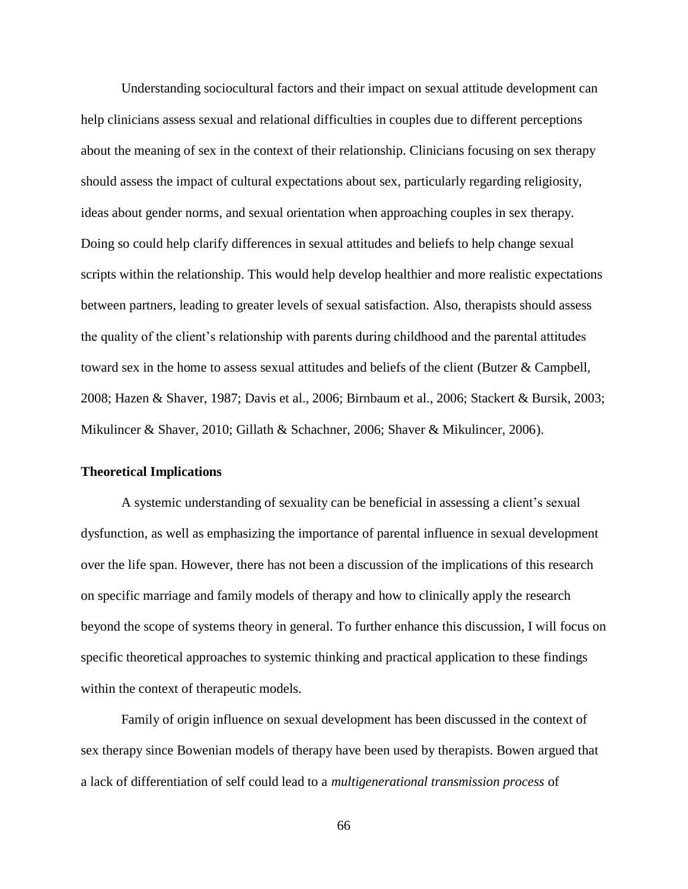Understanding sociocultural factors and their impact on sexual attitude development can help clinicians assess sexual and relational difficulties in couples due to different perceptions about the meaning of sex in the context of their relationship. Clinicians focusing on sex therapy should assess the impact of cultural expectations about sex, particularly regarding religiosity, ideas about gender norms, and sexual orientation when approaching couples in sex therapy. Doing so could help clarify differences in sexual attitudes and beliefs to help change sexual scripts within the relationship. This would help develop healthier and more realistic expectations between partners, leading to greater levels of sexual satisfaction. Also, therapists should assess the quality of the client's relationship with parents during childhood and the parental attitudes toward sex in the home to assess sexual attitudes and beliefs of the client (Butzer & Campbell, 2008; Hazen & Shaver, 1987; Davis et al., 2006; Birnbaum et al., 2006; Stackert & Bursik, 2003; Mikulincer & Shaver, 2010; Gillath & Schachner, 2006; Shaver & Mikulincer, 2006).

### **Theoretical Implications**

A systemic understanding of sexuality can be beneficial in assessing a client's sexual dysfunction, as well as emphasizing the importance of parental influence in sexual development over the life span. However, there has not been a discussion of the implications of this research on specific marriage and family models of therapy and how to clinically apply the research beyond the scope of systems theory in general. To further enhance this discussion, I will focus on specific theoretical approaches to systemic thinking and practical application to these findings within the context of therapeutic models.

Family of origin influence on sexual development has been discussed in the context of sex therapy since Bowenian models of therapy have been used by therapists. Bowen argued that a lack of differentiation of self could lead to a *multigenerational transmission process* of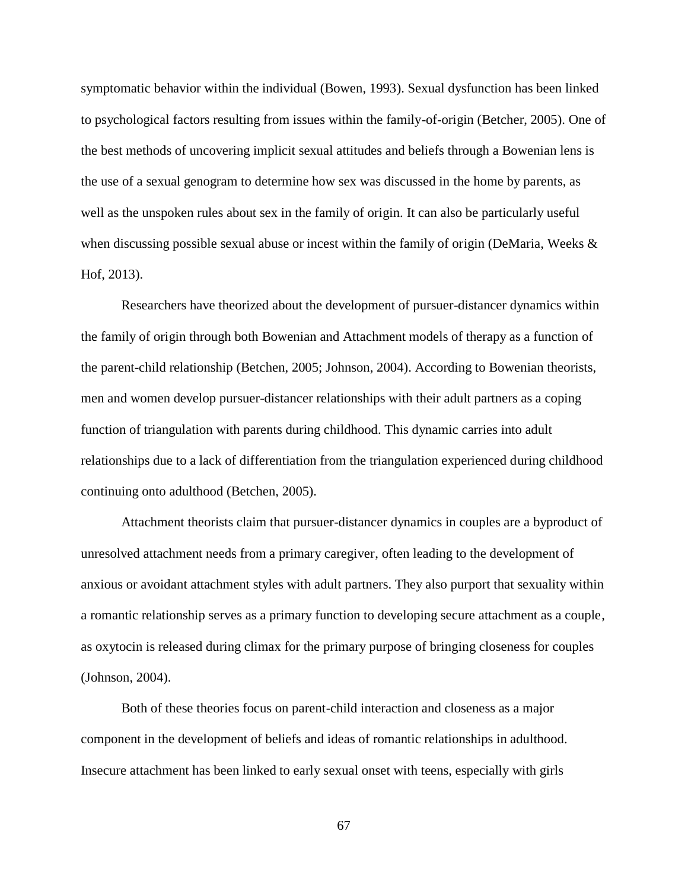symptomatic behavior within the individual (Bowen, 1993). Sexual dysfunction has been linked to psychological factors resulting from issues within the family-of-origin (Betcher, 2005). One of the best methods of uncovering implicit sexual attitudes and beliefs through a Bowenian lens is the use of a sexual genogram to determine how sex was discussed in the home by parents, as well as the unspoken rules about sex in the family of origin. It can also be particularly useful when discussing possible sexual abuse or incest within the family of origin (DeMaria, Weeks & Hof, 2013).

Researchers have theorized about the development of pursuer-distancer dynamics within the family of origin through both Bowenian and Attachment models of therapy as a function of the parent-child relationship (Betchen, 2005; Johnson, 2004). According to Bowenian theorists, men and women develop pursuer-distancer relationships with their adult partners as a coping function of triangulation with parents during childhood. This dynamic carries into adult relationships due to a lack of differentiation from the triangulation experienced during childhood continuing onto adulthood (Betchen, 2005).

Attachment theorists claim that pursuer-distancer dynamics in couples are a byproduct of unresolved attachment needs from a primary caregiver, often leading to the development of anxious or avoidant attachment styles with adult partners. They also purport that sexuality within a romantic relationship serves as a primary function to developing secure attachment as a couple, as oxytocin is released during climax for the primary purpose of bringing closeness for couples (Johnson, 2004).

Both of these theories focus on parent-child interaction and closeness as a major component in the development of beliefs and ideas of romantic relationships in adulthood. Insecure attachment has been linked to early sexual onset with teens, especially with girls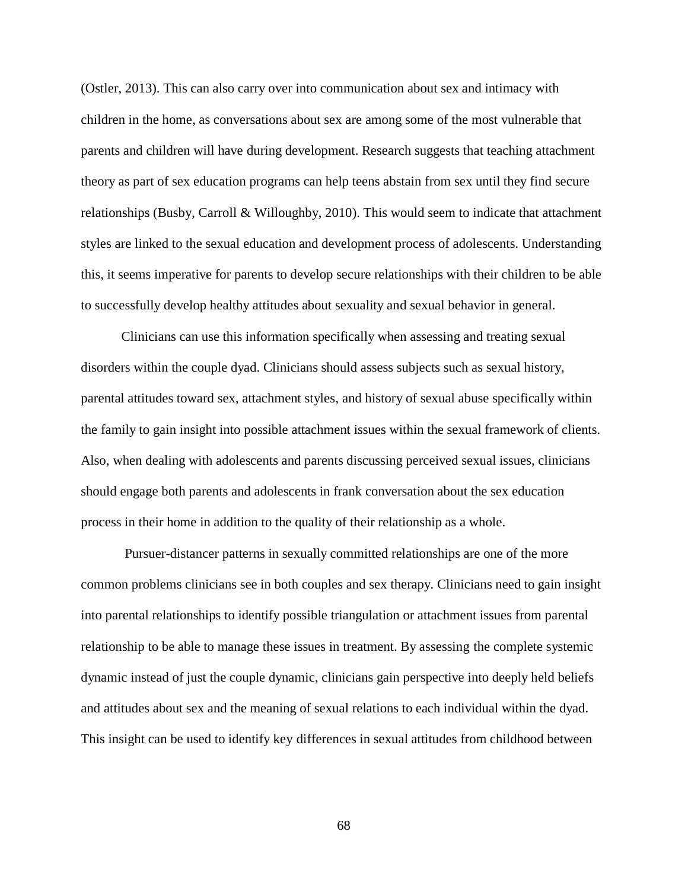(Ostler, 2013). This can also carry over into communication about sex and intimacy with children in the home, as conversations about sex are among some of the most vulnerable that parents and children will have during development. Research suggests that teaching attachment theory as part of sex education programs can help teens abstain from sex until they find secure relationships (Busby, Carroll & Willoughby, 2010). This would seem to indicate that attachment styles are linked to the sexual education and development process of adolescents. Understanding this, it seems imperative for parents to develop secure relationships with their children to be able to successfully develop healthy attitudes about sexuality and sexual behavior in general.

Clinicians can use this information specifically when assessing and treating sexual disorders within the couple dyad. Clinicians should assess subjects such as sexual history, parental attitudes toward sex, attachment styles, and history of sexual abuse specifically within the family to gain insight into possible attachment issues within the sexual framework of clients. Also, when dealing with adolescents and parents discussing perceived sexual issues, clinicians should engage both parents and adolescents in frank conversation about the sex education process in their home in addition to the quality of their relationship as a whole.

Pursuer-distancer patterns in sexually committed relationships are one of the more common problems clinicians see in both couples and sex therapy. Clinicians need to gain insight into parental relationships to identify possible triangulation or attachment issues from parental relationship to be able to manage these issues in treatment. By assessing the complete systemic dynamic instead of just the couple dynamic, clinicians gain perspective into deeply held beliefs and attitudes about sex and the meaning of sexual relations to each individual within the dyad. This insight can be used to identify key differences in sexual attitudes from childhood between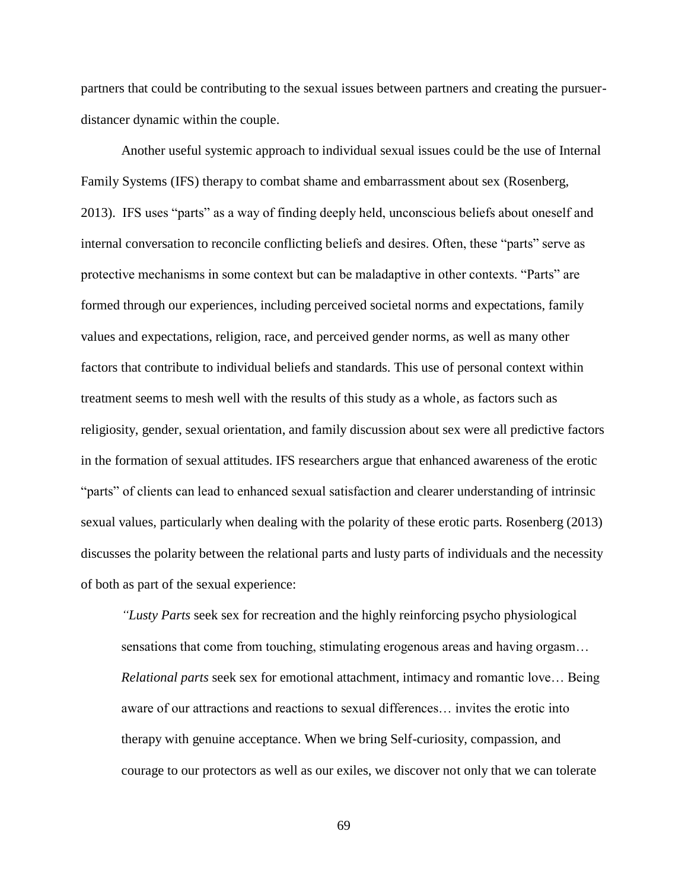partners that could be contributing to the sexual issues between partners and creating the pursuerdistancer dynamic within the couple.

Another useful systemic approach to individual sexual issues could be the use of Internal Family Systems (IFS) therapy to combat shame and embarrassment about sex (Rosenberg, 2013). IFS uses "parts" as a way of finding deeply held, unconscious beliefs about oneself and internal conversation to reconcile conflicting beliefs and desires. Often, these "parts" serve as protective mechanisms in some context but can be maladaptive in other contexts. "Parts" are formed through our experiences, including perceived societal norms and expectations, family values and expectations, religion, race, and perceived gender norms, as well as many other factors that contribute to individual beliefs and standards. This use of personal context within treatment seems to mesh well with the results of this study as a whole, as factors such as religiosity, gender, sexual orientation, and family discussion about sex were all predictive factors in the formation of sexual attitudes. IFS researchers argue that enhanced awareness of the erotic "parts" of clients can lead to enhanced sexual satisfaction and clearer understanding of intrinsic sexual values, particularly when dealing with the polarity of these erotic parts. Rosenberg (2013) discusses the polarity between the relational parts and lusty parts of individuals and the necessity of both as part of the sexual experience:

*"Lusty Parts* seek sex for recreation and the highly reinforcing psycho physiological sensations that come from touching, stimulating erogenous areas and having orgasm… *Relational parts* seek sex for emotional attachment, intimacy and romantic love… Being aware of our attractions and reactions to sexual differences… invites the erotic into therapy with genuine acceptance. When we bring Self-curiosity, compassion, and courage to our protectors as well as our exiles, we discover not only that we can tolerate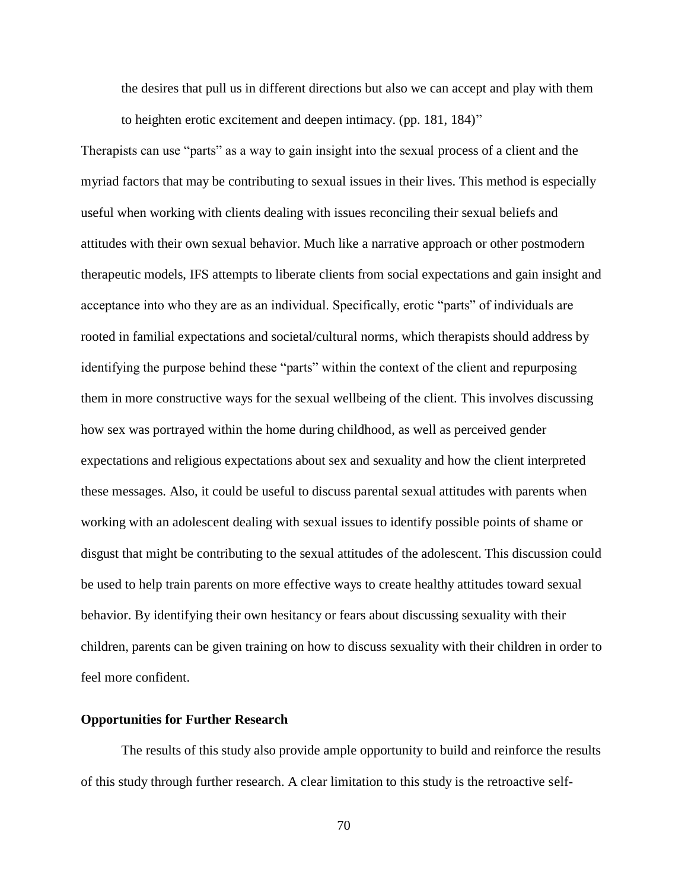the desires that pull us in different directions but also we can accept and play with them to heighten erotic excitement and deepen intimacy. (pp. 181, 184)"

Therapists can use "parts" as a way to gain insight into the sexual process of a client and the myriad factors that may be contributing to sexual issues in their lives. This method is especially useful when working with clients dealing with issues reconciling their sexual beliefs and attitudes with their own sexual behavior. Much like a narrative approach or other postmodern therapeutic models, IFS attempts to liberate clients from social expectations and gain insight and acceptance into who they are as an individual. Specifically, erotic "parts" of individuals are rooted in familial expectations and societal/cultural norms, which therapists should address by identifying the purpose behind these "parts" within the context of the client and repurposing them in more constructive ways for the sexual wellbeing of the client. This involves discussing how sex was portrayed within the home during childhood, as well as perceived gender expectations and religious expectations about sex and sexuality and how the client interpreted these messages. Also, it could be useful to discuss parental sexual attitudes with parents when working with an adolescent dealing with sexual issues to identify possible points of shame or disgust that might be contributing to the sexual attitudes of the adolescent. This discussion could be used to help train parents on more effective ways to create healthy attitudes toward sexual behavior. By identifying their own hesitancy or fears about discussing sexuality with their children, parents can be given training on how to discuss sexuality with their children in order to feel more confident.

#### **Opportunities for Further Research**

The results of this study also provide ample opportunity to build and reinforce the results of this study through further research. A clear limitation to this study is the retroactive self-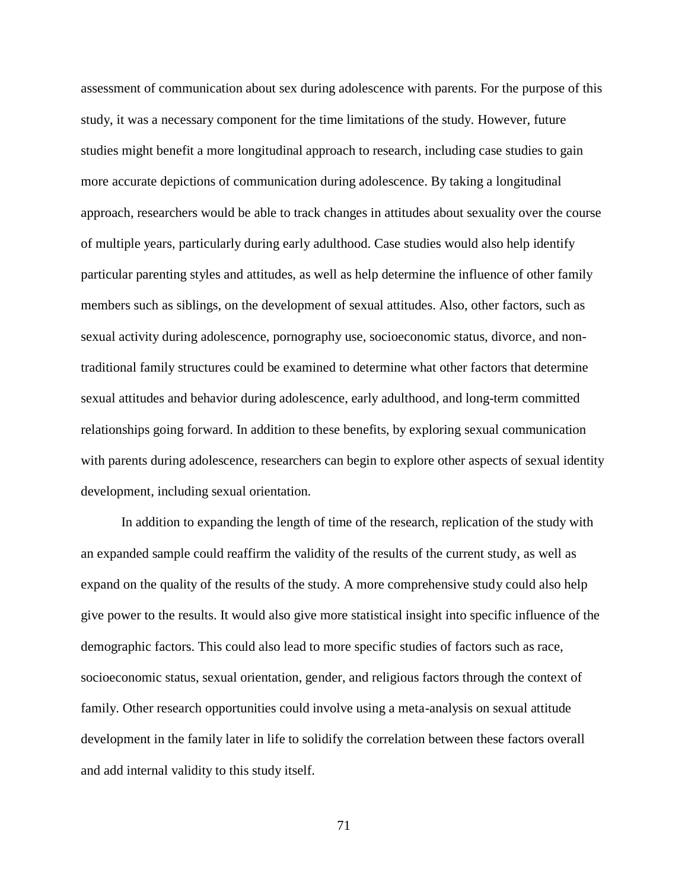assessment of communication about sex during adolescence with parents. For the purpose of this study, it was a necessary component for the time limitations of the study. However, future studies might benefit a more longitudinal approach to research, including case studies to gain more accurate depictions of communication during adolescence. By taking a longitudinal approach, researchers would be able to track changes in attitudes about sexuality over the course of multiple years, particularly during early adulthood. Case studies would also help identify particular parenting styles and attitudes, as well as help determine the influence of other family members such as siblings, on the development of sexual attitudes. Also, other factors, such as sexual activity during adolescence, pornography use, socioeconomic status, divorce, and nontraditional family structures could be examined to determine what other factors that determine sexual attitudes and behavior during adolescence, early adulthood, and long-term committed relationships going forward. In addition to these benefits, by exploring sexual communication with parents during adolescence, researchers can begin to explore other aspects of sexual identity development, including sexual orientation.

In addition to expanding the length of time of the research, replication of the study with an expanded sample could reaffirm the validity of the results of the current study, as well as expand on the quality of the results of the study. A more comprehensive study could also help give power to the results. It would also give more statistical insight into specific influence of the demographic factors. This could also lead to more specific studies of factors such as race, socioeconomic status, sexual orientation, gender, and religious factors through the context of family. Other research opportunities could involve using a meta-analysis on sexual attitude development in the family later in life to solidify the correlation between these factors overall and add internal validity to this study itself.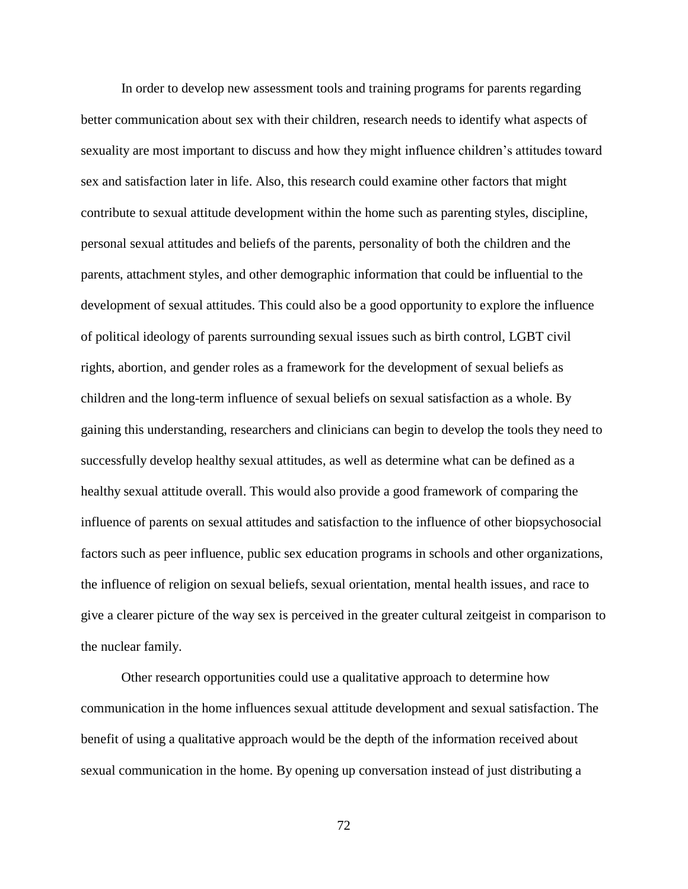In order to develop new assessment tools and training programs for parents regarding better communication about sex with their children, research needs to identify what aspects of sexuality are most important to discuss and how they might influence children's attitudes toward sex and satisfaction later in life. Also, this research could examine other factors that might contribute to sexual attitude development within the home such as parenting styles, discipline, personal sexual attitudes and beliefs of the parents, personality of both the children and the parents, attachment styles, and other demographic information that could be influential to the development of sexual attitudes. This could also be a good opportunity to explore the influence of political ideology of parents surrounding sexual issues such as birth control, LGBT civil rights, abortion, and gender roles as a framework for the development of sexual beliefs as children and the long-term influence of sexual beliefs on sexual satisfaction as a whole. By gaining this understanding, researchers and clinicians can begin to develop the tools they need to successfully develop healthy sexual attitudes, as well as determine what can be defined as a healthy sexual attitude overall. This would also provide a good framework of comparing the influence of parents on sexual attitudes and satisfaction to the influence of other biopsychosocial factors such as peer influence, public sex education programs in schools and other organizations, the influence of religion on sexual beliefs, sexual orientation, mental health issues, and race to give a clearer picture of the way sex is perceived in the greater cultural zeitgeist in comparison to the nuclear family.

Other research opportunities could use a qualitative approach to determine how communication in the home influences sexual attitude development and sexual satisfaction. The benefit of using a qualitative approach would be the depth of the information received about sexual communication in the home. By opening up conversation instead of just distributing a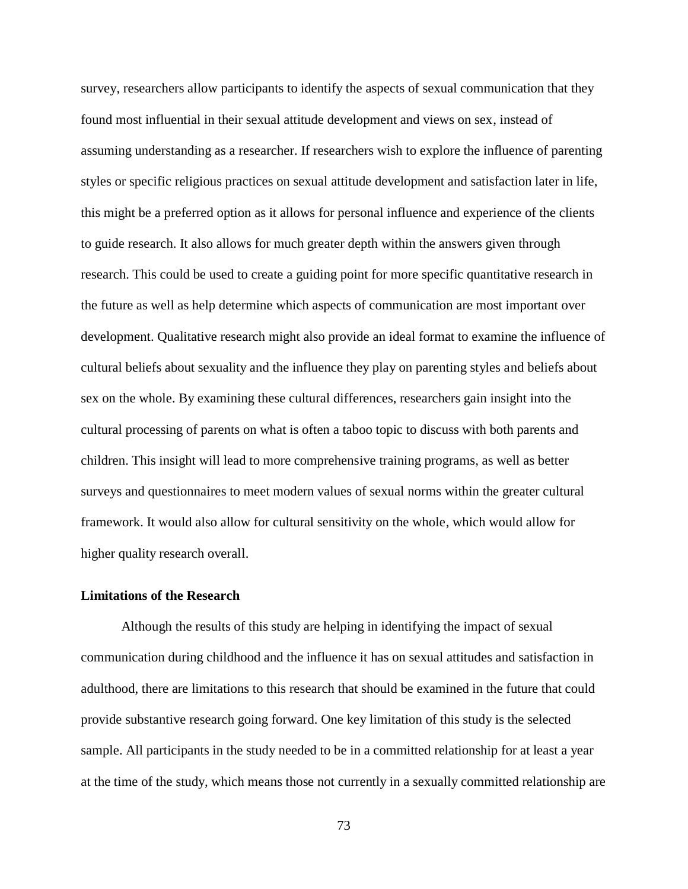survey, researchers allow participants to identify the aspects of sexual communication that they found most influential in their sexual attitude development and views on sex, instead of assuming understanding as a researcher. If researchers wish to explore the influence of parenting styles or specific religious practices on sexual attitude development and satisfaction later in life, this might be a preferred option as it allows for personal influence and experience of the clients to guide research. It also allows for much greater depth within the answers given through research. This could be used to create a guiding point for more specific quantitative research in the future as well as help determine which aspects of communication are most important over development. Qualitative research might also provide an ideal format to examine the influence of cultural beliefs about sexuality and the influence they play on parenting styles and beliefs about sex on the whole. By examining these cultural differences, researchers gain insight into the cultural processing of parents on what is often a taboo topic to discuss with both parents and children. This insight will lead to more comprehensive training programs, as well as better surveys and questionnaires to meet modern values of sexual norms within the greater cultural framework. It would also allow for cultural sensitivity on the whole, which would allow for higher quality research overall.

### **Limitations of the Research**

Although the results of this study are helping in identifying the impact of sexual communication during childhood and the influence it has on sexual attitudes and satisfaction in adulthood, there are limitations to this research that should be examined in the future that could provide substantive research going forward. One key limitation of this study is the selected sample. All participants in the study needed to be in a committed relationship for at least a year at the time of the study, which means those not currently in a sexually committed relationship are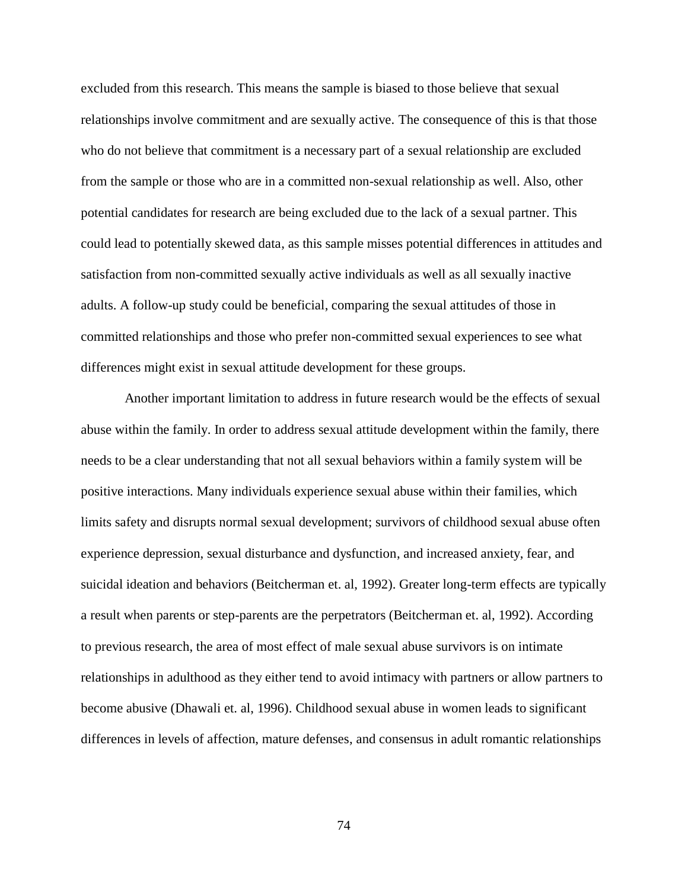excluded from this research. This means the sample is biased to those believe that sexual relationships involve commitment and are sexually active. The consequence of this is that those who do not believe that commitment is a necessary part of a sexual relationship are excluded from the sample or those who are in a committed non-sexual relationship as well. Also, other potential candidates for research are being excluded due to the lack of a sexual partner. This could lead to potentially skewed data, as this sample misses potential differences in attitudes and satisfaction from non-committed sexually active individuals as well as all sexually inactive adults. A follow-up study could be beneficial, comparing the sexual attitudes of those in committed relationships and those who prefer non-committed sexual experiences to see what differences might exist in sexual attitude development for these groups.

Another important limitation to address in future research would be the effects of sexual abuse within the family. In order to address sexual attitude development within the family, there needs to be a clear understanding that not all sexual behaviors within a family system will be positive interactions. Many individuals experience sexual abuse within their families, which limits safety and disrupts normal sexual development; survivors of childhood sexual abuse often experience depression, sexual disturbance and dysfunction, and increased anxiety, fear, and suicidal ideation and behaviors (Beitcherman et. al, 1992). Greater long-term effects are typically a result when parents or step-parents are the perpetrators (Beitcherman et. al, 1992). According to previous research, the area of most effect of male sexual abuse survivors is on intimate relationships in adulthood as they either tend to avoid intimacy with partners or allow partners to become abusive (Dhawali et. al, 1996). Childhood sexual abuse in women leads to significant differences in levels of affection, mature defenses, and consensus in adult romantic relationships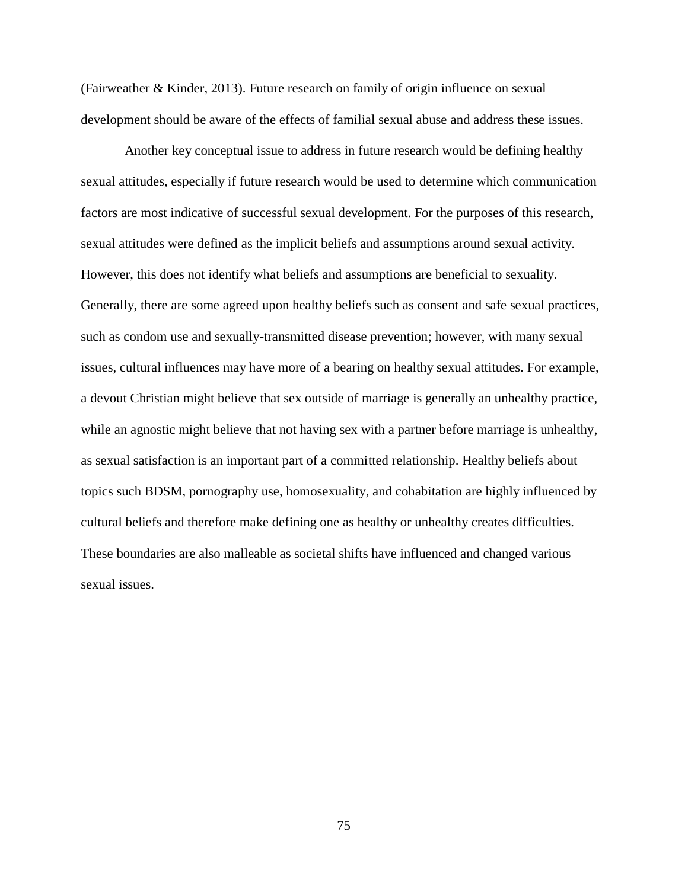(Fairweather & Kinder, 2013). Future research on family of origin influence on sexual development should be aware of the effects of familial sexual abuse and address these issues.

Another key conceptual issue to address in future research would be defining healthy sexual attitudes, especially if future research would be used to determine which communication factors are most indicative of successful sexual development. For the purposes of this research, sexual attitudes were defined as the implicit beliefs and assumptions around sexual activity. However, this does not identify what beliefs and assumptions are beneficial to sexuality. Generally, there are some agreed upon healthy beliefs such as consent and safe sexual practices, such as condom use and sexually-transmitted disease prevention; however, with many sexual issues, cultural influences may have more of a bearing on healthy sexual attitudes. For example, a devout Christian might believe that sex outside of marriage is generally an unhealthy practice, while an agnostic might believe that not having sex with a partner before marriage is unhealthy, as sexual satisfaction is an important part of a committed relationship. Healthy beliefs about topics such BDSM, pornography use, homosexuality, and cohabitation are highly influenced by cultural beliefs and therefore make defining one as healthy or unhealthy creates difficulties. These boundaries are also malleable as societal shifts have influenced and changed various sexual issues.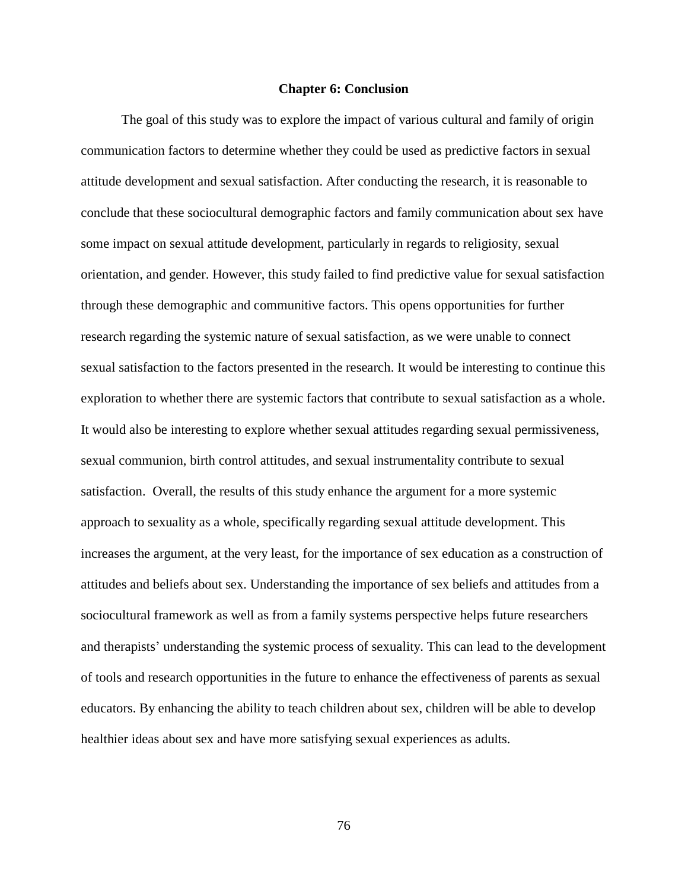#### **Chapter 6: Conclusion**

The goal of this study was to explore the impact of various cultural and family of origin communication factors to determine whether they could be used as predictive factors in sexual attitude development and sexual satisfaction. After conducting the research, it is reasonable to conclude that these sociocultural demographic factors and family communication about sex have some impact on sexual attitude development, particularly in regards to religiosity, sexual orientation, and gender. However, this study failed to find predictive value for sexual satisfaction through these demographic and communitive factors. This opens opportunities for further research regarding the systemic nature of sexual satisfaction, as we were unable to connect sexual satisfaction to the factors presented in the research. It would be interesting to continue this exploration to whether there are systemic factors that contribute to sexual satisfaction as a whole. It would also be interesting to explore whether sexual attitudes regarding sexual permissiveness, sexual communion, birth control attitudes, and sexual instrumentality contribute to sexual satisfaction. Overall, the results of this study enhance the argument for a more systemic approach to sexuality as a whole, specifically regarding sexual attitude development. This increases the argument, at the very least, for the importance of sex education as a construction of attitudes and beliefs about sex. Understanding the importance of sex beliefs and attitudes from a sociocultural framework as well as from a family systems perspective helps future researchers and therapists' understanding the systemic process of sexuality. This can lead to the development of tools and research opportunities in the future to enhance the effectiveness of parents as sexual educators. By enhancing the ability to teach children about sex, children will be able to develop healthier ideas about sex and have more satisfying sexual experiences as adults.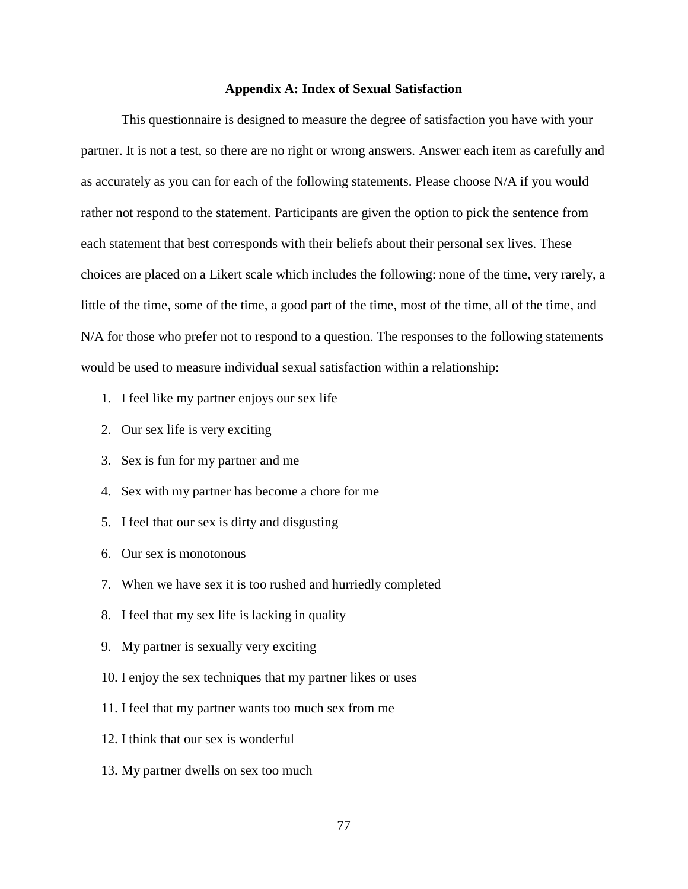### **Appendix A: Index of Sexual Satisfaction**

This questionnaire is designed to measure the degree of satisfaction you have with your partner. It is not a test, so there are no right or wrong answers. Answer each item as carefully and as accurately as you can for each of the following statements. Please choose N/A if you would rather not respond to the statement. Participants are given the option to pick the sentence from each statement that best corresponds with their beliefs about their personal sex lives. These choices are placed on a Likert scale which includes the following: none of the time, very rarely, a little of the time, some of the time, a good part of the time, most of the time, all of the time, and N/A for those who prefer not to respond to a question. The responses to the following statements would be used to measure individual sexual satisfaction within a relationship:

- 1. I feel like my partner enjoys our sex life
- 2. Our sex life is very exciting
- 3. Sex is fun for my partner and me
- 4. Sex with my partner has become a chore for me
- 5. I feel that our sex is dirty and disgusting
- 6. Our sex is monotonous
- 7. When we have sex it is too rushed and hurriedly completed
- 8. I feel that my sex life is lacking in quality
- 9. My partner is sexually very exciting
- 10. I enjoy the sex techniques that my partner likes or uses
- 11. I feel that my partner wants too much sex from me
- 12. I think that our sex is wonderful
- 13. My partner dwells on sex too much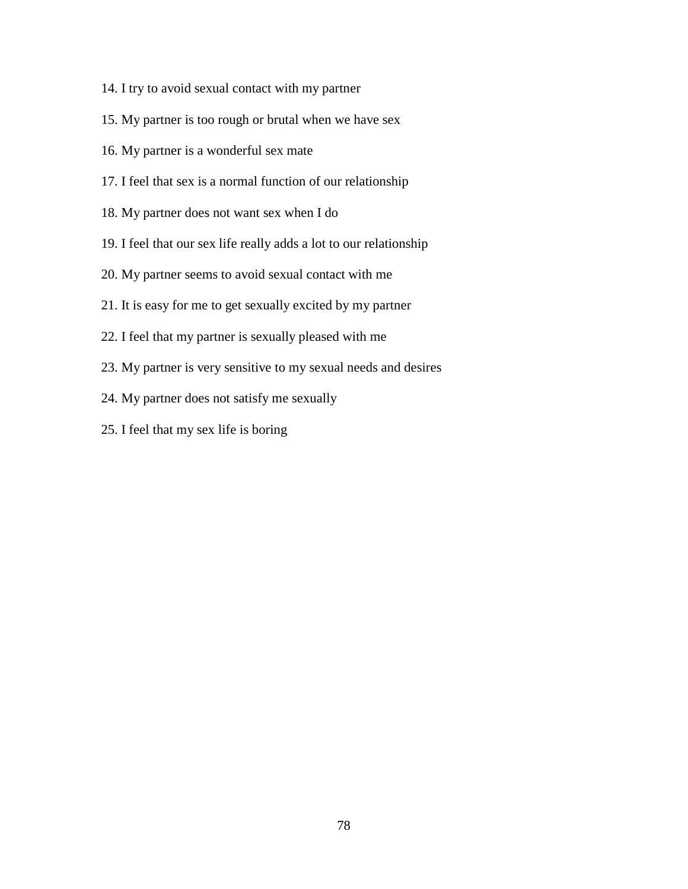- 14. I try to avoid sexual contact with my partner
- 15. My partner is too rough or brutal when we have sex
- 16. My partner is a wonderful sex mate
- 17. I feel that sex is a normal function of our relationship
- 18. My partner does not want sex when I do
- 19. I feel that our sex life really adds a lot to our relationship
- 20. My partner seems to avoid sexual contact with me
- 21. It is easy for me to get sexually excited by my partner
- 22. I feel that my partner is sexually pleased with me
- 23. My partner is very sensitive to my sexual needs and desires
- 24. My partner does not satisfy me sexually
- 25. I feel that my sex life is boring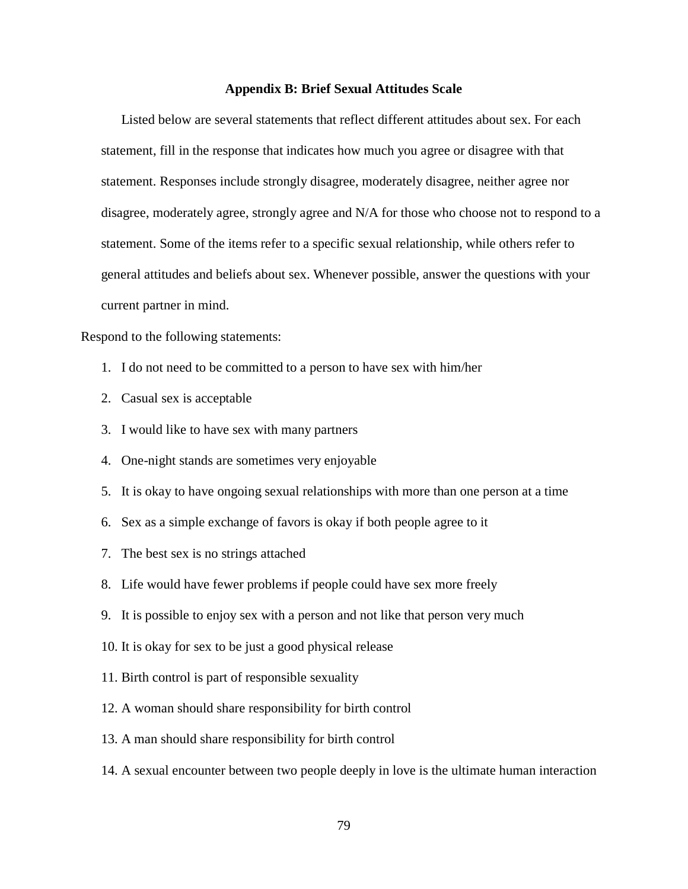### **Appendix B: Brief Sexual Attitudes Scale**

Listed below are several statements that reflect different attitudes about sex. For each statement, fill in the response that indicates how much you agree or disagree with that statement. Responses include strongly disagree, moderately disagree, neither agree nor disagree, moderately agree, strongly agree and N/A for those who choose not to respond to a statement. Some of the items refer to a specific sexual relationship, while others refer to general attitudes and beliefs about sex. Whenever possible, answer the questions with your current partner in mind.

Respond to the following statements:

- 1. I do not need to be committed to a person to have sex with him/her
- 2. Casual sex is acceptable
- 3. I would like to have sex with many partners
- 4. One-night stands are sometimes very enjoyable
- 5. It is okay to have ongoing sexual relationships with more than one person at a time
- 6. Sex as a simple exchange of favors is okay if both people agree to it
- 7. The best sex is no strings attached
- 8. Life would have fewer problems if people could have sex more freely
- 9. It is possible to enjoy sex with a person and not like that person very much
- 10. It is okay for sex to be just a good physical release
- 11. Birth control is part of responsible sexuality
- 12. A woman should share responsibility for birth control
- 13. A man should share responsibility for birth control
- 14. A sexual encounter between two people deeply in love is the ultimate human interaction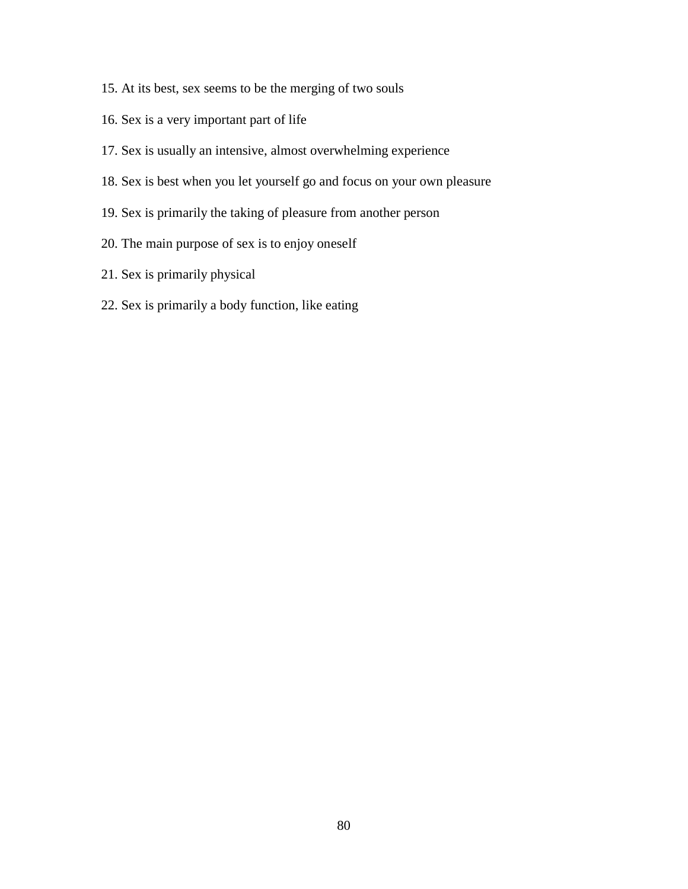- 15. At its best, sex seems to be the merging of two souls
- 16. Sex is a very important part of life
- 17. Sex is usually an intensive, almost overwhelming experience
- 18. Sex is best when you let yourself go and focus on your own pleasure
- 19. Sex is primarily the taking of pleasure from another person
- 20. The main purpose of sex is to enjoy oneself
- 21. Sex is primarily physical
- 22. Sex is primarily a body function, like eating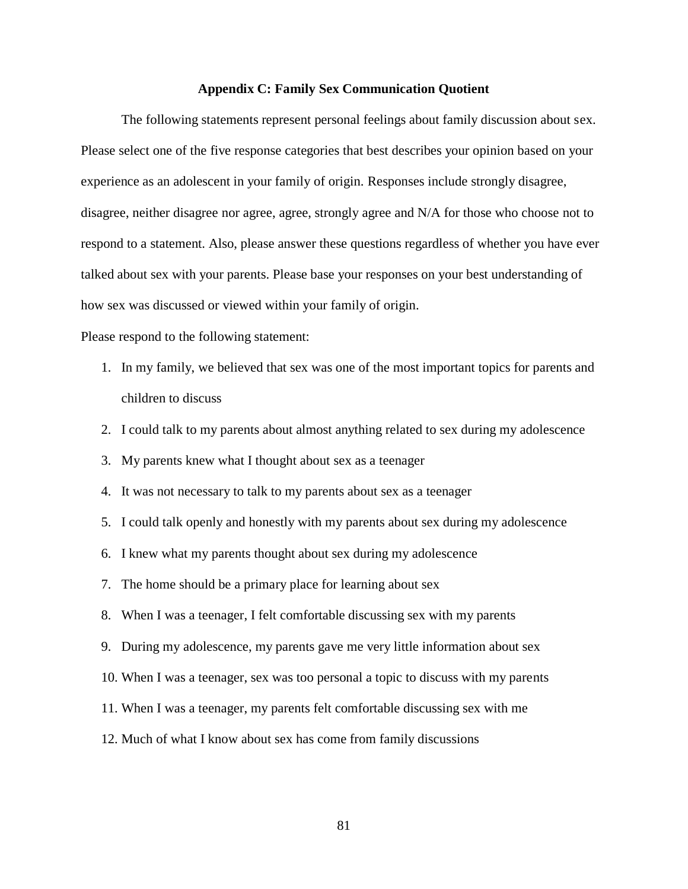### **Appendix C: Family Sex Communication Quotient**

The following statements represent personal feelings about family discussion about sex. Please select one of the five response categories that best describes your opinion based on your experience as an adolescent in your family of origin. Responses include strongly disagree, disagree, neither disagree nor agree, agree, strongly agree and N/A for those who choose not to respond to a statement. Also, please answer these questions regardless of whether you have ever talked about sex with your parents. Please base your responses on your best understanding of how sex was discussed or viewed within your family of origin.

Please respond to the following statement:

- 1. In my family, we believed that sex was one of the most important topics for parents and children to discuss
- 2. I could talk to my parents about almost anything related to sex during my adolescence
- 3. My parents knew what I thought about sex as a teenager
- 4. It was not necessary to talk to my parents about sex as a teenager
- 5. I could talk openly and honestly with my parents about sex during my adolescence
- 6. I knew what my parents thought about sex during my adolescence
- 7. The home should be a primary place for learning about sex
- 8. When I was a teenager, I felt comfortable discussing sex with my parents
- 9. During my adolescence, my parents gave me very little information about sex
- 10. When I was a teenager, sex was too personal a topic to discuss with my parents
- 11. When I was a teenager, my parents felt comfortable discussing sex with me
- 12. Much of what I know about sex has come from family discussions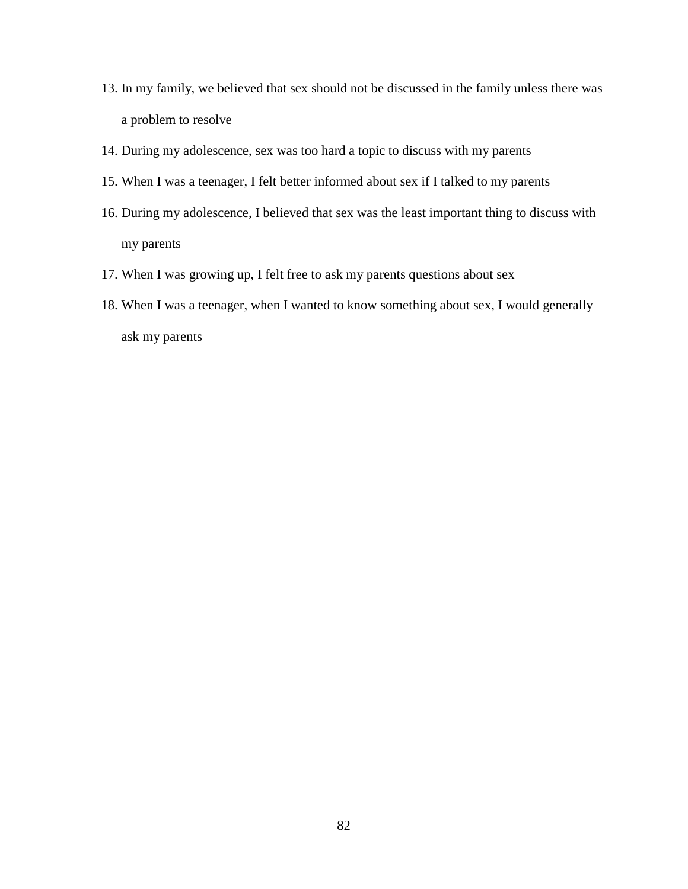- 13. In my family, we believed that sex should not be discussed in the family unless there was a problem to resolve
- 14. During my adolescence, sex was too hard a topic to discuss with my parents
- 15. When I was a teenager, I felt better informed about sex if I talked to my parents
- 16. During my adolescence, I believed that sex was the least important thing to discuss with my parents
- 17. When I was growing up, I felt free to ask my parents questions about sex
- 18. When I was a teenager, when I wanted to know something about sex, I would generally ask my parents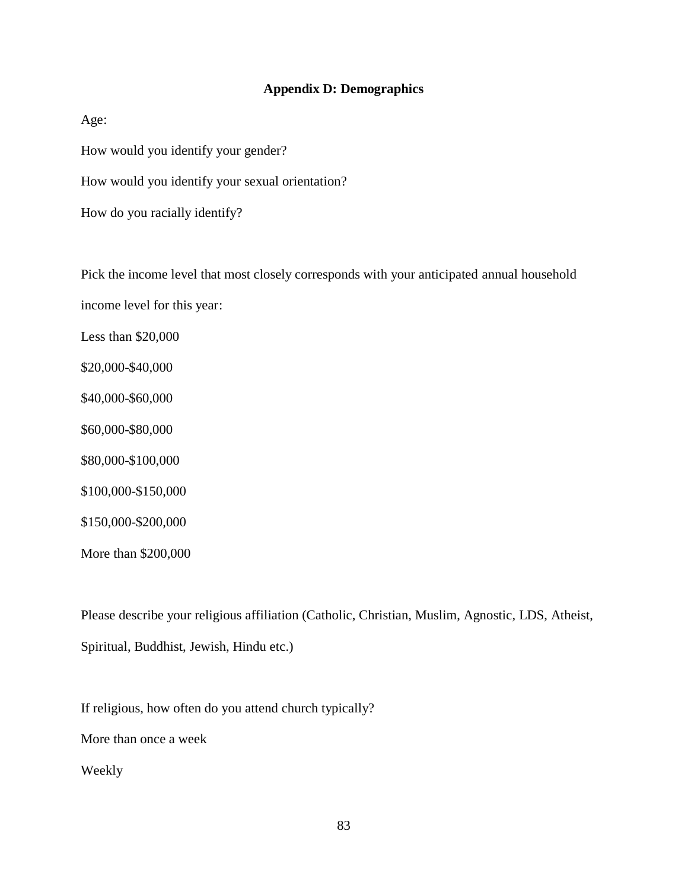## **Appendix D: Demographics**

Age:

How would you identify your gender?

How would you identify your sexual orientation?

How do you racially identify?

Pick the income level that most closely corresponds with your anticipated annual household income level for this year: Less than \$20,000 \$20,000-\$40,000 \$40,000-\$60,000 \$60,000-\$80,000 \$80,000-\$100,000 \$100,000-\$150,000 \$150,000-\$200,000

More than \$200,000

Please describe your religious affiliation (Catholic, Christian, Muslim, Agnostic, LDS, Atheist, Spiritual, Buddhist, Jewish, Hindu etc.)

If religious, how often do you attend church typically?

More than once a week

Weekly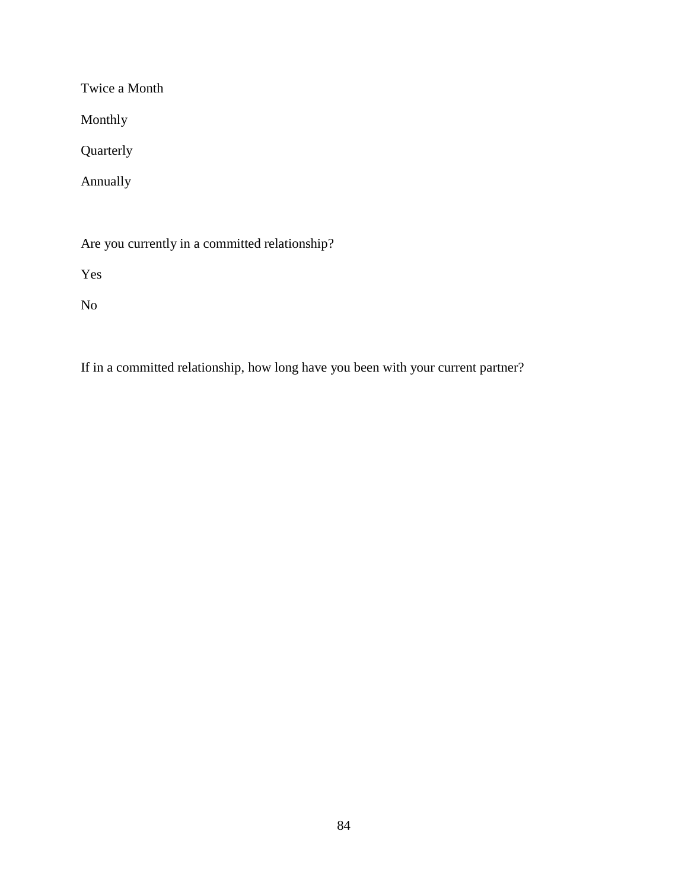Twice a Month

Monthly

Quarterly

Annually

Are you currently in a committed relationship?

Yes

No

If in a committed relationship, how long have you been with your current partner?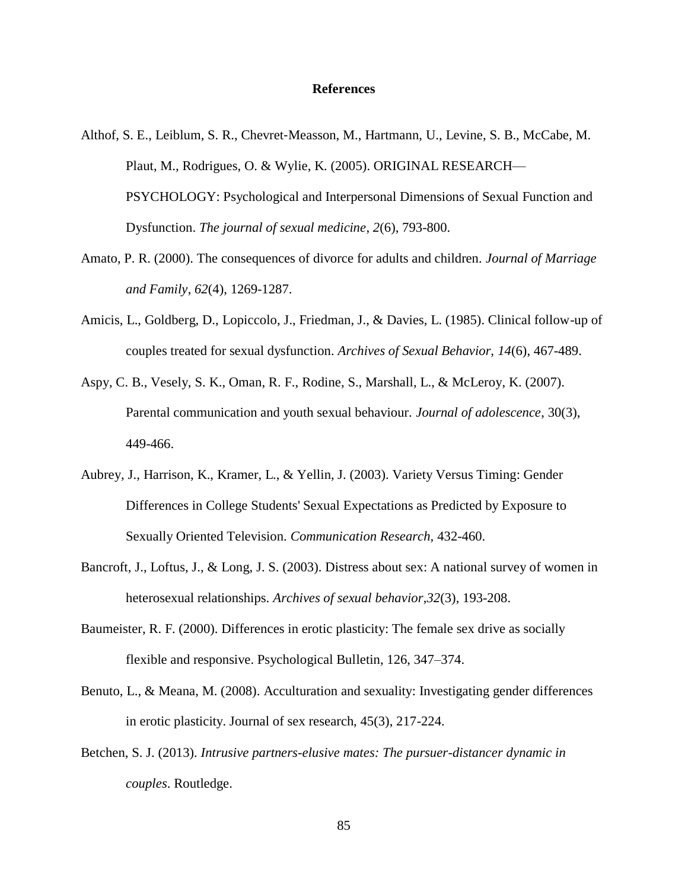#### **References**

- Althof, S. E., Leiblum, S. R., Chevret‐Measson, M., Hartmann, U., Levine, S. B., McCabe, M. Plaut, M., Rodrigues, O. & Wylie, K. (2005). ORIGINAL RESEARCH— PSYCHOLOGY: Psychological and Interpersonal Dimensions of Sexual Function and Dysfunction. *The journal of sexual medicine*, *2*(6), 793-800.
- Amato, P. R. (2000). The consequences of divorce for adults and children. *Journal of Marriage and Family*, *62*(4), 1269-1287.
- Amicis, L., Goldberg, D., Lopiccolo, J., Friedman, J., & Davies, L. (1985). Clinical follow-up of couples treated for sexual dysfunction. *Archives of Sexual Behavior, 14*(6), 467-489.
- Aspy, C. B., Vesely, S. K., Oman, R. F., Rodine, S., Marshall, L., & McLeroy, K. (2007). Parental communication and youth sexual behaviour. *Journal of adolescence*, 30(3), 449-466.
- Aubrey, J., Harrison, K., Kramer, L., & Yellin, J. (2003). Variety Versus Timing: Gender Differences in College Students' Sexual Expectations as Predicted by Exposure to Sexually Oriented Television. *Communication Research,* 432-460.
- Bancroft, J., Loftus, J., & Long, J. S. (2003). Distress about sex: A national survey of women in heterosexual relationships. *Archives of sexual behavior*,*32*(3), 193-208.
- Baumeister, R. F. (2000). Differences in erotic plasticity: The female sex drive as socially flexible and responsive. Psychological Bulletin, 126, 347–374.
- Benuto, L., & Meana, M. (2008). Acculturation and sexuality: Investigating gender differences in erotic plasticity. Journal of sex research, 45(3), 217-224.
- Betchen, S. J. (2013). *Intrusive partners-elusive mates: The pursuer-distancer dynamic in couples*. Routledge.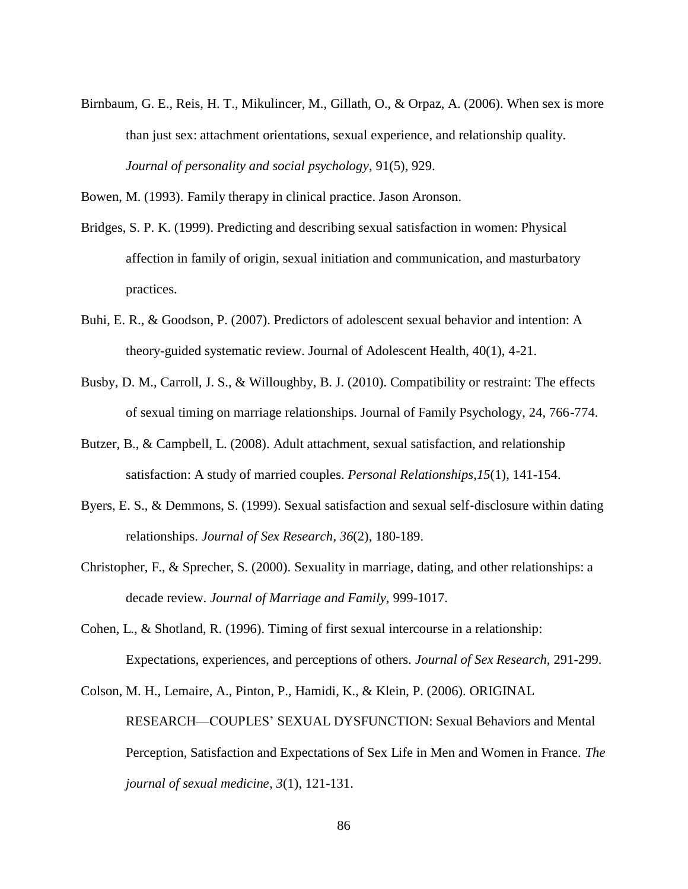Birnbaum, G. E., Reis, H. T., Mikulincer, M., Gillath, O., & Orpaz, A. (2006). When sex is more than just sex: attachment orientations, sexual experience, and relationship quality. *Journal of personality and social psychology*, 91(5), 929.

Bowen, M. (1993). Family therapy in clinical practice. Jason Aronson.

- Bridges, S. P. K. (1999). Predicting and describing sexual satisfaction in women: Physical affection in family of origin, sexual initiation and communication, and masturbatory practices.
- Buhi, E. R., & Goodson, P. (2007). Predictors of adolescent sexual behavior and intention: A theory-guided systematic review. Journal of Adolescent Health, 40(1), 4-21.
- Busby, D. M., Carroll, J. S., & Willoughby, B. J. (2010). Compatibility or restraint: The effects of sexual timing on marriage relationships. Journal of Family Psychology, 24, 766-774.
- Butzer, B., & Campbell, L. (2008). Adult attachment, sexual satisfaction, and relationship satisfaction: A study of married couples. *Personal Relationships*,*15*(1), 141-154.
- Byers, E. S., & Demmons, S. (1999). Sexual satisfaction and sexual self‐disclosure within dating relationships. *Journal of Sex Research*, *36*(2), 180-189.
- Christopher, F., & Sprecher, S. (2000). Sexuality in marriage, dating, and other relationships: a decade review. *Journal of Marriage and Family,* 999-1017.
- Cohen, L., & Shotland, R. (1996). Timing of first sexual intercourse in a relationship: Expectations, experiences, and perceptions of others. *Journal of Sex Research,* 291-299.
- Colson, M. H., Lemaire, A., Pinton, P., Hamidi, K., & Klein, P. (2006). ORIGINAL RESEARCH—COUPLES' SEXUAL DYSFUNCTION: Sexual Behaviors and Mental Perception, Satisfaction and Expectations of Sex Life in Men and Women in France. *The journal of sexual medicine*, *3*(1), 121-131.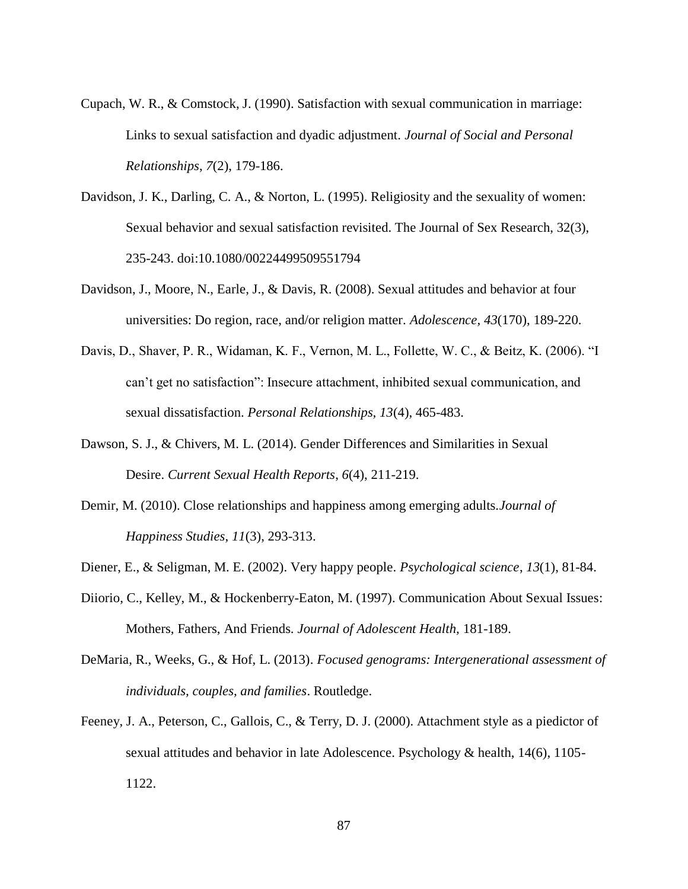- Cupach, W. R., & Comstock, J. (1990). Satisfaction with sexual communication in marriage: Links to sexual satisfaction and dyadic adjustment. *Journal of Social and Personal Relationships*, *7*(2), 179-186.
- Davidson, J. K., Darling, C. A., & Norton, L. (1995). Religiosity and the sexuality of women: Sexual behavior and sexual satisfaction revisited. The Journal of Sex Research, 32(3), 235-243. doi:10.1080/00224499509551794
- Davidson, J., Moore, N., Earle, J., & Davis, R. (2008). Sexual attitudes and behavior at four universities: Do region, race, and/or religion matter. *Adolescence, 43*(170), 189-220.
- Davis, D., Shaver, P. R., Widaman, K. F., Vernon, M. L., Follette, W. C., & Beitz, K. (2006). "I can't get no satisfaction": Insecure attachment, inhibited sexual communication, and sexual dissatisfaction. *Personal Relationships, 13*(4), 465-483.
- Dawson, S. J., & Chivers, M. L. (2014). Gender Differences and Similarities in Sexual Desire. *Current Sexual Health Reports*, *6*(4), 211-219.
- Demir, M. (2010). Close relationships and happiness among emerging adults.*Journal of Happiness Studies*, *11*(3), 293-313.
- Diener, E., & Seligman, M. E. (2002). Very happy people. *Psychological science*, *13*(1), 81-84.
- Diiorio, C., Kelley, M., & Hockenberry-Eaton, M. (1997). Communication About Sexual Issues: Mothers, Fathers, And Friends. *Journal of Adolescent Health,* 181-189.
- DeMaria, R., Weeks, G., & Hof, L. (2013). *Focused genograms: Intergenerational assessment of individuals, couples, and families*. Routledge.
- Feeney, J. A., Peterson, C., Gallois, C., & Terry, D. J. (2000). Attachment style as a piedictor of sexual attitudes and behavior in late Adolescence. Psychology & health, 14(6), 1105- 1122.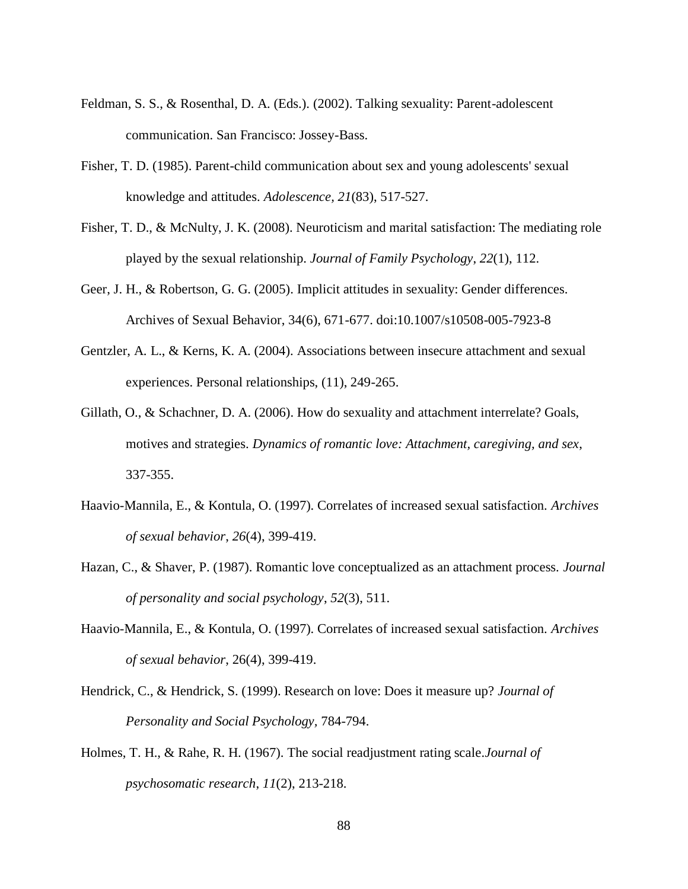- Feldman, S. S., & Rosenthal, D. A. (Eds.). (2002). Talking sexuality: Parent-adolescent communication. San Francisco: Jossey-Bass.
- Fisher, T. D. (1985). Parent-child communication about sex and young adolescents' sexual knowledge and attitudes. *Adolescence, 21*(83), 517-527.
- Fisher, T. D., & McNulty, J. K. (2008). Neuroticism and marital satisfaction: The mediating role played by the sexual relationship. *Journal of Family Psychology*, *22*(1), 112.
- Geer, J. H., & Robertson, G. G. (2005). Implicit attitudes in sexuality: Gender differences. Archives of Sexual Behavior, 34(6), 671-677. doi:10.1007/s10508-005-7923-8
- Gentzler, A. L., & Kerns, K. A. (2004). Associations between insecure attachment and sexual experiences. Personal relationships, (11), 249-265.
- Gillath, O., & Schachner, D. A. (2006). How do sexuality and attachment interrelate? Goals, motives and strategies. *Dynamics of romantic love: Attachment, caregiving, and sex*, 337-355.
- Haavio-Mannila, E., & Kontula, O. (1997). Correlates of increased sexual satisfaction. *Archives of sexual behavior*, *26*(4), 399-419.
- Hazan, C., & Shaver, P. (1987). Romantic love conceptualized as an attachment process. *Journal of personality and social psychology*, *52*(3), 511.
- Haavio-Mannila, E., & Kontula, O. (1997). Correlates of increased sexual satisfaction. *Archives of sexual behavior*, 26(4), 399-419.
- Hendrick, C., & Hendrick, S. (1999). Research on love: Does it measure up? *Journal of Personality and Social Psychology,* 784-794.
- Holmes, T. H., & Rahe, R. H. (1967). The social readjustment rating scale.*Journal of psychosomatic research*, *11*(2), 213-218.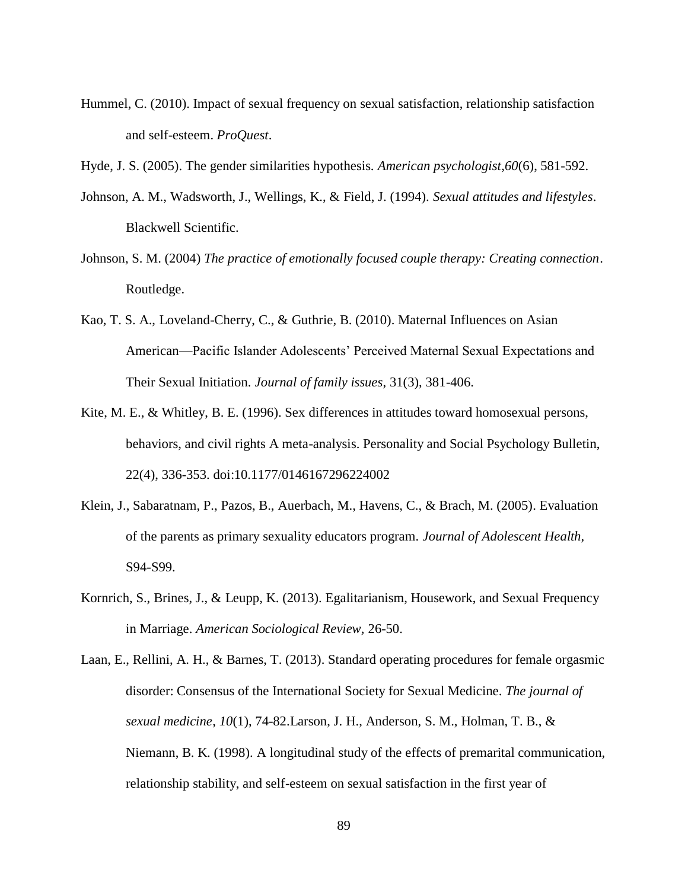- Hummel, C. (2010). Impact of sexual frequency on sexual satisfaction, relationship satisfaction and self-esteem. *ProQuest*.
- Hyde, J. S. (2005). The gender similarities hypothesis. *American psychologist*,*60*(6), 581-592.
- Johnson, A. M., Wadsworth, J., Wellings, K., & Field, J. (1994). *Sexual attitudes and lifestyles*. Blackwell Scientific.
- Johnson, S. M. (2004) *The practice of emotionally focused couple therapy: Creating connection*. Routledge.
- Kao, T. S. A., Loveland-Cherry, C., & Guthrie, B. (2010). Maternal Influences on Asian American—Pacific Islander Adolescents' Perceived Maternal Sexual Expectations and Their Sexual Initiation. *Journal of family issues*, 31(3), 381-406.
- Kite, M. E., & Whitley, B. E. (1996). Sex differences in attitudes toward homosexual persons, behaviors, and civil rights A meta-analysis. Personality and Social Psychology Bulletin, 22(4), 336-353. doi:10.1177/0146167296224002
- Klein, J., Sabaratnam, P., Pazos, B., Auerbach, M., Havens, C., & Brach, M. (2005). Evaluation of the parents as primary sexuality educators program. *Journal of Adolescent Health,* S94-S99.
- Kornrich, S., Brines, J., & Leupp, K. (2013). Egalitarianism, Housework, and Sexual Frequency in Marriage. *American Sociological Review,* 26-50.
- Laan, E., Rellini, A. H., & Barnes, T. (2013). Standard operating procedures for female orgasmic disorder: Consensus of the International Society for Sexual Medicine. *The journal of sexual medicine*, *10*(1), 74-82.Larson, J. H., Anderson, S. M., Holman, T. B., & Niemann, B. K. (1998). A longitudinal study of the effects of premarital communication, relationship stability, and self-esteem on sexual satisfaction in the first year of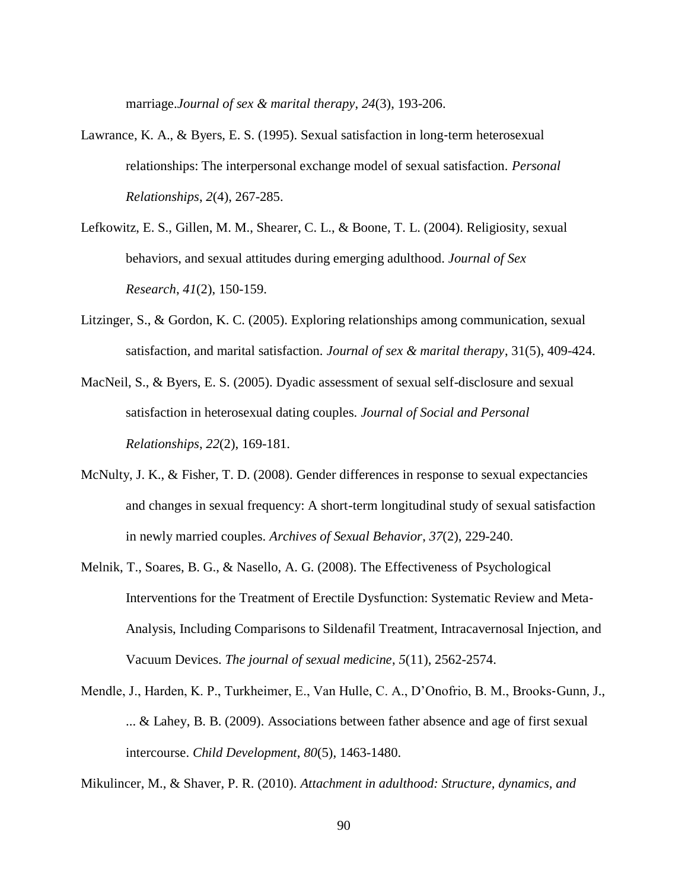marriage.*Journal of sex & marital therapy*, *24*(3), 193-206.

- Lawrance, K. A., & Byers, E. S. (1995). Sexual satisfaction in long‐term heterosexual relationships: The interpersonal exchange model of sexual satisfaction. *Personal Relationships*, *2*(4), 267-285.
- Lefkowitz, E. S., Gillen, M. M., Shearer, C. L., & Boone, T. L. (2004). Religiosity, sexual behaviors, and sexual attitudes during emerging adulthood. *Journal of Sex Research*, *41*(2), 150-159.
- Litzinger, S., & Gordon, K. C. (2005). Exploring relationships among communication, sexual satisfaction, and marital satisfaction. *Journal of sex & marital therapy*, 31(5), 409-424.
- MacNeil, S., & Byers, E. S. (2005). Dyadic assessment of sexual self-disclosure and sexual satisfaction in heterosexual dating couples. *Journal of Social and Personal Relationships*, *22*(2), 169-181.
- McNulty, J. K., & Fisher, T. D. (2008). Gender differences in response to sexual expectancies and changes in sexual frequency: A short-term longitudinal study of sexual satisfaction in newly married couples. *Archives of Sexual Behavior*, *37*(2), 229-240.
- Melnik, T., Soares, B. G., & Nasello, A. G. (2008). The Effectiveness of Psychological Interventions for the Treatment of Erectile Dysfunction: Systematic Review and Meta‐ Analysis, Including Comparisons to Sildenafil Treatment, Intracavernosal Injection, and Vacuum Devices. *The journal of sexual medicine*, *5*(11), 2562-2574.
- Mendle, J., Harden, K. P., Turkheimer, E., Van Hulle, C. A., D'Onofrio, B. M., Brooks‐Gunn, J., ... & Lahey, B. B. (2009). Associations between father absence and age of first sexual intercourse. *Child Development*, *80*(5), 1463-1480.

Mikulincer, M., & Shaver, P. R. (2010). *Attachment in adulthood: Structure, dynamics, and*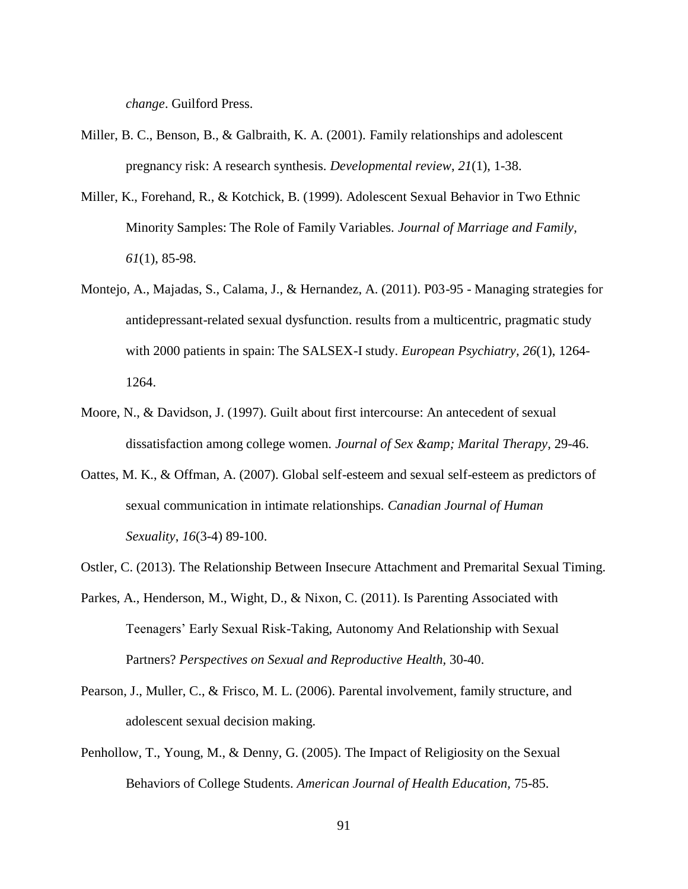*change*. Guilford Press.

- Miller, B. C., Benson, B., & Galbraith, K. A. (2001). Family relationships and adolescent pregnancy risk: A research synthesis. *Developmental review*, *21*(1), 1-38.
- Miller, K., Forehand, R., & Kotchick, B. (1999). Adolescent Sexual Behavior in Two Ethnic Minority Samples: The Role of Family Variables. *Journal of Marriage and Family, 61*(1), 85-98.
- Montejo, A., Majadas, S., Calama, J., & Hernandez, A. (2011). P03-95 Managing strategies for antidepressant-related sexual dysfunction. results from a multicentric, pragmatic study with 2000 patients in spain: The SALSEX-I study. *European Psychiatry, 26*(1), 1264- 1264.
- Moore, N., & Davidson, J. (1997). Guilt about first intercourse: An antecedent of sexual dissatisfaction among college women. *Journal of Sex & amp*; Marital Therapy, 29-46.
- Oattes, M. K., & Offman, A. (2007). Global self-esteem and sexual self-esteem as predictors of sexual communication in intimate relationships. *Canadian Journal of Human Sexuality*, *16*(3-4) 89-100.
- Ostler, C. (2013). The Relationship Between Insecure Attachment and Premarital Sexual Timing.
- Parkes, A., Henderson, M., Wight, D., & Nixon, C. (2011). Is Parenting Associated with Teenagers' Early Sexual Risk-Taking, Autonomy And Relationship with Sexual Partners? *Perspectives on Sexual and Reproductive Health,* 30-40.
- Pearson, J., Muller, C., & Frisco, M. L. (2006). Parental involvement, family structure, and adolescent sexual decision making.
- Penhollow, T., Young, M., & Denny, G. (2005). The Impact of Religiosity on the Sexual Behaviors of College Students. *American Journal of Health Education,* 75-85.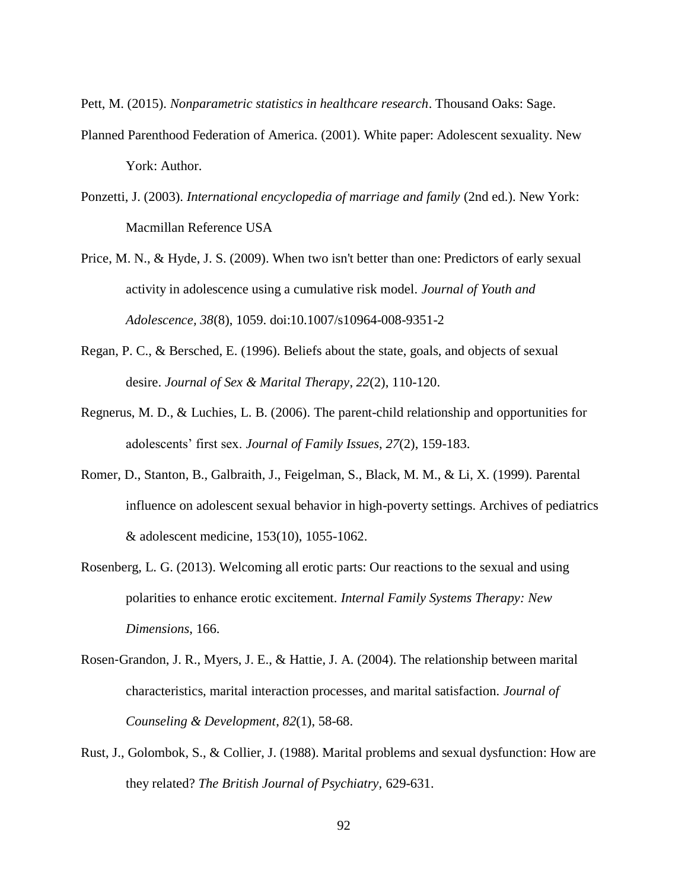Pett, M. (2015). *Nonparametric statistics in healthcare research*. Thousand Oaks: Sage.

- Planned Parenthood Federation of America. (2001). White paper: Adolescent sexuality. New York: Author.
- Ponzetti, J. (2003). *International encyclopedia of marriage and family* (2nd ed.). New York: Macmillan Reference USA
- Price, M. N., & Hyde, J. S. (2009). When two isn't better than one: Predictors of early sexual activity in adolescence using a cumulative risk model. *Journal of Youth and Adolescence, 38*(8), 1059. doi:10.1007/s10964-008-9351-2
- Regan, P. C., & Bersched, E. (1996). Beliefs about the state, goals, and objects of sexual desire. *Journal of Sex & Marital Therapy*, *22*(2), 110-120.
- Regnerus, M. D., & Luchies, L. B. (2006). The parent-child relationship and opportunities for adolescents' first sex. *Journal of Family Issues*, *27*(2), 159-183.
- Romer, D., Stanton, B., Galbraith, J., Feigelman, S., Black, M. M., & Li, X. (1999). Parental influence on adolescent sexual behavior in high-poverty settings. Archives of pediatrics & adolescent medicine, 153(10), 1055-1062.
- Rosenberg, L. G. (2013). Welcoming all erotic parts: Our reactions to the sexual and using polarities to enhance erotic excitement. *Internal Family Systems Therapy: New Dimensions*, 166.
- Rosen‐Grandon, J. R., Myers, J. E., & Hattie, J. A. (2004). The relationship between marital characteristics, marital interaction processes, and marital satisfaction. *Journal of Counseling & Development*, *82*(1), 58-68.
- Rust, J., Golombok, S., & Collier, J. (1988). Marital problems and sexual dysfunction: How are they related? *The British Journal of Psychiatry,* 629-631.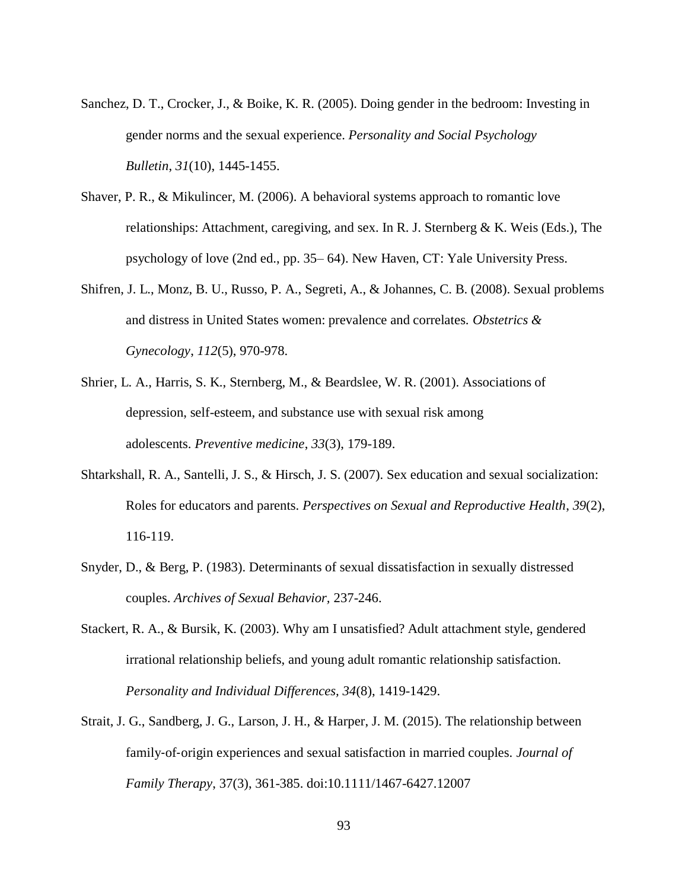- Sanchez, D. T., Crocker, J., & Boike, K. R. (2005). Doing gender in the bedroom: Investing in gender norms and the sexual experience. *Personality and Social Psychology Bulletin*, *31*(10), 1445-1455.
- Shaver, P. R., & Mikulincer, M. (2006). A behavioral systems approach to romantic love relationships: Attachment, caregiving, and sex. In R. J. Sternberg  $\& K$ . Weis (Eds.), The psychology of love (2nd ed., pp. 35– 64). New Haven, CT: Yale University Press.
- Shifren, J. L., Monz, B. U., Russo, P. A., Segreti, A., & Johannes, C. B. (2008). Sexual problems and distress in United States women: prevalence and correlates. *Obstetrics & Gynecology*, *112*(5), 970-978.
- Shrier, L. A., Harris, S. K., Sternberg, M., & Beardslee, W. R. (2001). Associations of depression, self-esteem, and substance use with sexual risk among adolescents. *Preventive medicine*, *33*(3), 179-189.
- Shtarkshall, R. A., Santelli, J. S., & Hirsch, J. S. (2007). Sex education and sexual socialization: Roles for educators and parents. *Perspectives on Sexual and Reproductive Health*, *39*(2), 116-119.
- Snyder, D., & Berg, P. (1983). Determinants of sexual dissatisfaction in sexually distressed couples. *Archives of Sexual Behavior,* 237-246.
- Stackert, R. A., & Bursik, K. (2003). Why am I unsatisfied? Adult attachment style, gendered irrational relationship beliefs, and young adult romantic relationship satisfaction. *Personality and Individual Differences, 34*(8), 1419-1429.
- Strait, J. G., Sandberg, J. G., Larson, J. H., & Harper, J. M. (2015). The relationship between family‐of‐origin experiences and sexual satisfaction in married couples. *Journal of Family Therapy*, 37(3), 361-385. doi:10.1111/1467-6427.12007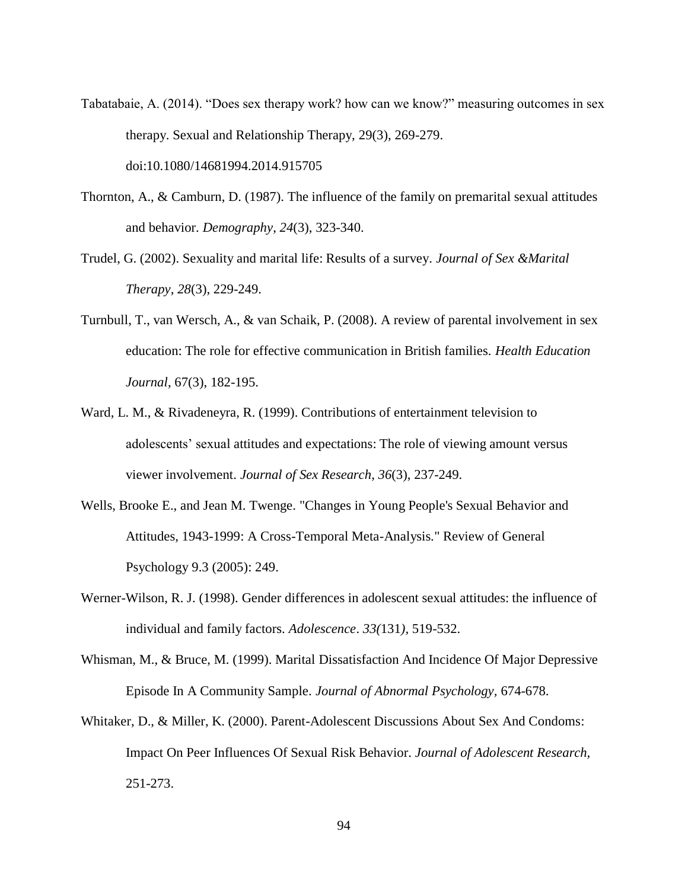- Tabatabaie, A. (2014). "Does sex therapy work? how can we know?" measuring outcomes in sex therapy. Sexual and Relationship Therapy, 29(3), 269-279. doi:10.1080/14681994.2014.915705
- Thornton, A., & Camburn, D. (1987). The influence of the family on premarital sexual attitudes and behavior. *Demography*, *24*(3), 323-340.
- Trudel, G. (2002). Sexuality and marital life: Results of a survey. *Journal of Sex &Marital Therapy*, *28*(3), 229-249.
- Turnbull, T., van Wersch, A., & van Schaik, P. (2008). A review of parental involvement in sex education: The role for effective communication in British families. *Health Education Journal*, 67(3), 182-195.
- Ward, L. M., & Rivadeneyra, R. (1999). Contributions of entertainment television to adolescents' sexual attitudes and expectations: The role of viewing amount versus viewer involvement. *Journal of Sex Research*, *36*(3), 237-249.
- Wells, Brooke E., and Jean M. Twenge. "Changes in Young People's Sexual Behavior and Attitudes, 1943-1999: A Cross-Temporal Meta-Analysis." Review of General Psychology 9.3 (2005): 249.
- Werner-Wilson, R. J. (1998). Gender differences in adolescent sexual attitudes: the influence of individual and family factors. *Adolescence*. *33(*131*),* 519-532.
- Whisman, M., & Bruce, M. (1999). Marital Dissatisfaction And Incidence Of Major Depressive Episode In A Community Sample. *Journal of Abnormal Psychology,* 674-678.
- Whitaker, D., & Miller, K. (2000). Parent-Adolescent Discussions About Sex And Condoms: Impact On Peer Influences Of Sexual Risk Behavior. *Journal of Adolescent Research,* 251-273.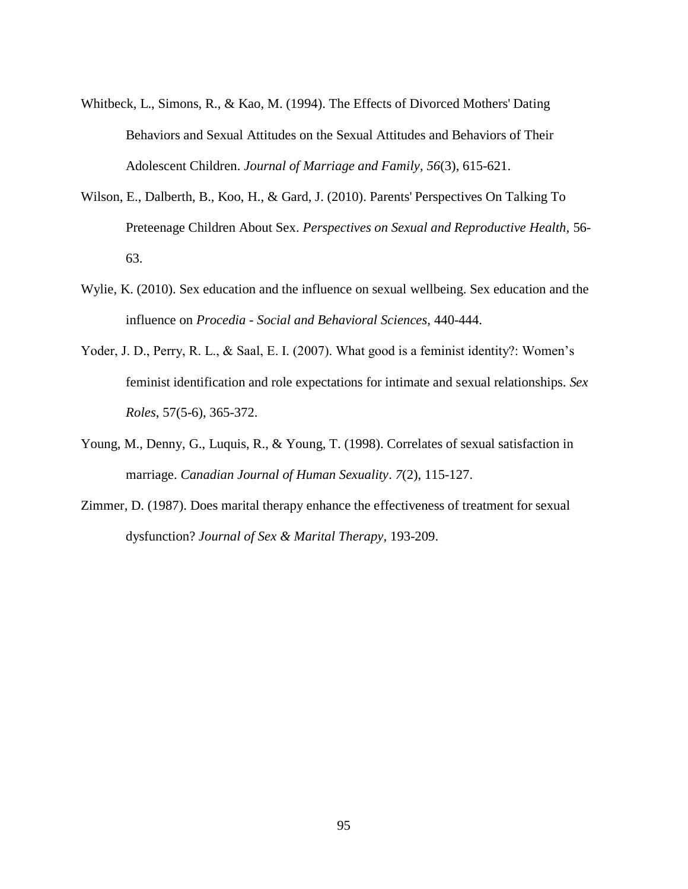- Whitbeck, L., Simons, R., & Kao, M. (1994). The Effects of Divorced Mothers' Dating Behaviors and Sexual Attitudes on the Sexual Attitudes and Behaviors of Their Adolescent Children. *Journal of Marriage and Family, 56*(3), 615-621.
- Wilson, E., Dalberth, B., Koo, H., & Gard, J. (2010). Parents' Perspectives On Talking To Preteenage Children About Sex. *Perspectives on Sexual and Reproductive Health,* 56- 63.
- Wylie, K. (2010). Sex education and the influence on sexual wellbeing. Sex education and the influence on *Procedia - Social and Behavioral Sciences,* 440-444.
- Yoder, J. D., Perry, R. L., & Saal, E. I. (2007). What good is a feminist identity?: Women's feminist identification and role expectations for intimate and sexual relationships. *Sex Roles*, 57(5-6), 365-372.
- Young, M., Denny, G., Luquis, R., & Young, T. (1998). Correlates of sexual satisfaction in marriage. *Canadian Journal of Human Sexuality*. *7*(2), 115-127.
- Zimmer, D. (1987). Does marital therapy enhance the effectiveness of treatment for sexual dysfunction? *Journal of Sex & Marital Therapy,* 193-209.